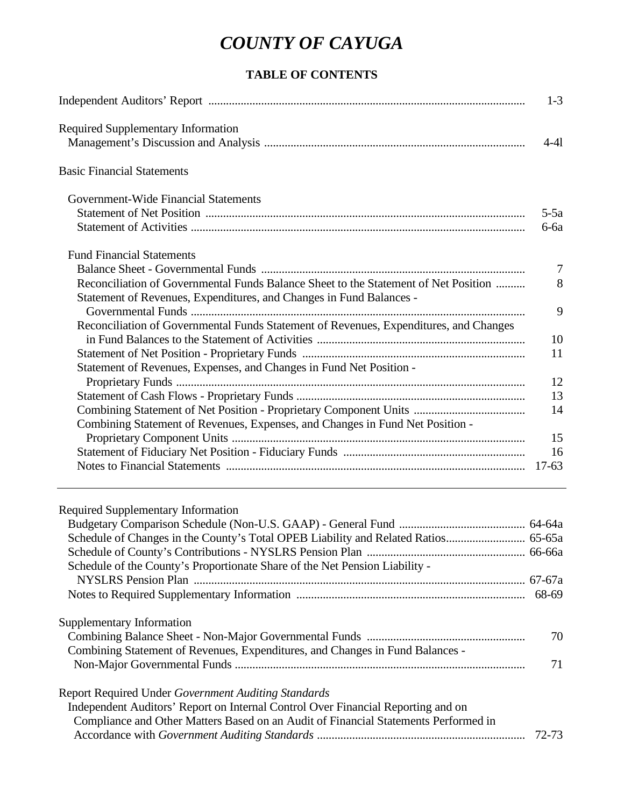## **TABLE OF CONTENTS**

|                                                                                       | $1-3$          |
|---------------------------------------------------------------------------------------|----------------|
| <b>Required Supplementary Information</b>                                             |                |
|                                                                                       | $4 - 41$       |
| <b>Basic Financial Statements</b>                                                     |                |
| Government-Wide Financial Statements                                                  |                |
|                                                                                       | $5-5a$         |
|                                                                                       | $6-6a$         |
| <b>Fund Financial Statements</b>                                                      |                |
|                                                                                       | $\overline{7}$ |
| Reconciliation of Governmental Funds Balance Sheet to the Statement of Net Position   | 8              |
| Statement of Revenues, Expenditures, and Changes in Fund Balances -                   |                |
|                                                                                       | 9              |
| Reconciliation of Governmental Funds Statement of Revenues, Expenditures, and Changes |                |
|                                                                                       | 10             |
|                                                                                       | 11             |
| Statement of Revenues, Expenses, and Changes in Fund Net Position -                   |                |
|                                                                                       | 12             |
|                                                                                       | 13             |
|                                                                                       | 14             |
| Combining Statement of Revenues, Expenses, and Changes in Fund Net Position -         |                |
|                                                                                       | 15             |
|                                                                                       | 16             |
|                                                                                       | $17-63$        |
|                                                                                       |                |
| Required Supplementary Information                                                    |                |
|                                                                                       |                |
| Schedule of Changes in the County's Total OPEB Liability and Related Ratios 65-65a    |                |
|                                                                                       |                |

Schedule of the County's Proportionate Share of the Net Pension Liability - NYSLRS Pension Plan ................................................................................................................. 67-67a Notes to Required Supplementary Information .............................................................................. 68-69

| Supplementary Information                                                     |    |
|-------------------------------------------------------------------------------|----|
|                                                                               | 70 |
| Combining Statement of Revenues, Expenditures, and Changes in Fund Balances - |    |
|                                                                               | 71 |
|                                                                               |    |

| Report Required Under Government Auditing Standards |  |  |  |  |
|-----------------------------------------------------|--|--|--|--|
|-----------------------------------------------------|--|--|--|--|

| Independent Auditors' Report on Internal Control Over Financial Reporting and on    |  |
|-------------------------------------------------------------------------------------|--|
| Compliance and Other Matters Based on an Audit of Financial Statements Performed in |  |
|                                                                                     |  |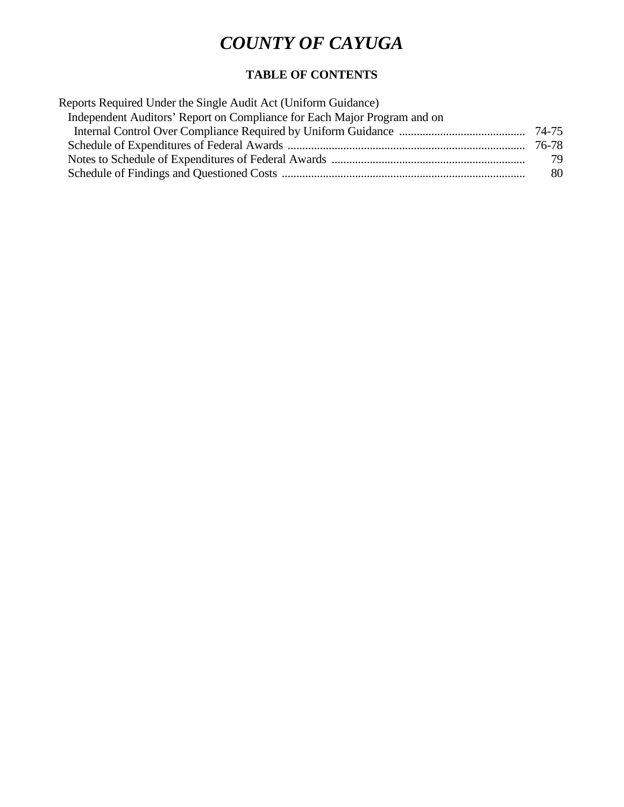## **TABLE OF CONTENTS**

| Reports Required Under the Single Audit Act (Uniform Guidance)           |     |
|--------------------------------------------------------------------------|-----|
| Independent Auditors' Report on Compliance for Each Major Program and on |     |
|                                                                          |     |
|                                                                          |     |
|                                                                          | -79 |
|                                                                          | 80  |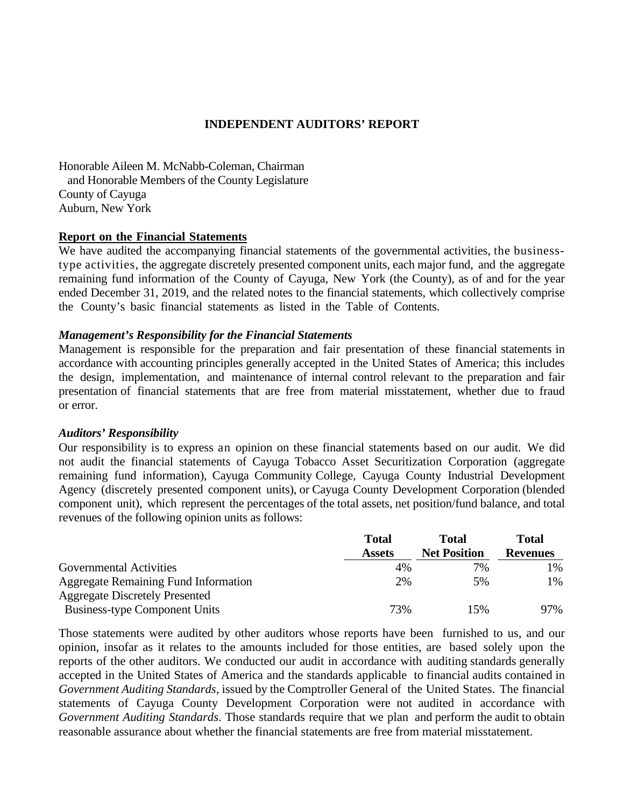#### **INDEPENDENT AUDITORS' REPORT**

Honorable Aileen M. McNabb-Coleman, Chairman and Honorable Members of the County Legislature County of Cayuga Auburn, New York

#### **Report on the Financial Statements**

We have audited the accompanying financial statements of the governmental activities, the businesstype activities, the aggregate discretely presented component units, each major fund, and the aggregate remaining fund information of the County of Cayuga, New York (the County), as of and for the year ended December 31, 2019, and the related notes to the financial statements, which collectively comprise the County's basic financial statements as listed in the Table of Contents.

#### *Management's Responsibility for the Financial Statements*

Management is responsible for the preparation and fair presentation of these financial statements in accordance with accounting principles generally accepted in the United States of America; this includes the design, implementation, and maintenance of internal control relevant to the preparation and fair presentation of financial statements that are free from material misstatement, whether due to fraud or error.

#### *Auditors' Responsibility*

Our responsibility is to express an opinion on these financial statements based on our audit. We did not audit the financial statements of Cayuga Tobacco Asset Securitization Corporation (aggregate remaining fund information), Cayuga Community College, Cayuga County Industrial Development Agency (discretely presented component units), or Cayuga County Development Corporation (blended component unit), which represent the percentages of the total assets, net position/fund balance, and total revenues of the following opinion units as follows:

|                                             | <b>Total</b>  | Total               | <b>Total</b>    |
|---------------------------------------------|---------------|---------------------|-----------------|
|                                             | <b>Assets</b> | <b>Net Position</b> | <b>Revenues</b> |
| <b>Governmental Activities</b>              | 4%            | 7%                  | 1%              |
| <b>Aggregate Remaining Fund Information</b> | 2%            | .5%                 | 1%              |
| <b>Aggregate Discretely Presented</b>       |               |                     |                 |
| <b>Business-type Component Units</b>        | 73%           | 15%                 | 97%             |

Those statements were audited by other auditors whose reports have been furnished to us, and our opinion, insofar as it relates to the amounts included for those entities, are based solely upon the reports of the other auditors. We conducted our audit in accordance with auditing standards generally accepted in the United States of America and the standards applicable to financial audits contained in *Government Auditing Standards*, issued by the Comptroller General of the United States. The financial statements of Cayuga County Development Corporation were not audited in accordance with *Government Auditing Standards*. Those standards require that we plan and perform the audit to obtain reasonable assurance about whether the financial statements are free from material misstatement.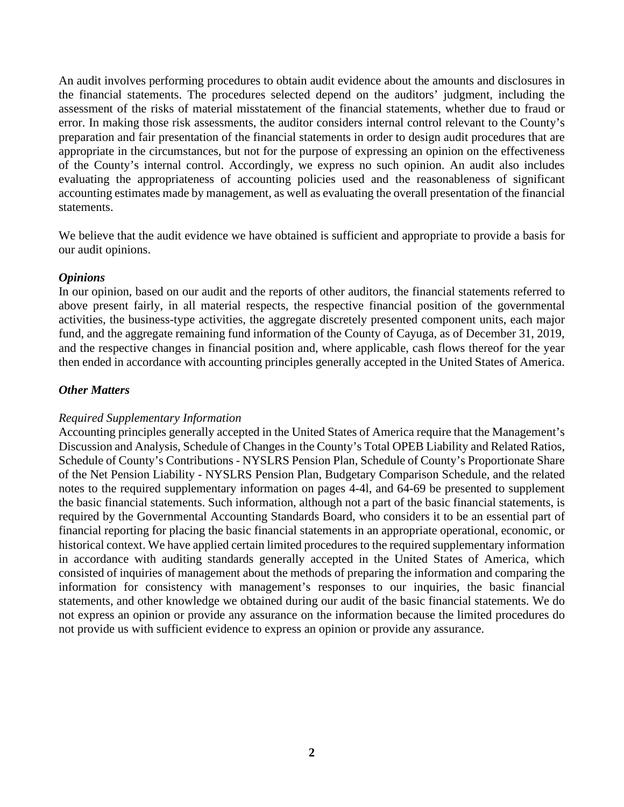An audit involves performing procedures to obtain audit evidence about the amounts and disclosures in the financial statements. The procedures selected depend on the auditors' judgment, including the assessment of the risks of material misstatement of the financial statements, whether due to fraud or error. In making those risk assessments, the auditor considers internal control relevant to the County's preparation and fair presentation of the financial statements in order to design audit procedures that are appropriate in the circumstances, but not for the purpose of expressing an opinion on the effectiveness of the County's internal control. Accordingly, we express no such opinion. An audit also includes evaluating the appropriateness of accounting policies used and the reasonableness of significant accounting estimates made by management, as well as evaluating the overall presentation of the financial statements.

We believe that the audit evidence we have obtained is sufficient and appropriate to provide a basis for our audit opinions.

### *Opinions*

In our opinion, based on our audit and the reports of other auditors, the financial statements referred to above present fairly, in all material respects, the respective financial position of the governmental activities, the business-type activities, the aggregate discretely presented component units, each major fund, and the aggregate remaining fund information of the County of Cayuga, as of December 31, 2019, and the respective changes in financial position and, where applicable, cash flows thereof for the year then ended in accordance with accounting principles generally accepted in the United States of America.

### *Other Matters*

## *Required Supplementary Information*

Accounting principles generally accepted in the United States of America require that the Management's Discussion and Analysis, Schedule of Changes in the County's Total OPEB Liability and Related Ratios, Schedule of County's Contributions - NYSLRS Pension Plan, Schedule of County's Proportionate Share of the Net Pension Liability - NYSLRS Pension Plan, Budgetary Comparison Schedule, and the related notes to the required supplementary information on pages 4-4l, and 64-69 be presented to supplement the basic financial statements. Such information, although not a part of the basic financial statements, is required by the Governmental Accounting Standards Board, who considers it to be an essential part of financial reporting for placing the basic financial statements in an appropriate operational, economic, or historical context. We have applied certain limited procedures to the required supplementary information in accordance with auditing standards generally accepted in the United States of America, which consisted of inquiries of management about the methods of preparing the information and comparing the information for consistency with management's responses to our inquiries, the basic financial statements, and other knowledge we obtained during our audit of the basic financial statements. We do not express an opinion or provide any assurance on the information because the limited procedures do not provide us with sufficient evidence to express an opinion or provide any assurance.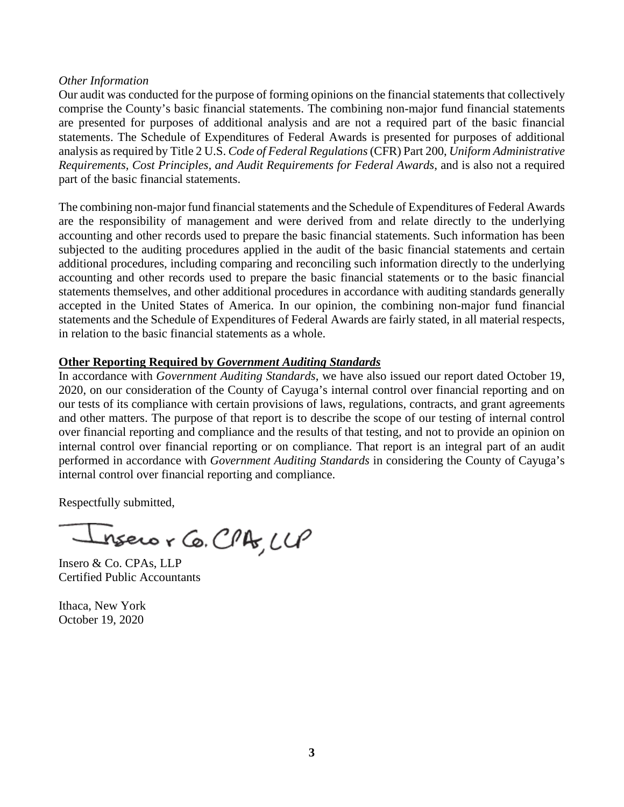#### *Other Information*

Our audit was conducted for the purpose of forming opinions on the financial statements that collectively comprise the County's basic financial statements. The combining non-major fund financial statements are presented for purposes of additional analysis and are not a required part of the basic financial statements. The Schedule of Expenditures of Federal Awards is presented for purposes of additional analysis as required by Title 2 U.S. *Code of Federal Regulations*(CFR) Part 200, *Uniform Administrative Requirements, Cost Principles, and Audit Requirements for Federal Awards*, and is also not a required part of the basic financial statements.

The combining non-major fund financial statements and the Schedule of Expenditures of Federal Awards are the responsibility of management and were derived from and relate directly to the underlying accounting and other records used to prepare the basic financial statements. Such information has been subjected to the auditing procedures applied in the audit of the basic financial statements and certain additional procedures, including comparing and reconciling such information directly to the underlying accounting and other records used to prepare the basic financial statements or to the basic financial statements themselves, and other additional procedures in accordance with auditing standards generally accepted in the United States of America. In our opinion, the combining non-major fund financial statements and the Schedule of Expenditures of Federal Awards are fairly stated, in all material respects, in relation to the basic financial statements as a whole.

### **Other Reporting Required by** *Government Auditing Standards*

In accordance with *Government Auditing Standards*, we have also issued our report dated October 19, 2020, on our consideration of the County of Cayuga's internal control over financial reporting and on our tests of its compliance with certain provisions of laws, regulations, contracts, and grant agreements and other matters. The purpose of that report is to describe the scope of our testing of internal control over financial reporting and compliance and the results of that testing, and not to provide an opinion on internal control over financial reporting or on compliance. That report is an integral part of an audit performed in accordance with *Government Auditing Standards* in considering the County of Cayuga's internal control over financial reporting and compliance.

Respectfully submitted,

nsero r Co. CPA, LLP

Insero & Co. CPAs, LLP Certified Public Accountants

Ithaca, New York October 19, 2020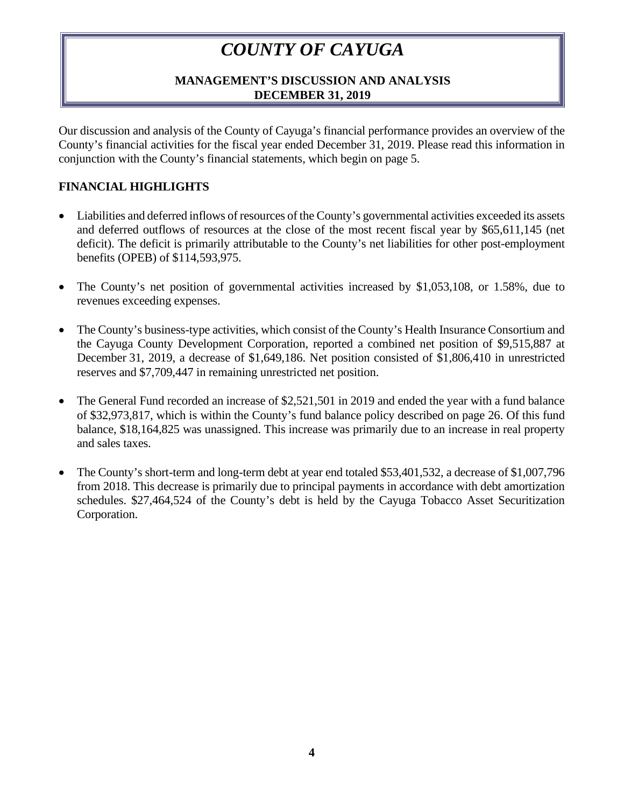## **MANAGEMENT'S DISCUSSION AND ANALYSIS DECEMBER 31, 2019**

Our discussion and analysis of the County of Cayuga's financial performance provides an overview of the County's financial activities for the fiscal year ended December 31, 2019. Please read this information in conjunction with the County's financial statements, which begin on page 5.

## **FINANCIAL HIGHLIGHTS**

- Liabilities and deferred inflows of resources of the County's governmental activities exceeded its assets and deferred outflows of resources at the close of the most recent fiscal year by \$65,611,145 (net deficit). The deficit is primarily attributable to the County's net liabilities for other post-employment benefits (OPEB) of \$114,593,975.
- The County's net position of governmental activities increased by \$1,053,108, or 1.58%, due to revenues exceeding expenses.
- The County's business-type activities, which consist of the County's Health Insurance Consortium and the Cayuga County Development Corporation, reported a combined net position of \$9,515,887 at December 31, 2019, a decrease of \$1,649,186. Net position consisted of \$1,806,410 in unrestricted reserves and \$7,709,447 in remaining unrestricted net position.
- The General Fund recorded an increase of \$2,521,501 in 2019 and ended the year with a fund balance of \$32,973,817, which is within the County's fund balance policy described on page 26. Of this fund balance, \$18,164,825 was unassigned. This increase was primarily due to an increase in real property and sales taxes.
- The County's short-term and long-term debt at year end totaled \$53,401,532, a decrease of \$1,007,796 from 2018. This decrease is primarily due to principal payments in accordance with debt amortization schedules. \$27,464,524 of the County's debt is held by the Cayuga Tobacco Asset Securitization Corporation.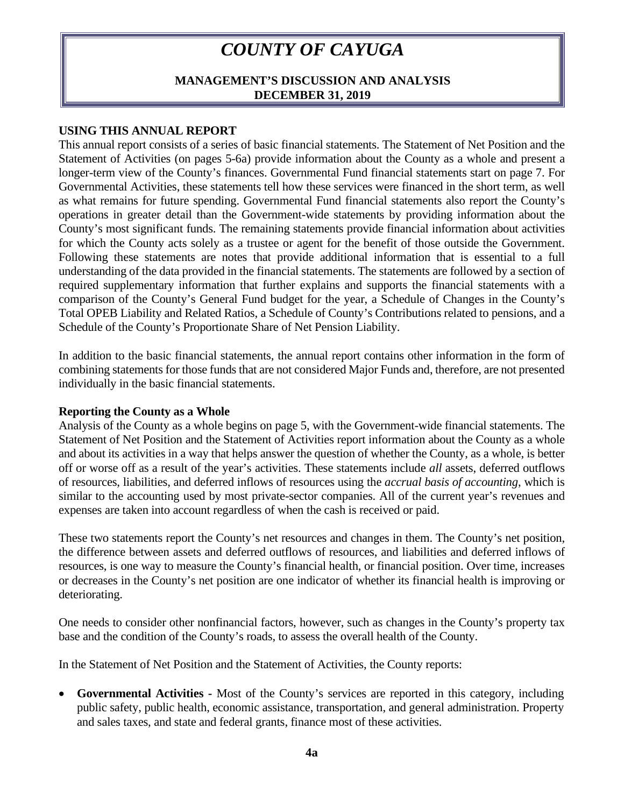## **MANAGEMENT'S DISCUSSION AND ANALYSIS DECEMBER 31, 2019**

### **USING THIS ANNUAL REPORT**

This annual report consists of a series of basic financial statements. The Statement of Net Position and the Statement of Activities (on pages 5-6a) provide information about the County as a whole and present a longer-term view of the County's finances. Governmental Fund financial statements start on page 7. For Governmental Activities, these statements tell how these services were financed in the short term, as well as what remains for future spending. Governmental Fund financial statements also report the County's operations in greater detail than the Government-wide statements by providing information about the County's most significant funds. The remaining statements provide financial information about activities for which the County acts solely as a trustee or agent for the benefit of those outside the Government. Following these statements are notes that provide additional information that is essential to a full understanding of the data provided in the financial statements. The statements are followed by a section of required supplementary information that further explains and supports the financial statements with a comparison of the County's General Fund budget for the year, a Schedule of Changes in the County's Total OPEB Liability and Related Ratios, a Schedule of County's Contributions related to pensions, and a Schedule of the County's Proportionate Share of Net Pension Liability.

In addition to the basic financial statements, the annual report contains other information in the form of combining statements for those funds that are not considered Major Funds and, therefore, are not presented individually in the basic financial statements.

#### **Reporting the County as a Whole**

Analysis of the County as a whole begins on page 5, with the Government-wide financial statements. The Statement of Net Position and the Statement of Activities report information about the County as a whole and about its activities in a way that helps answer the question of whether the County, as a whole, is better off or worse off as a result of the year's activities. These statements include *all* assets, deferred outflows of resources, liabilities, and deferred inflows of resources using the *accrual basis of accounting*, which is similar to the accounting used by most private-sector companies. All of the current year's revenues and expenses are taken into account regardless of when the cash is received or paid.

These two statements report the County's net resources and changes in them. The County's net position, the difference between assets and deferred outflows of resources, and liabilities and deferred inflows of resources, is one way to measure the County's financial health, or financial position. Over time, increases or decreases in the County's net position are one indicator of whether its financial health is improving or deteriorating.

One needs to consider other nonfinancial factors, however, such as changes in the County's property tax base and the condition of the County's roads, to assess the overall health of the County.

In the Statement of Net Position and the Statement of Activities, the County reports:

• **Governmental Activities -** Most of the County's services are reported in this category, including public safety, public health, economic assistance, transportation, and general administration. Property and sales taxes, and state and federal grants, finance most of these activities.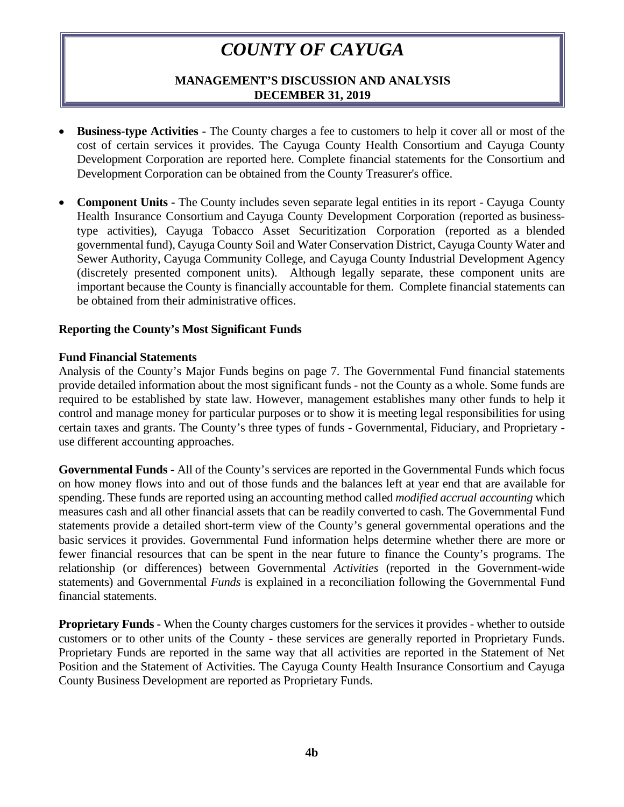## **MANAGEMENT'S DISCUSSION AND ANALYSIS DECEMBER 31, 2019**

- **Business-type Activities -** The County charges a fee to customers to help it cover all or most of the cost of certain services it provides. The Cayuga County Health Consortium and Cayuga County Development Corporation are reported here. Complete financial statements for the Consortium and Development Corporation can be obtained from the County Treasurer's office.
- **Component Units -** The County includes seven separate legal entities in its report Cayuga County Health Insurance Consortium and Cayuga County Development Corporation (reported as businesstype activities), Cayuga Tobacco Asset Securitization Corporation (reported as a blended governmental fund), Cayuga County Soil and Water Conservation District, Cayuga County Water and Sewer Authority, Cayuga Community College, and Cayuga County Industrial Development Agency (discretely presented component units). Although legally separate, these component units are important because the County is financially accountable for them. Complete financial statements can be obtained from their administrative offices.

### **Reporting the County's Most Significant Funds**

#### **Fund Financial Statements**

Analysis of the County's Major Funds begins on page 7. The Governmental Fund financial statements provide detailed information about the most significant funds - not the County as a whole. Some funds are required to be established by state law. However, management establishes many other funds to help it control and manage money for particular purposes or to show it is meeting legal responsibilities for using certain taxes and grants. The County's three types of funds - Governmental, Fiduciary, and Proprietary use different accounting approaches.

**Governmental Funds -** All of the County's services are reported in the Governmental Funds which focus on how money flows into and out of those funds and the balances left at year end that are available for spending. These funds are reported using an accounting method called *modified accrual accounting* which measures cash and all other financial assets that can be readily converted to cash. The Governmental Fund statements provide a detailed short-term view of the County's general governmental operations and the basic services it provides. Governmental Fund information helps determine whether there are more or fewer financial resources that can be spent in the near future to finance the County's programs. The relationship (or differences) between Governmental *Activities* (reported in the Government-wide statements) and Governmental *Funds* is explained in a reconciliation following the Governmental Fund financial statements.

**Proprietary Funds -** When the County charges customers for the services it provides - whether to outside customers or to other units of the County - these services are generally reported in Proprietary Funds. Proprietary Funds are reported in the same way that all activities are reported in the Statement of Net Position and the Statement of Activities. The Cayuga County Health Insurance Consortium and Cayuga County Business Development are reported as Proprietary Funds.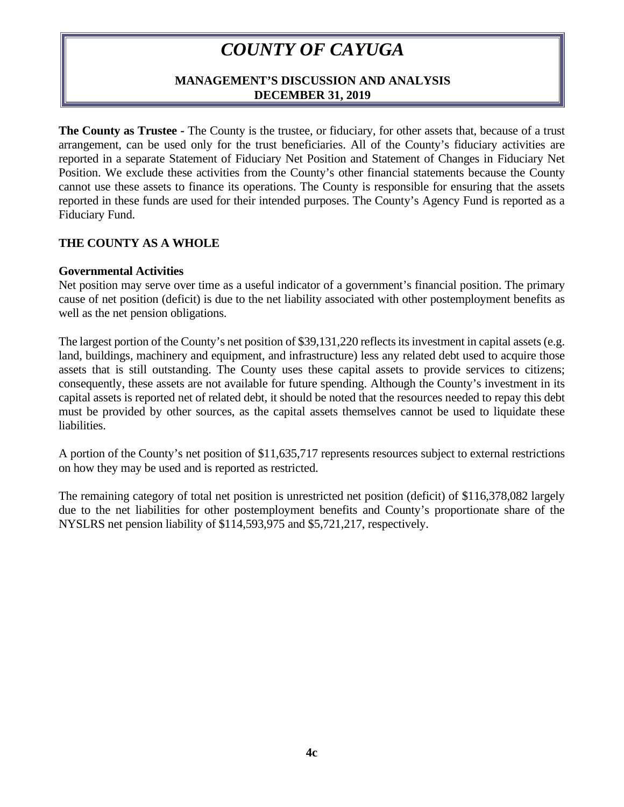## **MANAGEMENT'S DISCUSSION AND ANALYSIS DECEMBER 31, 2019**

**The County as Trustee -** The County is the trustee, or fiduciary, for other assets that, because of a trust arrangement, can be used only for the trust beneficiaries. All of the County's fiduciary activities are reported in a separate Statement of Fiduciary Net Position and Statement of Changes in Fiduciary Net Position. We exclude these activities from the County's other financial statements because the County cannot use these assets to finance its operations. The County is responsible for ensuring that the assets reported in these funds are used for their intended purposes. The County's Agency Fund is reported as a Fiduciary Fund.

### **THE COUNTY AS A WHOLE**

#### **Governmental Activities**

Net position may serve over time as a useful indicator of a government's financial position. The primary cause of net position (deficit) is due to the net liability associated with other postemployment benefits as well as the net pension obligations.

The largest portion of the County's net position of \$39,131,220 reflects its investment in capital assets (e.g. land, buildings, machinery and equipment, and infrastructure) less any related debt used to acquire those assets that is still outstanding. The County uses these capital assets to provide services to citizens; consequently, these assets are not available for future spending. Although the County's investment in its capital assets is reported net of related debt, it should be noted that the resources needed to repay this debt must be provided by other sources, as the capital assets themselves cannot be used to liquidate these liabilities.

A portion of the County's net position of \$11,635,717 represents resources subject to external restrictions on how they may be used and is reported as restricted.

The remaining category of total net position is unrestricted net position (deficit) of \$116,378,082 largely due to the net liabilities for other postemployment benefits and County's proportionate share of the NYSLRS net pension liability of \$114,593,975 and \$5,721,217, respectively.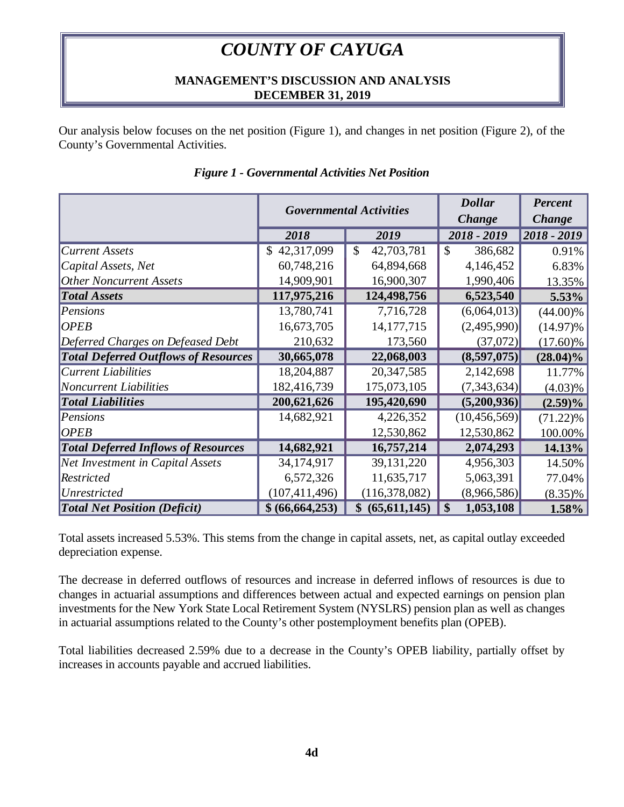## **MANAGEMENT'S DISCUSSION AND ANALYSIS DECEMBER 31, 2019**

Our analysis below focuses on the net position (Figure 1), and changes in net position (Figure 2), of the County's Governmental Activities.

|                                             |                 | <b>Governmental Activities</b> | <b>Dollar</b><br>Change | <b>Percent</b><br><b>Change</b> |
|---------------------------------------------|-----------------|--------------------------------|-------------------------|---------------------------------|
|                                             | 2018            | 2019                           | 2018 - 2019             | 2018 - 2019                     |
| <b>Current Assets</b>                       | 42,317,099      | $\mathcal{S}$<br>42,703,781    | \$<br>386,682           | 0.91%                           |
| Capital Assets, Net                         | 60,748,216      | 64,894,668                     | 4,146,452               | 6.83%                           |
| <b>Other Noncurrent Assets</b>              | 14,909,901      | 16,900,307                     | 1,990,406               | 13.35%                          |
| <b>Total Assets</b>                         | 117,975,216     | 124,498,756                    | 6,523,540               | 5.53%                           |
| Pensions                                    | 13,780,741      | 7,716,728                      | (6,064,013)             | $(44.00)\%$                     |
| OPEB                                        | 16,673,705      | 14, 177, 715                   | (2,495,990)             | $(14.97)\%$                     |
| Deferred Charges on Defeased Debt           | 210,632         | 173,560                        | (37,072)                | $(17.60)\%$                     |
| <b>Total Deferred Outflows of Resources</b> | 30,665,078      | 22,068,003                     | (8,597,075)             | $(28.04)\%$                     |
| <b>Current Liabilities</b>                  | 18,204,887      | 20, 347, 585                   | 2,142,698               | 11.77%                          |
| Noncurrent Liabilities                      | 182,416,739     | 175,073,105                    | (7,343,634)             | $(4.03)\%$                      |
| <b>Total Liabilities</b>                    | 200,621,626     | 195,420,690                    | (5,200,936)             | $(2.59)\%$                      |
| Pensions                                    | 14,682,921      | 4,226,352                      | (10, 456, 569)          | $(71.22)\%$                     |
| OPEB                                        |                 | 12,530,862                     | 12,530,862              | 100.00%                         |
| <b>Total Deferred Inflows of Resources</b>  | 14,682,921      | 16,757,214                     | 2,074,293               | 14.13%                          |
| Net Investment in Capital Assets            | 34,174,917      | 39, 131, 220                   | 4,956,303               | 14.50%                          |
| Restricted                                  | 6,572,326       | 11,635,717                     | 5,063,391               | 77.04%                          |
| Unrestricted                                | (107, 411, 496) | (116,378,082)                  | (8,966,586)             | $(8.35)\%$                      |
| <b>Total Net Position (Deficit)</b>         | \$ (66,664,253) | \$<br>(65, 611, 145)           | \$<br>1,053,108         | 1.58%                           |

## *Figure 1 - Governmental Activities Net Position*

Total assets increased 5.53%. This stems from the change in capital assets, net, as capital outlay exceeded depreciation expense.

The decrease in deferred outflows of resources and increase in deferred inflows of resources is due to changes in actuarial assumptions and differences between actual and expected earnings on pension plan investments for the New York State Local Retirement System (NYSLRS) pension plan as well as changes in actuarial assumptions related to the County's other postemployment benefits plan (OPEB).

Total liabilities decreased 2.59% due to a decrease in the County's OPEB liability, partially offset by increases in accounts payable and accrued liabilities.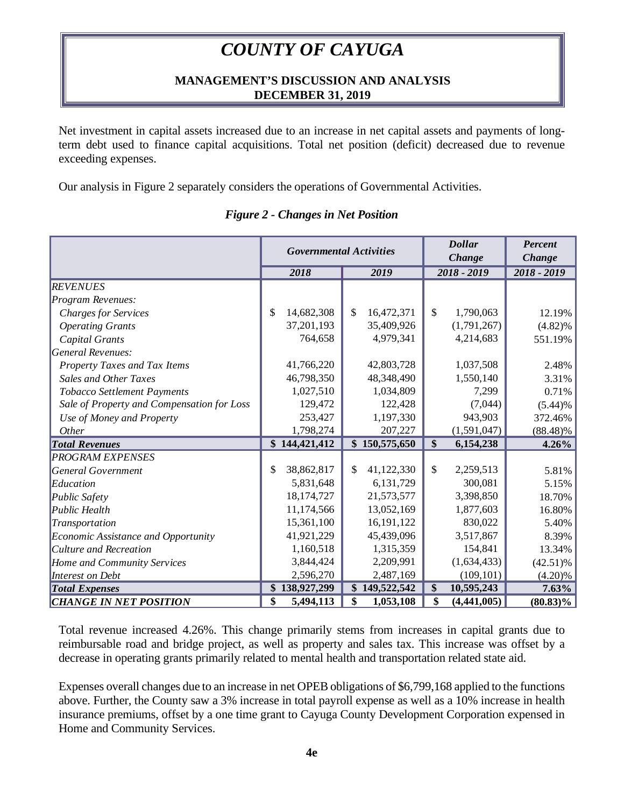## **MANAGEMENT'S DISCUSSION AND ANALYSIS DECEMBER 31, 2019**

Net investment in capital assets increased due to an increase in net capital assets and payments of longterm debt used to finance capital acquisitions. Total net position (deficit) decreased due to revenue exceeding expenses.

Our analysis in Figure 2 separately considers the operations of Governmental Activities.

|                                            | <b>Governmental Activities</b> |                  | <b>Dollar</b><br>Change       | <b>Percent</b><br>Change |
|--------------------------------------------|--------------------------------|------------------|-------------------------------|--------------------------|
|                                            | 2018                           | 2019             | 2018 - 2019                   | 2018 - 2019              |
| <b>REVENUES</b>                            |                                |                  |                               |                          |
| Program Revenues:                          |                                |                  |                               |                          |
| <b>Charges for Services</b>                | \$<br>14,682,308               | \$<br>16,472,371 | \$<br>1,790,063               | 12.19%                   |
| <b>Operating Grants</b>                    | 37,201,193                     | 35,409,926       | (1,791,267)                   | (4.82)%                  |
| Capital Grants                             | 764,658                        | 4,979,341        | 4,214,683                     | 551.19%                  |
| General Revenues:                          |                                |                  |                               |                          |
| Property Taxes and Tax Items               | 41,766,220                     | 42,803,728       | 1,037,508                     | 2.48%                    |
| <b>Sales and Other Taxes</b>               | 46,798,350                     | 48,348,490       | 1,550,140                     | 3.31%                    |
| Tobacco Settlement Payments                | 1,027,510                      | 1,034,809        | 7,299                         | 0.71%                    |
| Sale of Property and Compensation for Loss | 129,472                        | 122,428          | (7,044)                       | (5.44)%                  |
| Use of Money and Property                  | 253,427                        | 1,197,330        | 943,903                       | 372.46%                  |
| <b>Other</b>                               | 1,798,274                      | 207,227          | (1,591,047)                   | $(88.48)\%$              |
| <b>Total Revenues</b>                      | \$144,421,412                  | \$150,575,650    | $\overline{\$}$<br>6,154,238  | 4.26%                    |
| <b>PROGRAM EXPENSES</b>                    |                                |                  |                               |                          |
| <b>General Government</b>                  | \$<br>38,862,817               | \$<br>41,122,330 | \$<br>2,259,513               | 5.81%                    |
| Education                                  | 5,831,648                      | 6,131,729        | 300,081                       | 5.15%                    |
| Public Safety                              | 18,174,727                     | 21,573,577       | 3,398,850                     | 18.70%                   |
| <b>Public Health</b>                       | 11,174,566                     | 13,052,169       | 1,877,603                     | 16.80%                   |
| Transportation                             | 15,361,100                     | 16, 191, 122     | 830,022                       | 5.40%                    |
| Economic Assistance and Opportunity        | 41,921,229                     | 45,439,096       | 3,517,867                     | 8.39%                    |
| <b>Culture and Recreation</b>              | 1,160,518                      | 1,315,359        | 154,841                       | 13.34%                   |
| Home and Community Services                | 3,844,424                      | 2,209,991        | (1,634,433)                   | $(42.51)\%$              |
| Interest on Debt                           | 2,596,270                      | 2,487,169        | (109, 101)                    | $(4.20)\%$               |
| <b>Total Expenses</b>                      | 138,927,299<br>\$              | \$149,522,542    | $\overline{\$}$<br>10,595,243 | 7.63%                    |
| <b>CHANGE IN NET POSITION</b>              | \$<br>5,494,113                | \$<br>1,053,108  | \$<br>(4,441,005)             | $(80.83)\%$              |

### *Figure 2 - Changes in Net Position*

Total revenue increased 4.26%. This change primarily stems from increases in capital grants due to reimbursable road and bridge project, as well as property and sales tax. This increase was offset by a decrease in operating grants primarily related to mental health and transportation related state aid.

Expenses overall changes due to an increase in net OPEB obligations of \$6,799,168 applied to the functions above. Further, the County saw a 3% increase in total payroll expense as well as a 10% increase in health insurance premiums, offset by a one time grant to Cayuga County Development Corporation expensed in Home and Community Services.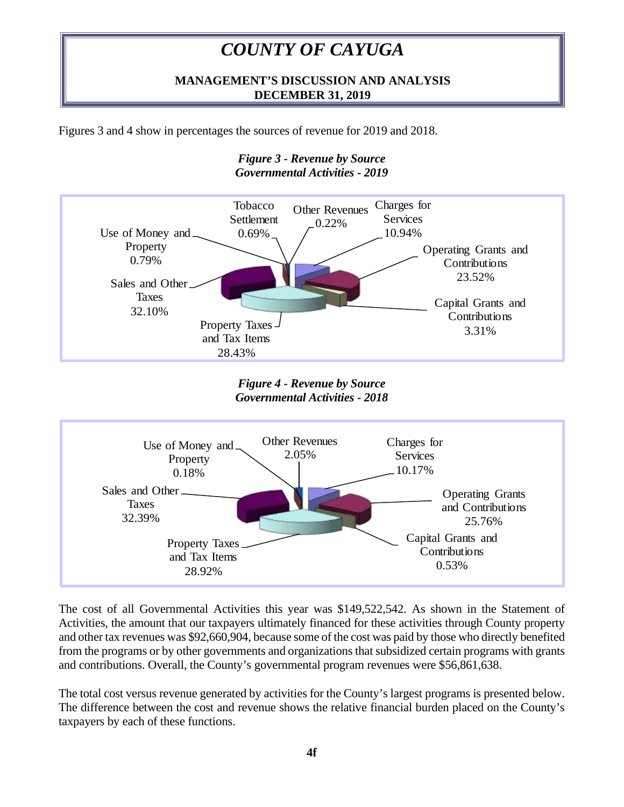## **MANAGEMENT'S DISCUSSION AND ANALYSIS DECEMBER 31, 2019**

Figures 3 and 4 show in percentages the sources of revenue for 2019 and 2018.

*Figure 3 - Revenue by Source Governmental Activities - 2019*



*Figure 4 - Revenue by Source Governmental Activities - 2018*



The cost of all Governmental Activities this year was \$149,522,542. As shown in the Statement of Activities, the amount that our taxpayers ultimately financed for these activities through County property and other tax revenues was \$92,660,904, because some of the cost was paid by those who directly benefited from the programs or by other governments and organizations that subsidized certain programs with grants and contributions. Overall, the County's governmental program revenues were \$56,861,638.

The total cost versus revenue generated by activities for the County's largest programs is presented below. The difference between the cost and revenue shows the relative financial burden placed on the County's taxpayers by each of these functions.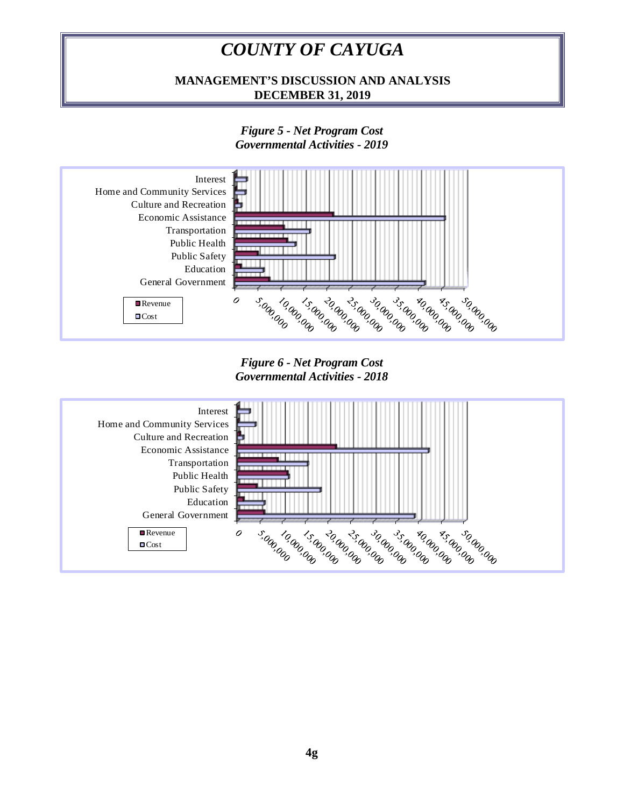### **MANAGEMENT'S DISCUSSION AND ANALYSIS DECEMBER 31, 2019**

*Figure 5 - Net Program Cost Governmental Activities - 2019*



*Figure 6 - Net Program Cost Governmental Activities - 2018*

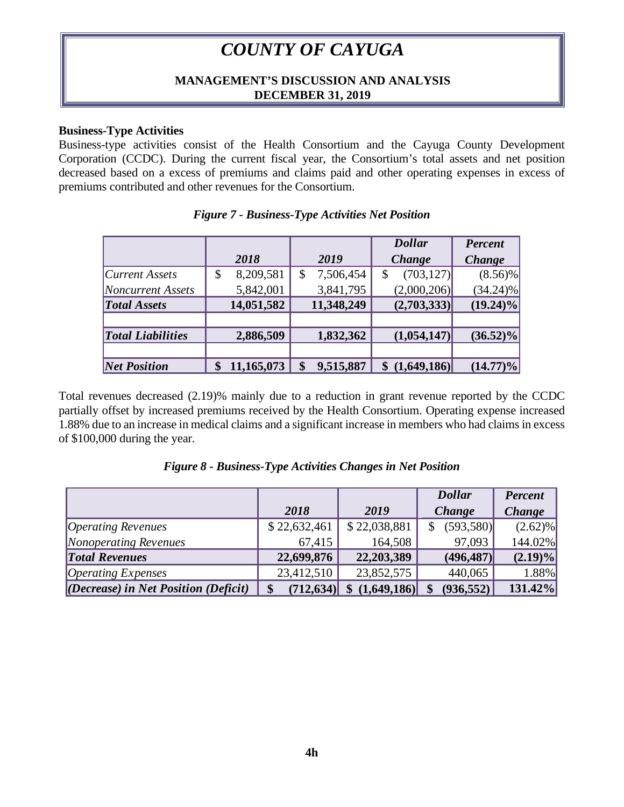### **MANAGEMENT'S DISCUSSION AND ANALYSIS DECEMBER 31, 2019**

#### **Business-Type Activities**

Business-type activities consist of the Health Consortium and the Cayuga County Development Corporation (CCDC). During the current fiscal year, the Consortium's total assets and net position decreased based on a excess of premiums and claims paid and other operating expenses in excess of premiums contributed and other revenues for the Consortium.

|                          |                  |                 | <b>Dollar</b>    | <b>Percent</b> |
|--------------------------|------------------|-----------------|------------------|----------------|
|                          | 2018             | 2019            | <b>Change</b>    | <b>Change</b>  |
| <b>Current Assets</b>    | 8,209,581<br>\$  | 7,506,454<br>\$ | (703, 127)<br>\$ | $(8.56)\%$     |
| <b>Noncurrent Assets</b> | 5,842,001        | 3,841,795       | (2,000,206)      | $(34.24)\%$    |
| <b>Total Assets</b>      | 14,051,582       | 11,348,249      | (2,703,333)      | $(19.24)\%$    |
|                          |                  |                 |                  |                |
| <b>Total Liabilities</b> | 2,886,509        | 1,832,362       | (1,054,147)      | $(36.52)\%$    |
|                          |                  |                 |                  |                |
| <b>Net Position</b>      | 11,165,073<br>\$ | 9,515,887       | (1,649,186)      | $(14.77)\%$    |

### *Figure 7 - Business-Type Activities Net Position*

Total revenues decreased (2.19)% mainly due to a reduction in grant revenue reported by the CCDC partially offset by increased premiums received by the Health Consortium. Operating expense increased 1.88% due to an increase in medical claims and a significant increase in members who had claims in excess of \$100,000 during the year.

### *Figure 8 - Business-Type Activities Changes in Net Position*

|                                          |              |              | <b>Dollar</b>    | <b>Percent</b> |
|------------------------------------------|--------------|--------------|------------------|----------------|
|                                          | 2018         | 2019         | Change           | <b>Change</b>  |
| <b>Operating Revenues</b>                | \$22,632,461 | \$22,038,881 | (593,580)        | $(2.62)\%$     |
| <b>Nonoperating Revenues</b>             | 67,415       | 164,508      | 97,093           | 144.02%        |
| <b>Total Revenues</b>                    | 22,699,876   | 22, 203, 389 | (496, 487)       | $(2.19)\%$     |
| <b>Operating Expenses</b>                | 23,412,510   | 23,852,575   | 440,065          | 1.88%          |
| $  (Decrease)$ in Net Position (Deficit) | (712, 634)   | (1,649,186)  | (936, 552)<br>\$ | 131.42%        |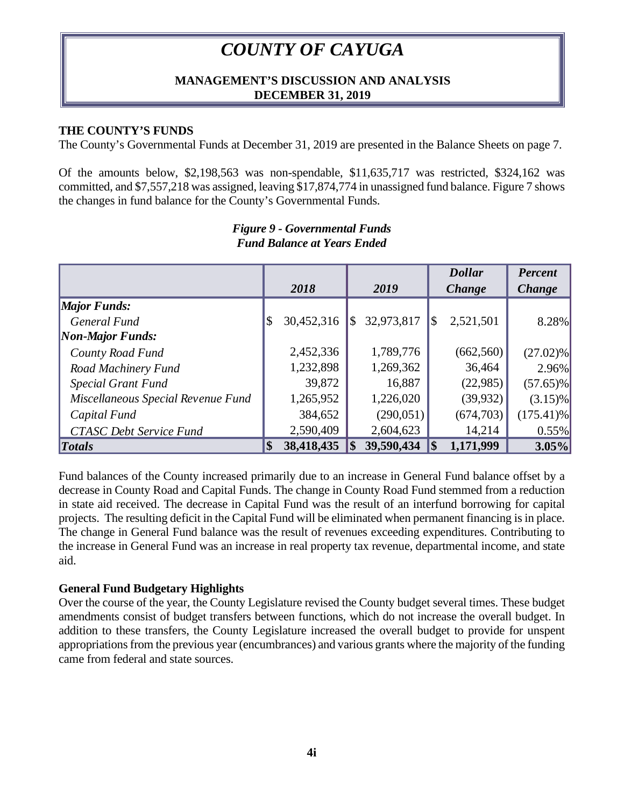## **MANAGEMENT'S DISCUSSION AND ANALYSIS DECEMBER 31, 2019**

### **THE COUNTY'S FUNDS**

The County's Governmental Funds at December 31, 2019 are presented in the Balance Sheets on page 7.

Of the amounts below, \$2,198,563 was non-spendable, \$11,635,717 was restricted, \$324,162 was committed, and \$7,557,218 was assigned, leaving \$17,874,774 in unassigned fund balance. Figure 7 shows the changes in fund balance for the County's Governmental Funds.

|                                    |                           |            |            | <b>Dollar</b>   | Percent      |
|------------------------------------|---------------------------|------------|------------|-----------------|--------------|
|                                    |                           | 2018       | 2019       | <b>Change</b>   | Change       |
| Major Funds:                       |                           |            |            |                 |              |
| General Fund                       | $\boldsymbol{\mathsf{S}}$ | 30,452,316 | 32,973,817 | \$<br>2,521,501 | 8.28%        |
| <b>Non-Major Funds:</b>            |                           |            |            |                 |              |
| County Road Fund                   |                           | 2,452,336  | 1,789,776  | (662,560)       | $(27.02)\%$  |
| Road Machinery Fund                |                           | 1,232,898  | 1,269,362  | 36,464          | 2.96%        |
| <b>Special Grant Fund</b>          |                           | 39,872     | 16,887     | (22,985)        | $(57.65)\%$  |
| Miscellaneous Special Revenue Fund |                           | 1,265,952  | 1,226,020  | (39, 932)       | $(3.15)\%$   |
| Capital Fund                       |                           | 384,652    | (290,051)  | (674, 703)      | $(175.41)\%$ |
| <b>CTASC Debt Service Fund</b>     |                           | 2,590,409  | 2,604,623  | 14,214          | $0.55\%$     |
| Totals                             | \$                        | 38,418,435 | 39,590,434 | 1,171,999       | 3.05%        |

### *Figure 9 - Governmental Funds Fund Balance at Years Ended*

Fund balances of the County increased primarily due to an increase in General Fund balance offset by a decrease in County Road and Capital Funds. The change in County Road Fund stemmed from a reduction in state aid received. The decrease in Capital Fund was the result of an interfund borrowing for capital projects. The resulting deficit in the Capital Fund will be eliminated when permanent financing is in place. The change in General Fund balance was the result of revenues exceeding expenditures. Contributing to the increase in General Fund was an increase in real property tax revenue, departmental income, and state aid.

#### **General Fund Budgetary Highlights**

Over the course of the year, the County Legislature revised the County budget several times. These budget amendments consist of budget transfers between functions, which do not increase the overall budget. In addition to these transfers, the County Legislature increased the overall budget to provide for unspent appropriations from the previous year (encumbrances) and various grants where the majority of the funding came from federal and state sources.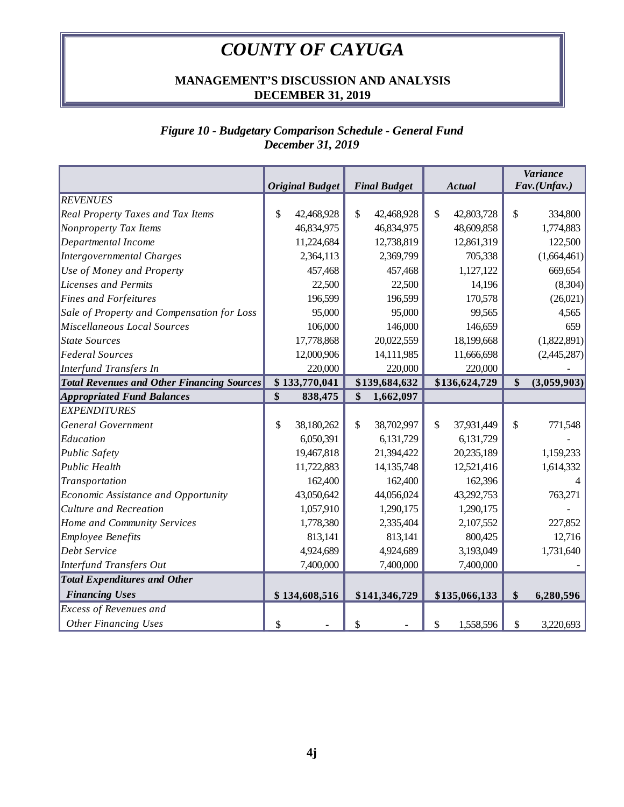## **MANAGEMENT'S DISCUSSION AND ANALYSIS DECEMBER 31, 2019**

## *Figure 10 - Budgetary Comparison Schedule - General Fund December 31, 2019*

|                                                   | <b>Original Budget</b> |                           | <b>Final Budget</b> | Actual           | <b>Variance</b><br>Fav.(Unfav.) |
|---------------------------------------------------|------------------------|---------------------------|---------------------|------------------|---------------------------------|
| <b>REVENUES</b>                                   |                        |                           |                     |                  |                                 |
| Real Property Taxes and Tax Items                 | \$<br>42,468,928       | $\boldsymbol{\mathsf{S}}$ | 42,468,928          | \$<br>42,803,728 | \$<br>334,800                   |
| <b>Nonproperty Tax Items</b>                      | 46,834,975             |                           | 46,834,975          | 48,609,858       | 1,774,883                       |
| Departmental Income                               | 11,224,684             |                           | 12,738,819          | 12,861,319       | 122,500                         |
| Intergovernmental Charges                         | 2,364,113              |                           | 2,369,799           | 705,338          | (1,664,461)                     |
| Use of Money and Property                         | 457,468                |                           | 457,468             | 1,127,122        | 669,654                         |
| <b>Licenses and Permits</b>                       | 22,500                 |                           | 22,500              | 14,196           | (8,304)                         |
| <b>Fines and Forfeitures</b>                      | 196,599                |                           | 196,599             | 170,578          | (26,021)                        |
| Sale of Property and Compensation for Loss        | 95,000                 |                           | 95,000              | 99,565           | 4,565                           |
| Miscellaneous Local Sources                       | 106,000                |                           | 146,000             | 146,659          | 659                             |
| State Sources                                     | 17,778,868             |                           | 20,022,559          | 18,199,668       | (1,822,891)                     |
| <b>Federal Sources</b>                            | 12,000,906             |                           | 14,111,985          | 11,666,698       | (2,445,287)                     |
| Interfund Transfers In                            | 220,000                |                           | 220,000             | 220,000          |                                 |
| <b>Total Revenues and Other Financing Sources</b> | \$133,770,041          |                           | \$139,684,632       | \$136,624,729    | \$<br>(3,059,903)               |
| <b>Appropriated Fund Balances</b>                 | \$<br>838,475          | \$                        | 1,662,097           |                  |                                 |
| <b>EXPENDITURES</b>                               |                        |                           |                     |                  |                                 |
| General Government                                | \$<br>38,180,262       | \$                        | 38,702,997          | \$<br>37,931,449 | \$<br>771,548                   |
| Education                                         | 6,050,391              |                           | 6,131,729           | 6,131,729        |                                 |
| <b>Public Safety</b>                              | 19,467,818             |                           | 21,394,422          | 20,235,189       | 1,159,233                       |
| <b>Public Health</b>                              | 11,722,883             |                           | 14,135,748          | 12,521,416       | 1,614,332                       |
| Transportation                                    | 162,400                |                           | 162,400             | 162,396          |                                 |
| Economic Assistance and Opportunity               | 43,050,642             |                           | 44,056,024          | 43,292,753       | 763,271                         |
| Culture and Recreation                            | 1,057,910              |                           | 1,290,175           | 1,290,175        |                                 |
| Home and Community Services                       | 1,778,380              |                           | 2,335,404           | 2,107,552        | 227,852                         |
| <b>Employee Benefits</b>                          | 813,141                |                           | 813,141             | 800,425          | 12,716                          |
| Debt Service                                      | 4,924,689              |                           | 4,924,689           | 3,193,049        | 1,731,640                       |
| <b>Interfund Transfers Out</b>                    | 7,400,000              |                           | 7,400,000           | 7,400,000        |                                 |
| <b>Total Expenditures and Other</b>               |                        |                           |                     |                  |                                 |
| <b>Financing Uses</b>                             | \$134,608,516          |                           | \$141,346,729       | \$135,066,133    | \$<br>6,280,596                 |
| <b>Excess of Revenues and</b>                     |                        |                           |                     |                  |                                 |
| <b>Other Financing Uses</b>                       | \$                     | \$                        |                     | \$<br>1,558,596  | \$<br>3,220,693                 |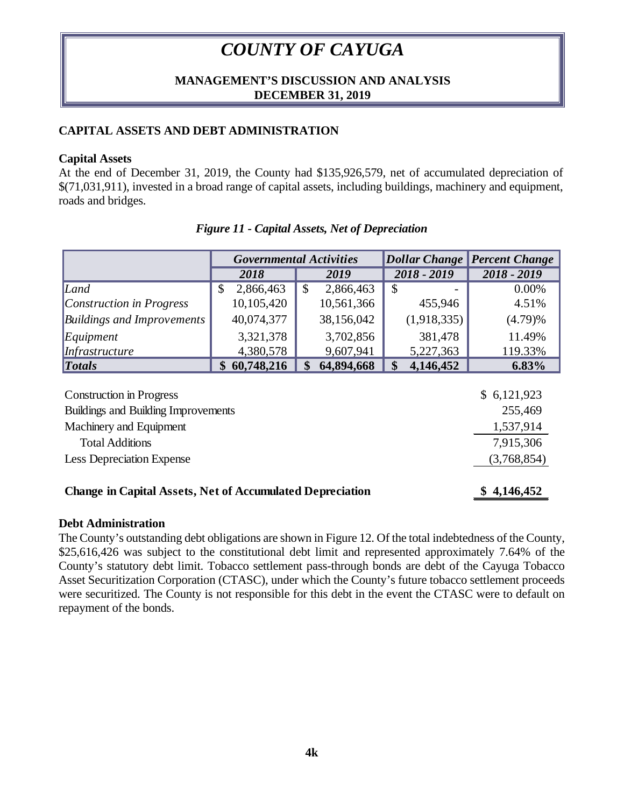### **MANAGEMENT'S DISCUSSION AND ANALYSIS DECEMBER 31, 2019**

### **CAPITAL ASSETS AND DEBT ADMINISTRATION**

#### **Capital Assets**

At the end of December 31, 2019, the County had \$135,926,579, net of accumulated depreciation of \$(71,031,911), invested in a broad range of capital assets, including buildings, machinery and equipment, roads and bridges.

|                                     | <b>Governmental Activities</b> |                            |                 | <b>Dollar Change Percent Change</b> |
|-------------------------------------|--------------------------------|----------------------------|-----------------|-------------------------------------|
|                                     | 2018                           | 2019                       | 2018 - 2019     | 2018 - 2019                         |
| Land                                | \$<br>2,866,463                | $\mathcal{S}$<br>2,866,463 | \$              | $0.00\%$                            |
| Construction in Progress            | 10,105,420                     | 10,561,366                 | 455,946         | 4.51%                               |
| <b>Buildings and Improvements</b>   | 40,074,377                     | 38,156,042                 | (1,918,335)     | (4.79)%                             |
| Equipment                           | 3,321,378                      | 3,702,856                  | 381,478         | 11.49%                              |
| Infrastructure                      | 4,380,578                      | 9,607,941                  | 5,227,363       | 119.33%                             |
| Totals                              | 60,748,216<br>\$               | 64,894,668<br>\$           | 4,146,452<br>\$ | 6.83%                               |
|                                     |                                |                            |                 |                                     |
| <b>Construction in Progress</b>     |                                |                            |                 | \$6,121,923                         |
| Buildings and Building Improvements |                                |                            |                 | 255,469                             |
| Machinery and Equipment             |                                |                            |                 | 1,537,914                           |
| <b>Total Additions</b>              | 7,915,306                      |                            |                 |                                     |
| <b>Less Depreciation Expense</b>    |                                |                            |                 | (3,768,854)                         |

#### *Figure 11 - Capital Assets, Net of Depreciation*

## **Change in Capital Assets, Net of Accumulated Depreciation \$ 4,146,452**

#### **Debt Administration**

The County's outstanding debt obligations are shown in Figure 12. Of the total indebtedness of the County, \$25,616,426 was subject to the constitutional debt limit and represented approximately 7.64% of the County's statutory debt limit. Tobacco settlement pass-through bonds are debt of the Cayuga Tobacco Asset Securitization Corporation (CTASC), under which the County's future tobacco settlement proceeds were securitized. The County is not responsible for this debt in the event the CTASC were to default on repayment of the bonds.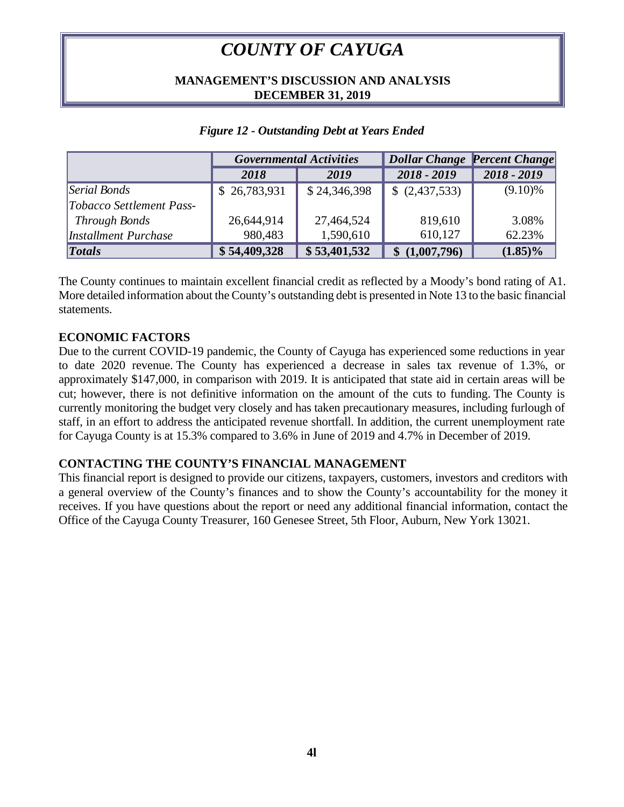## **MANAGEMENT'S DISCUSSION AND ANALYSIS DECEMBER 31, 2019**

|                             | <b>Governmental Activities</b> |              | <b>Dollar Change</b> | <b>Percent Change</b> |
|-----------------------------|--------------------------------|--------------|----------------------|-----------------------|
|                             | 2018                           | 2019         | 2018 - 2019          | 2018 - 2019           |
| Serial Bonds                | \$26,783,931                   | \$24,346,398 | (2,437,533)          | $(9.10)\%$            |
| Tobacco Settlement Pass-    |                                |              |                      |                       |
| <b>Through Bonds</b>        | 26,644,914                     | 27,464,524   | 819,610              | 3.08%                 |
| <b>Installment Purchase</b> | 980,483                        | 1,590,610    | 610,127              | 62.23%                |
| $\sqrt{T}$ Totals           | \$54,409,328                   | \$53,401,532 | (1,007,796)          | $(1.85)\%$            |

### *Figure 12 - Outstanding Debt at Years Ended*

The County continues to maintain excellent financial credit as reflected by a Moody's bond rating of A1. More detailed information about the County's outstanding debt is presented in Note 13 to the basic financial statements.

## **ECONOMIC FACTORS**

Due to the current COVID-19 pandemic, the County of Cayuga has experienced some reductions in year to date 2020 revenue. The County has experienced a decrease in sales tax revenue of 1.3%, or approximately \$147,000, in comparison with 2019. It is anticipated that state aid in certain areas will be cut; however, there is not definitive information on the amount of the cuts to funding. The County is currently monitoring the budget very closely and has taken precautionary measures, including furlough of staff, in an effort to address the anticipated revenue shortfall. In addition, the current unemployment rate for Cayuga County is at 15.3% compared to 3.6% in June of 2019 and 4.7% in December of 2019.

## **CONTACTING THE COUNTY'S FINANCIAL MANAGEMENT**

This financial report is designed to provide our citizens, taxpayers, customers, investors and creditors with a general overview of the County's finances and to show the County's accountability for the money it receives. If you have questions about the report or need any additional financial information, contact the Office of the Cayuga County Treasurer, 160 Genesee Street, 5th Floor, Auburn, New York 13021.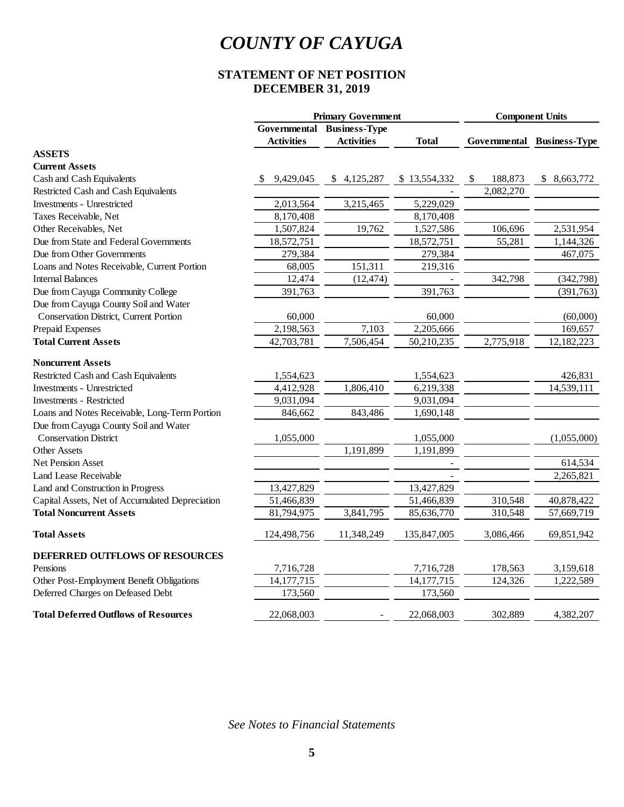## **STATEMENT OF NET POSITION DECEMBER 31, 2019**

|                                                 | <b>Primary Government</b> |                                   |              | <b>Component Units</b> |                            |  |
|-------------------------------------------------|---------------------------|-----------------------------------|--------------|------------------------|----------------------------|--|
|                                                 |                           | <b>Governmental Business-Type</b> |              |                        |                            |  |
|                                                 | <b>Activities</b>         | <b>Activities</b>                 | <b>Total</b> |                        | Governmental Business-Type |  |
| <b>ASSETS</b>                                   |                           |                                   |              |                        |                            |  |
| <b>Current Assets</b>                           |                           |                                   |              |                        |                            |  |
| Cash and Cash Equivalents                       | 9,429,045                 | 4,125,287<br>S.                   | \$13,554,332 | 188,873<br>\$          | \$8,663,772                |  |
| Restricted Cash and Cash Equivalents            |                           |                                   |              | 2,082,270              |                            |  |
| <b>Investments - Unrestricted</b>               | 2,013,564                 | 3,215,465                         | 5,229,029    |                        |                            |  |
| Taxes Receivable, Net                           | 8,170,408                 |                                   | 8,170,408    |                        |                            |  |
| Other Receivables, Net                          | 1,507,824                 | 19,762                            | 1,527,586    | 106,696                | 2,531,954                  |  |
| Due from State and Federal Governments          | 18,572,751                |                                   | 18,572,751   | 55,281                 | 1,144,326                  |  |
| Due from Other Governments                      | 279,384                   |                                   | 279,384      |                        | 467,075                    |  |
| Loans and Notes Receivable, Current Portion     | 68,005                    | 151,311                           | 219,316      |                        |                            |  |
| <b>Internal Balances</b>                        | 12,474                    | (12, 474)                         |              | 342,798                | (342, 798)                 |  |
| Due from Cayuga Community College               | 391,763                   |                                   | 391,763      |                        | (391, 763)                 |  |
| Due from Cayuga County Soil and Water           |                           |                                   |              |                        |                            |  |
| <b>Conservation District, Current Portion</b>   | 60,000                    |                                   | 60,000       |                        | (60,000)                   |  |
| Prepaid Expenses                                | 2,198,563                 | 7,103                             | 2,205,666    |                        | 169,657                    |  |
| <b>Total Current Assets</b>                     | 42,703,781                | 7,506,454                         | 50,210,235   | 2,775,918              | 12,182,223                 |  |
| <b>Noncurrent Assets</b>                        |                           |                                   |              |                        |                            |  |
| Restricted Cash and Cash Equivalents            | 1,554,623                 |                                   | 1,554,623    |                        | 426,831                    |  |
| Investments - Unrestricted                      | 4,412,928                 | 1,806,410                         | 6,219,338    |                        | 14,539,111                 |  |
| <b>Investments - Restricted</b>                 | 9,031,094                 |                                   | 9,031,094    |                        |                            |  |
| Loans and Notes Receivable, Long-Term Portion   | 846,662                   | 843,486                           | 1,690,148    |                        |                            |  |
| Due from Cayuga County Soil and Water           |                           |                                   |              |                        |                            |  |
| <b>Conservation District</b>                    | 1,055,000                 |                                   | 1,055,000    |                        | (1,055,000)                |  |
| <b>Other Assets</b>                             |                           | 1,191,899                         | 1,191,899    |                        |                            |  |
| Net Pension Asset                               |                           |                                   |              |                        | 614,534                    |  |
| Land Lease Receivable                           |                           |                                   |              |                        | 2,265,821                  |  |
| Land and Construction in Progress               | 13,427,829                |                                   | 13,427,829   |                        |                            |  |
| Capital Assets, Net of Accumulated Depreciation | 51,466,839                |                                   | 51,466,839   | 310,548                | 40,878,422                 |  |
| <b>Total Noncurrent Assets</b>                  | 81,794,975                | 3,841,795                         | 85,636,770   | 310,548                | 57,669,719                 |  |
| <b>Total Assets</b>                             | 124,498,756               | 11,348,249                        | 135,847,005  | 3,086,466              | 69,851,942                 |  |
| DEFERRED OUTFLOWS OF RESOURCES                  |                           |                                   |              |                        |                            |  |
| Pensions                                        | 7,716,728                 |                                   | 7,716,728    | 178,563                | 3,159,618                  |  |
| Other Post-Employment Benefit Obligations       | 14,177,715                |                                   | 14, 177, 715 | 124,326                | 1,222,589                  |  |
| Deferred Charges on Defeased Debt               | 173,560                   |                                   | 173,560      |                        |                            |  |
| <b>Total Deferred Outflows of Resources</b>     | 22,068,003                |                                   | 22,068,003   | 302,889                | 4,382,207                  |  |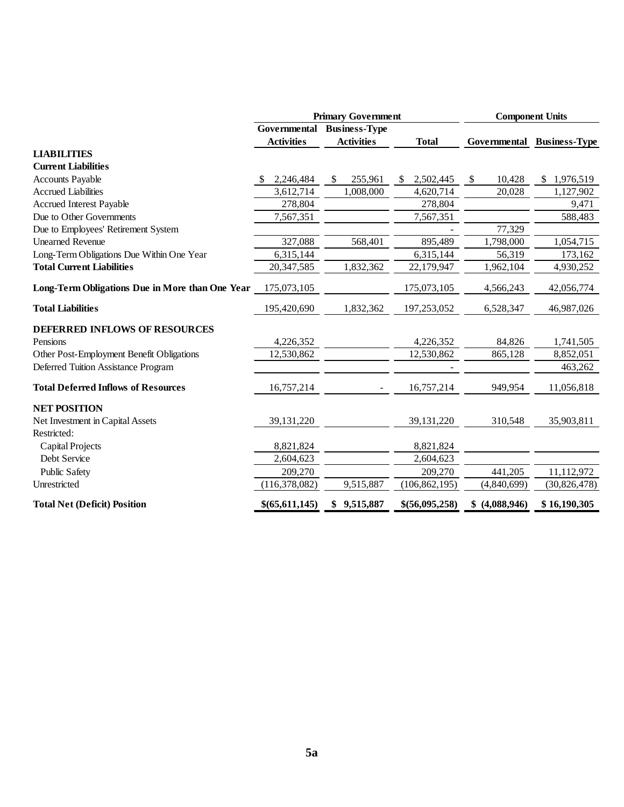|                                                 |                   | <b>Primary Government</b> |                  | <b>Component Units</b> |                            |
|-------------------------------------------------|-------------------|---------------------------|------------------|------------------------|----------------------------|
|                                                 | Governmental      | <b>Business-Type</b>      |                  |                        |                            |
|                                                 | <b>Activities</b> | <b>Activities</b>         | <b>Total</b>     |                        | Governmental Business-Type |
| <b>LIABILITIES</b>                              |                   |                           |                  |                        |                            |
| <b>Current Liabilities</b>                      |                   |                           |                  |                        |                            |
| <b>Accounts Payable</b>                         | 2,246,484         | 255,961<br>S.             | 2,502,445<br>\$. | \$<br>10,428           | 1,976,519<br>\$            |
| <b>Accrued Liabilities</b>                      | 3,612,714         | 1,008,000                 | 4,620,714        | 20,028                 | 1,127,902                  |
| Accrued Interest Payable                        | 278,804           |                           | 278,804          |                        | 9,471                      |
| Due to Other Governments                        | 7,567,351         |                           | 7,567,351        |                        | 588,483                    |
| Due to Employees' Retirement System             |                   |                           |                  | 77,329                 |                            |
| <b>Unearned Revenue</b>                         | 327,088           | 568,401                   | 895,489          | 1,798,000              | 1,054,715                  |
| Long-Term Obligations Due Within One Year       | 6,315,144         |                           | 6,315,144        | 56,319                 | 173,162                    |
| <b>Total Current Liabilities</b>                | 20,347,585        | 1,832,362                 | 22,179,947       | 1,962,104              | 4,930,252                  |
| Long-Term Obligations Due in More than One Year | 175,073,105       |                           | 175,073,105      | 4,566,243              | 42,056,774                 |
| <b>Total Liabilities</b>                        | 195,420,690       | 1,832,362                 | 197,253,052      | 6,528,347              | 46,987,026                 |
| DEFERRED INFLOWS OF RESOURCES                   |                   |                           |                  |                        |                            |
| Pensions                                        | 4,226,352         |                           | 4,226,352        | 84,826                 | 1,741,505                  |
| Other Post-Employment Benefit Obligations       | 12,530,862        |                           | 12,530,862       | 865,128                | 8,852,051                  |
| Deferred Tuition Assistance Program             |                   |                           |                  |                        | 463,262                    |
| <b>Total Deferred Inflows of Resources</b>      | 16,757,214        |                           | 16,757,214       | 949,954                | 11,056,818                 |
| <b>NET POSITION</b>                             |                   |                           |                  |                        |                            |
| Net Investment in Capital Assets                | 39,131,220        |                           | 39,131,220       | 310,548                | 35,903,811                 |
| Restricted:                                     |                   |                           |                  |                        |                            |
| <b>Capital Projects</b>                         | 8,821,824         |                           | 8,821,824        |                        |                            |
| Debt Service                                    | 2,604,623         |                           | 2,604,623        |                        |                            |
| <b>Public Safety</b>                            | 209,270           |                           | 209,270          | 441,205                | 11,112,972                 |
| Unrestricted                                    | (116, 378, 082)   | 9,515,887                 | (106, 862, 195)  | (4,840,699)            | (30, 826, 478)             |
| <b>Total Net (Deficit) Position</b>             | \$(65,611,145)    | 9,515,887<br>\$           | \$(56,095,258)   | \$ (4,088,946)         | \$16,190,305               |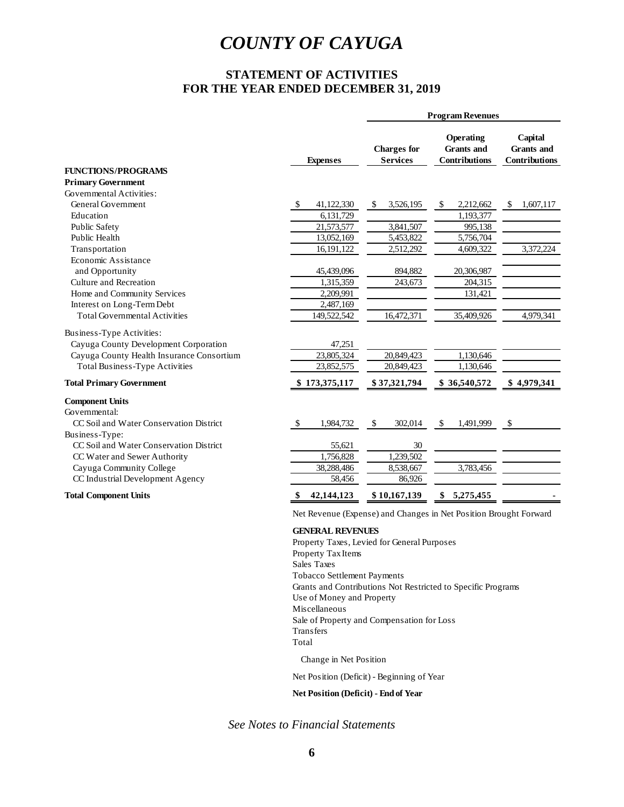## **STATEMENT OF ACTIVITIES FOR THE YEAR ENDED DECEMBER 31, 2019**

|                           |                                                        | <b>Program Revenues</b>                                |                                                      |
|---------------------------|--------------------------------------------------------|--------------------------------------------------------|------------------------------------------------------|
| <b>Expenses</b>           | <b>Charges for</b><br><b>Services</b>                  | Operating<br><b>Grants</b> and<br><b>Contributions</b> | Capital<br><b>Grants</b> and<br><b>Contributions</b> |
|                           |                                                        |                                                        |                                                      |
|                           |                                                        |                                                        |                                                      |
|                           |                                                        |                                                        |                                                      |
|                           |                                                        | S                                                      | 1,607,117<br>\$                                      |
|                           |                                                        |                                                        |                                                      |
|                           |                                                        |                                                        |                                                      |
| 13,052,169                | 5,453,822                                              | 5,756,704                                              |                                                      |
| 16, 191, 122              | 2,512,292                                              | 4,609,322                                              | 3,372,224                                            |
|                           |                                                        |                                                        |                                                      |
| 45,439,096                | 894,882                                                | 20,306,987                                             |                                                      |
| 1,315,359                 | 243,673                                                | 204,315                                                |                                                      |
| 2,209,991                 |                                                        | 131,421                                                |                                                      |
| 2,487,169                 |                                                        |                                                        |                                                      |
| 149,522,542               | 16,472,371                                             | 35,409,926                                             | 4,979,341                                            |
|                           |                                                        |                                                        |                                                      |
| 47,251                    |                                                        |                                                        |                                                      |
| 23,805,324                | 20,849,423                                             | 1,130,646                                              |                                                      |
| 23,852,575                | 20,849,423                                             | 1,130,646                                              |                                                      |
| \$173,375,117             | \$37,321,794                                           | \$36,540,572                                           | \$4,979,341                                          |
|                           |                                                        |                                                        |                                                      |
|                           |                                                        |                                                        |                                                      |
| $\mathbb{S}$<br>1,984,732 | 302,014<br>$\mathbb{S}$                                | \$<br>1,491,999                                        | \$                                                   |
|                           |                                                        |                                                        |                                                      |
| 55,621                    | 30                                                     |                                                        |                                                      |
| 1,756,828                 | 1,239,502                                              |                                                        |                                                      |
| 38,288,486                | 8,538,667                                              |                                                        |                                                      |
| 58,456                    | 86,926                                                 |                                                        |                                                      |
| \$<br>42,144,123          | \$10,167,139                                           | 5,275,455<br>\$                                        |                                                      |
|                           | $\mathcal{S}$<br>41,122,330<br>6,131,729<br>21,573,577 | \$<br>3,526,195<br>3,841,507                           | 2,212,662<br>1,193,377<br>995,138<br>3,783,456       |

**GENERAL REVENUES**

Property Taxes, Levied for General Purposes Property Tax Items Sales Taxes Tobacco Settlement Payments Grants and Contributions Not Restricted to Specific Programs Use of Money and Property Miscellaneous Sale of Property and Compensation for Loss Transfers Total

Change in Net Position

Net Position (Deficit) - Beginning of Year

**Net Position (Deficit) - End of Year**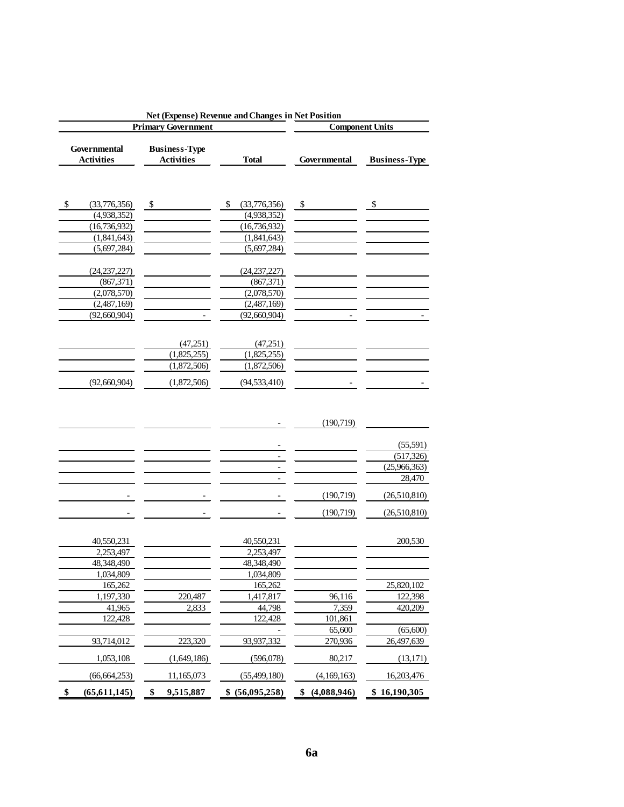|                                   | <b>Primary Government</b>                              | <b>Net (Expense) Revenue and Changes in Net Position</b> | <b>Component Units</b> |                        |  |
|-----------------------------------|--------------------------------------------------------|----------------------------------------------------------|------------------------|------------------------|--|
| Governmental<br><b>Activities</b> | <b>Business-Type</b><br><b>Activities</b>              | <b>Total</b>                                             | Governmental           | <b>Business-Type</b>   |  |
| \$<br>(33,776,356)<br>(4,938,352) | \$                                                     | \$<br>(33,776,356)<br>(4,938,352)                        | \$                     | \$                     |  |
| (16, 736, 932)                    |                                                        | (16, 736, 932)                                           |                        |                        |  |
| (1,841,643)                       |                                                        | (1,841,643)                                              |                        |                        |  |
| (5,697,284)                       |                                                        | (5,697,284)                                              |                        |                        |  |
| (24, 237, 227)                    |                                                        | (24, 237, 227)                                           |                        |                        |  |
| (867, 371)                        |                                                        | (867, 371)                                               |                        |                        |  |
| (2,078,570)                       |                                                        | (2,078,570)                                              |                        |                        |  |
| (2,487,169)                       |                                                        | (2,487,169)                                              |                        |                        |  |
| (92,660,904)                      |                                                        | (92,660,904)                                             |                        |                        |  |
|                                   | (47,251)                                               | (47,251)                                                 |                        |                        |  |
|                                   | (1,825,255)                                            | (1,825,255)                                              |                        |                        |  |
|                                   | (1,872,506)                                            | (1,872,506)                                              |                        |                        |  |
| (92,660,904)                      | (1,872,506)                                            | (94, 533, 410)                                           |                        |                        |  |
|                                   |                                                        |                                                          | (190, 719)             |                        |  |
|                                   |                                                        |                                                          |                        |                        |  |
|                                   |                                                        |                                                          |                        | (55,591)               |  |
|                                   |                                                        |                                                          |                        | (517, 326)             |  |
|                                   |                                                        | $\blacksquare$                                           |                        | (25,966,363)<br>28,470 |  |
|                                   |                                                        |                                                          | (190, 719)             | (26,510,810)           |  |
|                                   |                                                        |                                                          | (190, 719)             | (26,510,810)           |  |
| 40,550,231                        |                                                        | 40,550,231                                               |                        | 200,530                |  |
| 2,253,497                         |                                                        | 2,253,497                                                |                        |                        |  |
| 48,348,490                        |                                                        | 48,348,490                                               |                        |                        |  |
| 1,034,809                         |                                                        | 1,034,809                                                |                        |                        |  |
| 165,262                           |                                                        | 165,262                                                  |                        | 25,820,102             |  |
| 1,197,330                         | 220,487                                                | 1,417,817                                                | 96,116                 | 122,398                |  |
| 41,965                            | 2,833                                                  | 44,798                                                   | 7,359                  | 420,209                |  |
| 122,428                           |                                                        | 122,428                                                  | 101,861                |                        |  |
|                                   |                                                        |                                                          | 65,600                 | (65,600)               |  |
| 93,714,012                        | 223,320                                                | 93,937,332                                               | 270,936                | 26,497,639             |  |
| 1,053,108                         | (1,649,186)                                            | (596,078)                                                | 80,217                 | (13,171)               |  |
| (66, 664, 253)                    | 11,165,073                                             | (55, 499, 180)                                           | (4,169,163)            | 16,203,476             |  |
| (65, 611, 145)<br><u>\$</u>       | 9,515,887<br>$\frac{\textstyle \bullet}{\textstyle 2}$ | \$ (56,095,258)                                          | \$<br>(4,088,946)      | \$16,190,305           |  |

**6a**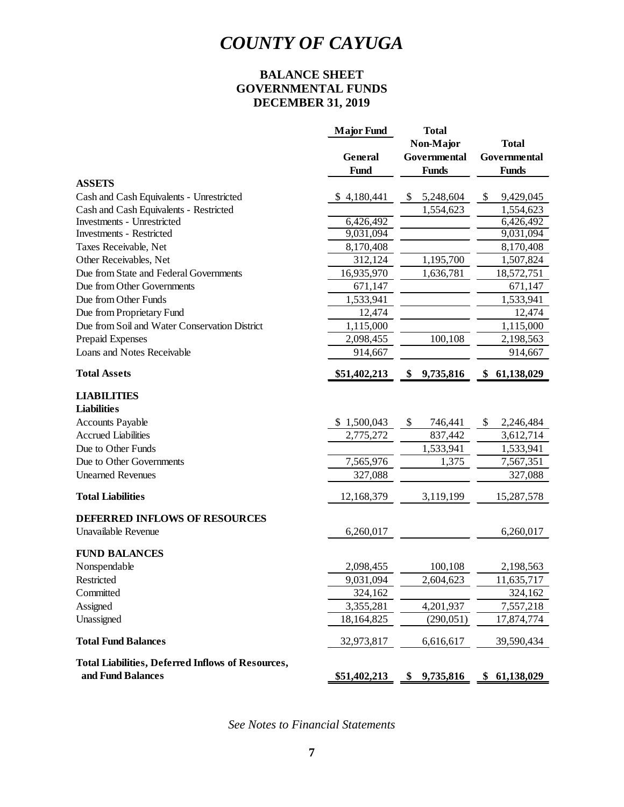## **BALANCE SHEET GOVERNMENTAL FUNDS DECEMBER 31, 2019**

|                                                                               | <b>Major Fund</b> | <b>Total</b>     |                  |
|-------------------------------------------------------------------------------|-------------------|------------------|------------------|
|                                                                               |                   | Non-Major        | <b>Total</b>     |
|                                                                               | General           | Governmental     | Governmental     |
|                                                                               | Fund              | <b>Funds</b>     | <b>Funds</b>     |
| <b>ASSETS</b>                                                                 |                   |                  |                  |
| Cash and Cash Equivalents - Unrestricted                                      | \$4,180,441       | \$<br>5,248,604  | \$<br>9,429,045  |
| Cash and Cash Equivalents - Restricted                                        |                   | 1,554,623        | 1,554,623        |
| <b>Investments - Unrestricted</b>                                             | 6,426,492         |                  | 6,426,492        |
| <b>Investments - Restricted</b>                                               | 9,031,094         |                  | 9,031,094        |
| Taxes Receivable, Net                                                         | 8,170,408         |                  | 8,170,408        |
| Other Receivables, Net                                                        | 312,124           | 1,195,700        | 1,507,824        |
| Due from State and Federal Governments                                        | 16,935,970        | 1,636,781        | 18,572,751       |
| Due from Other Governments                                                    | 671,147           |                  | 671,147          |
| Due from Other Funds                                                          | 1,533,941         |                  | 1,533,941        |
| Due from Proprietary Fund                                                     | 12,474            |                  | 12,474           |
| Due from Soil and Water Conservation District                                 | 1,115,000         |                  | 1,115,000        |
| Prepaid Expenses                                                              | 2,098,455         | 100,108          | 2,198,563        |
| Loans and Notes Receivable                                                    | 914,667           |                  | 914,667          |
|                                                                               |                   |                  |                  |
| <b>Total Assets</b>                                                           | \$51,402,213      | 9,735,816<br>SS. | \$<br>61,138,029 |
| <b>LIABILITIES</b>                                                            |                   |                  |                  |
| <b>Liabilities</b>                                                            |                   |                  |                  |
| <b>Accounts Payable</b>                                                       | \$1,500,043       | \$<br>746,441    | \$<br>2,246,484  |
| <b>Accrued Liabilities</b>                                                    | 2,775,272         | 837,442          | 3,612,714        |
| Due to Other Funds                                                            |                   | 1,533,941        | 1,533,941        |
| Due to Other Governments                                                      | 7,565,976         | 1,375            | 7,567,351        |
| <b>Unearned Revenues</b>                                                      | 327,088           |                  | 327,088          |
|                                                                               |                   |                  |                  |
| <b>Total Liabilities</b>                                                      | 12,168,379        | 3,119,199        | 15,287,578       |
| <b>DEFERRED INFLOWS OF RESOURCES</b>                                          |                   |                  |                  |
| Unavailable Revenue                                                           | 6,260,017         |                  | 6,260,017        |
|                                                                               |                   |                  |                  |
| <b>FUND BALANCES</b>                                                          |                   |                  |                  |
| Nonspendable                                                                  | 2,098,455         | 100,108          | 2,198,563        |
| Restricted                                                                    | 9,031,094         | 2,604,623        | 11,635,717       |
| Committed                                                                     | 324,162           |                  | 324,162          |
| Assigned                                                                      | 3,355,281         | 4,201,937        | 7,557,218        |
| Unassigned                                                                    | 18,164,825        | (290, 051)       | 17,874,774       |
| <b>Total Fund Balances</b>                                                    | 32,973,817        | 6,616,617        | 39,590,434       |
|                                                                               |                   |                  |                  |
| <b>Total Liabilities, Deferred Inflows of Resources,</b><br>and Fund Balances |                   |                  |                  |
|                                                                               | \$51,402,213      | \$<br>9,735,816  | \$<br>61,138,029 |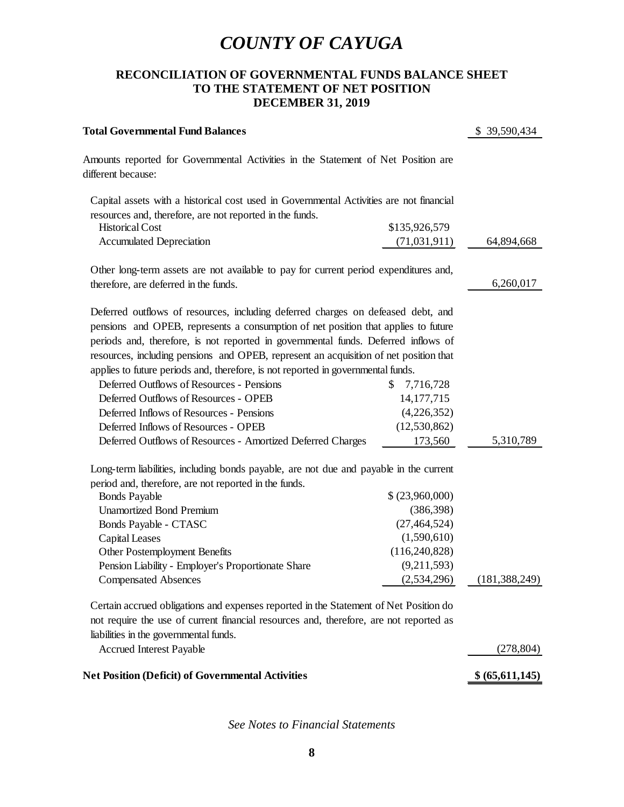## **RECONCILIATION OF GOVERNMENTAL FUNDS BALANCE SHEET TO THE STATEMENT OF NET POSITION DECEMBER 31, 2019**

| <b>Total Governmental Fund Balances</b>                                                                 |                 | \$39,590,434    |
|---------------------------------------------------------------------------------------------------------|-----------------|-----------------|
| Amounts reported for Governmental Activities in the Statement of Net Position are<br>different because: |                 |                 |
| Capital assets with a historical cost used in Governmental Activities are not financial                 |                 |                 |
| resources and, therefore, are not reported in the funds.                                                |                 |                 |
| <b>Historical Cost</b>                                                                                  | \$135,926,579   |                 |
| <b>Accumulated Depreciation</b>                                                                         | (71, 031, 911)  | 64,894,668      |
| Other long-term assets are not available to pay for current period expenditures and,                    |                 |                 |
| therefore, are deferred in the funds.                                                                   |                 | 6,260,017       |
| Deferred outflows of resources, including deferred charges on defeased debt, and                        |                 |                 |
| pensions and OPEB, represents a consumption of net position that applies to future                      |                 |                 |
| periods and, therefore, is not reported in governmental funds. Deferred inflows of                      |                 |                 |
| resources, including pensions and OPEB, represent an acquisition of net position that                   |                 |                 |
| applies to future periods and, therefore, is not reported in governmental funds.                        |                 |                 |
| Deferred Outflows of Resources - Pensions                                                               | 7,716,728<br>S. |                 |
| Deferred Outflows of Resources - OPEB                                                                   | 14, 177, 715    |                 |
| Deferred Inflows of Resources - Pensions                                                                | (4,226,352)     |                 |
| Deferred Inflows of Resources - OPEB                                                                    | (12,530,862)    |                 |
| Deferred Outflows of Resources - Amortized Deferred Charges                                             | 173,560         | 5,310,789       |
| Long-term liabilities, including bonds payable, are not due and payable in the current                  |                 |                 |
| period and, therefore, are not reported in the funds.                                                   |                 |                 |
| <b>Bonds Payable</b>                                                                                    | \$ (23,960,000) |                 |
| <b>Unamortized Bond Premium</b>                                                                         | (386, 398)      |                 |
| Bonds Payable - CTASC                                                                                   | (27, 464, 524)  |                 |
| <b>Capital Leases</b>                                                                                   | (1,590,610)     |                 |
| Other Postemployment Benefits                                                                           | (116, 240, 828) |                 |
| Pension Liability - Employer's Proportionate Share                                                      | (9,211,593)     |                 |
| <b>Compensated Absences</b>                                                                             | (2,534,296)     | (181, 388, 249) |
| Certain accrued obligations and expenses reported in the Statement of Net Position do                   |                 |                 |
| not require the use of current financial resources and, therefore, are not reported as                  |                 |                 |
| liabilities in the governmental funds.                                                                  |                 |                 |
| Accrued Interest Payable                                                                                |                 | (278, 804)      |
| Net Position (Deficit) of Governmental Activities                                                       |                 | \$(65,611,145)  |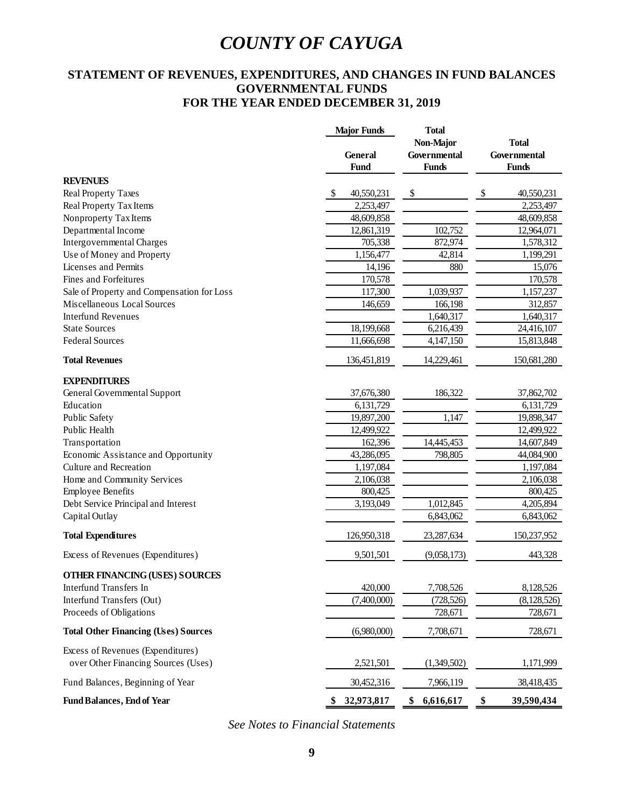## **STATEMENT OF REVENUES, EXPENDITURES, AND CHANGES IN FUND BALANCES GOVERNMENTAL FUNDS FOR THE YEAR ENDED DECEMBER 31, 2019**

|                                                                          | <b>Major Funds</b><br><b>General</b><br><b>Fund</b> | <b>Total</b><br>Non-Major<br>Governmental<br><b>Funds</b> | <b>Total</b><br>Governmental<br><b>Funds</b> |  |
|--------------------------------------------------------------------------|-----------------------------------------------------|-----------------------------------------------------------|----------------------------------------------|--|
| <b>REVENUES</b>                                                          |                                                     |                                                           |                                              |  |
| <b>Real Property Taxes</b>                                               | \$<br>40,550,231                                    | \$                                                        | \$<br>40,550,231                             |  |
| Real Property Tax Items                                                  | 2,253,497                                           |                                                           | 2,253,497                                    |  |
| Nonproperty Tax Items                                                    | 48,609,858                                          |                                                           | 48,609,858                                   |  |
| Departmental Income                                                      | 12,861,319                                          | 102,752                                                   | 12,964,071                                   |  |
| <b>Intergovernmental Charges</b>                                         | 705,338                                             | 872,974                                                   | 1,578,312                                    |  |
| Use of Money and Property<br>Licenses and Permits                        | 1,156,477                                           | 42,814                                                    | 1,199,291                                    |  |
|                                                                          | 14,196                                              | 880                                                       | 15,076                                       |  |
| <b>Fines and Forfeitures</b>                                             | 170,578                                             |                                                           | 170,578                                      |  |
| Sale of Property and Compensation for Loss                               | 117,300                                             | 1,039,937                                                 | 1,157,237                                    |  |
| Miscellaneous Local Sources                                              | 146,659                                             | 166,198                                                   | 312,857                                      |  |
| <b>Interfund Revenues</b>                                                |                                                     | 1,640,317                                                 | 1,640,317                                    |  |
| <b>State Sources</b>                                                     | 18,199,668                                          | 6,216,439                                                 | 24,416,107                                   |  |
| <b>Federal Sources</b>                                                   | 11,666,698                                          | 4,147,150                                                 | 15,813,848                                   |  |
| <b>Total Revenues</b>                                                    | 136,451,819                                         | 14,229,461                                                | 150,681,280                                  |  |
| <b>EXPENDITURES</b>                                                      |                                                     |                                                           |                                              |  |
| General Governmental Support                                             | 37,676,380                                          | 186,322                                                   | 37,862,702                                   |  |
| Education                                                                | 6,131,729                                           |                                                           | 6,131,729                                    |  |
| Public Safety                                                            | 19,897,200                                          | 1,147                                                     | 19,898,347                                   |  |
| Public Health                                                            | 12,499,922                                          |                                                           | 12,499,922                                   |  |
| Transportation                                                           | 162,396                                             | 14,445,453                                                | 14,607,849                                   |  |
| Economic Assistance and Opportunity                                      | 43,286,095                                          | 798,805                                                   | 44,084,900                                   |  |
| <b>Culture and Recreation</b>                                            | 1,197,084                                           |                                                           | 1,197,084                                    |  |
| Home and Community Services                                              | 2,106,038                                           |                                                           | 2,106,038                                    |  |
| <b>Employee Benefits</b>                                                 | 800,425                                             |                                                           | 800,425                                      |  |
| Debt Service Principal and Interest                                      | 3,193,049                                           | 1,012,845                                                 | 4,205,894                                    |  |
| Capital Outlay                                                           |                                                     | 6,843,062                                                 | 6,843,062                                    |  |
| <b>Total Expenditures</b>                                                | 126,950,318                                         | 23,287,634                                                | 150,237,952                                  |  |
| Excess of Revenues (Expenditures)                                        | 9,501,501                                           | (9,058,173)                                               | 443,328                                      |  |
| OTHER FINANCING (USES) SOURCES                                           |                                                     |                                                           |                                              |  |
| Interfund Transfers In                                                   | 420,000                                             | 7,708,526                                                 | 8,128,526                                    |  |
| Interfund Transfers (Out)                                                | (7,400,000)                                         | (728, 526)                                                | (8,128,526)                                  |  |
| Proceeds of Obligations                                                  |                                                     | 728,671                                                   | 728,671                                      |  |
| <b>Total Other Financing (Uses) Sources</b>                              | (6,980,000)                                         | 7,708,671                                                 | 728,671                                      |  |
| Excess of Revenues (Expenditures)<br>over Other Financing Sources (Uses) | 2,521,501                                           | (1,349,502)                                               | 1,171,999                                    |  |
| Fund Balances, Beginning of Year                                         | 30,452,316                                          | 7,966,119                                                 | 38,418,435                                   |  |
| <b>Fund Balances, End of Year</b>                                        | \$<br>32,973,817                                    | \$<br>6,616,617                                           | \$<br>39,590,434                             |  |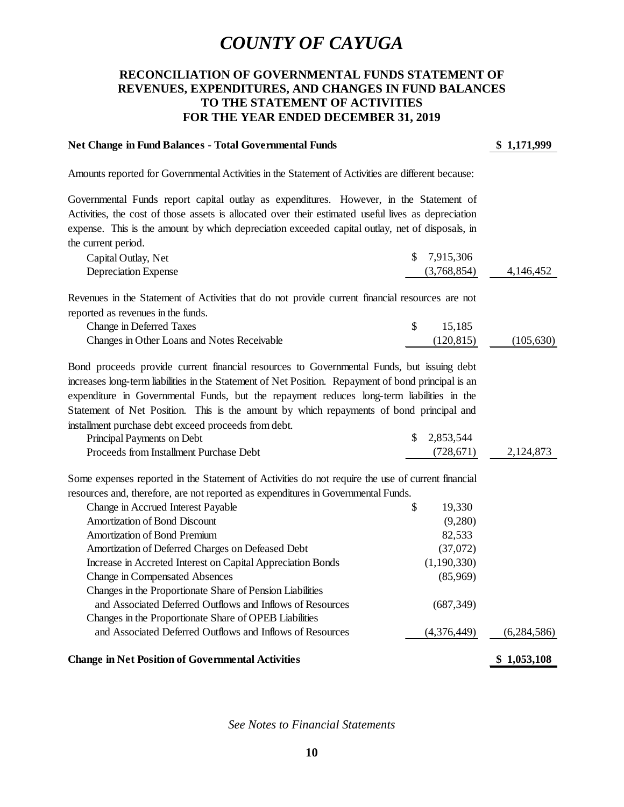### **RECONCILIATION OF GOVERNMENTAL FUNDS STATEMENT OF REVENUES, EXPENDITURES, AND CHANGES IN FUND BALANCES TO THE STATEMENT OF ACTIVITIES FOR THE YEAR ENDED DECEMBER 31, 2019**

#### **Net Change in Fund Balances - Total Governmental Funds \$ 1,171,999**

Amounts reported for Governmental Activities in the Statement of Activities are different because:

Governmental Funds report capital outlay as expenditures. However, in the Statement of Activities, the cost of those assets is allocated over their estimated useful lives as depreciation expense. This is the amount by which depreciation exceeded capital outlay, net of disposals, in the current period.

| Capital Outlay, Net  | \$ 7,915,306 |           |
|----------------------|--------------|-----------|
| Depreciation Expense | (3,768,854)  | 4,146,452 |

Revenues in the Statement of Activities that do not provide current financial resources are not reported as revenues in the funds.

| Change in Deferred Taxes                    | 15.185    |            |
|---------------------------------------------|-----------|------------|
| Changes in Other Loans and Notes Receivable | (120.815) | (105, 630) |

Bond proceeds provide current financial resources to Governmental Funds, but issuing debt increases long-term liabilities in the Statement of Net Position. Repayment of bond principal is an expenditure in Governmental Funds, but the repayment reduces long-term liabilities in the Statement of Net Position. This is the amount by which repayments of bond principal and installment purchase debt exceed proceeds from debt.

| Principal Payments on Debt              | \$2,853,544 |           |
|-----------------------------------------|-------------|-----------|
| Proceeds from Installment Purchase Debt | (728.671)   | 2.124.873 |

Some expenses reported in the Statement of Activities do not require the use of current financial resources and, therefore, are not reported as expenditures in Governmental Funds.

| Change in Accrued Interest Payable                          | \$<br>19,330 |             |
|-------------------------------------------------------------|--------------|-------------|
| Amortization of Bond Discount                               | (9,280)      |             |
| Amortization of Bond Premium                                | 82,533       |             |
| Amortization of Deferred Charges on Defeased Debt           | (37,072)     |             |
| Increase in Accreted Interest on Capital Appreciation Bonds | (1,190,330)  |             |
| <b>Change in Compensated Absences</b>                       | (85,969)     |             |
| Changes in the Proportionate Share of Pension Liabilities   |              |             |
| and Associated Deferred Outflows and Inflows of Resources   | (687, 349)   |             |
| Changes in the Proportionate Share of OPEB Liabilities      |              |             |
| and Associated Deferred Outflows and Inflows of Resources   | (4,376,449)  | (6,284,586) |
| <b>Change in Net Position of Governmental Activities</b>    |              | \$1,053,108 |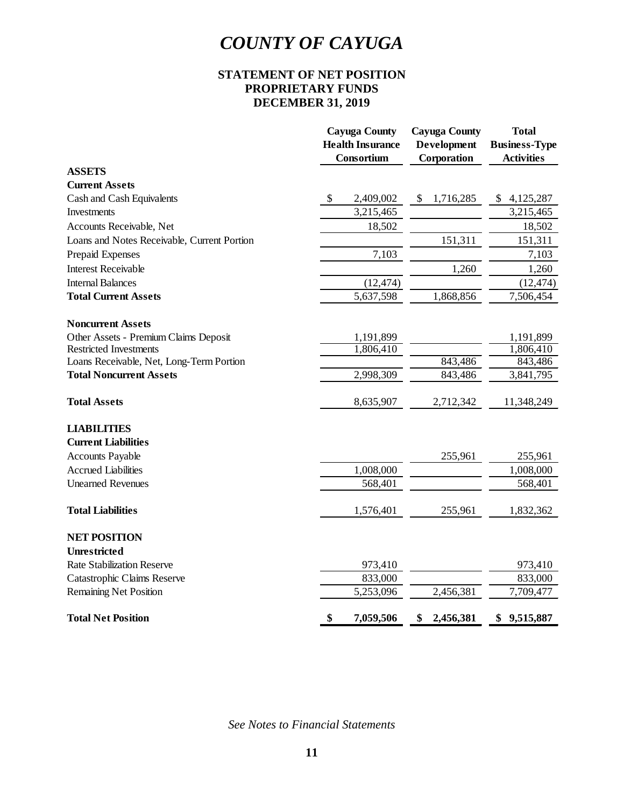## **STATEMENT OF NET POSITION PROPRIETARY FUNDS DECEMBER 31, 2019**

|                                                                            |                           | <b>Cayuga County</b><br><b>Health Insurance</b> |             | <b>Cayuga County</b><br><b>Development</b> |                                           | <b>Total</b> |  |
|----------------------------------------------------------------------------|---------------------------|-------------------------------------------------|-------------|--------------------------------------------|-------------------------------------------|--------------|--|
|                                                                            |                           | Consortium                                      | Corporation |                                            | <b>Business-Type</b><br><b>Activities</b> |              |  |
| <b>ASSETS</b>                                                              |                           |                                                 |             |                                            |                                           |              |  |
| <b>Current Assets</b>                                                      |                           |                                                 |             |                                            |                                           |              |  |
| Cash and Cash Equivalents                                                  | $\boldsymbol{\mathsf{S}}$ | 2,409,002                                       | \$          | 1,716,285                                  | \$                                        | 4,125,287    |  |
| Investments                                                                |                           | 3,215,465                                       |             |                                            |                                           | 3,215,465    |  |
| Accounts Receivable, Net                                                   |                           | 18,502                                          |             |                                            |                                           | 18,502       |  |
| Loans and Notes Receivable, Current Portion                                |                           |                                                 |             | 151,311                                    |                                           | 151,311      |  |
| <b>Prepaid Expenses</b>                                                    |                           | 7,103                                           |             |                                            |                                           | 7,103        |  |
| <b>Interest Receivable</b>                                                 |                           |                                                 |             | 1,260                                      |                                           | 1,260        |  |
| <b>Internal Balances</b>                                                   |                           | (12, 474)                                       |             |                                            |                                           | (12, 474)    |  |
| <b>Total Current Assets</b>                                                |                           | 5,637,598                                       |             | 1,868,856                                  |                                           | 7,506,454    |  |
|                                                                            |                           |                                                 |             |                                            |                                           |              |  |
| <b>Noncurrent Assets</b>                                                   |                           |                                                 |             |                                            |                                           |              |  |
| Other Assets - Premium Claims Deposit                                      |                           | 1,191,899                                       |             |                                            |                                           | 1,191,899    |  |
| <b>Restricted Investments</b>                                              |                           | 1,806,410                                       |             |                                            |                                           | 1,806,410    |  |
| Loans Receivable, Net, Long-Term Portion<br><b>Total Noncurrent Assets</b> |                           |                                                 |             | 843,486                                    |                                           | 843,486      |  |
|                                                                            |                           | 2,998,309                                       |             | 843,486                                    |                                           | 3,841,795    |  |
| <b>Total Assets</b>                                                        |                           | 8,635,907                                       |             | 2,712,342                                  |                                           | 11,348,249   |  |
| <b>LIABILITIES</b>                                                         |                           |                                                 |             |                                            |                                           |              |  |
| <b>Current Liabilities</b>                                                 |                           |                                                 |             |                                            |                                           |              |  |
| <b>Accounts Payable</b>                                                    |                           |                                                 |             | 255,961                                    |                                           | 255,961      |  |
| <b>Accrued Liabilities</b>                                                 |                           | 1,008,000                                       |             |                                            |                                           | 1,008,000    |  |
| <b>Unearned Revenues</b>                                                   |                           | 568,401                                         |             |                                            |                                           | 568,401      |  |
| <b>Total Liabilities</b>                                                   |                           | 1,576,401                                       |             | 255,961                                    |                                           | 1,832,362    |  |
| <b>NET POSITION</b>                                                        |                           |                                                 |             |                                            |                                           |              |  |
| <b>Unrestricted</b>                                                        |                           |                                                 |             |                                            |                                           |              |  |
| <b>Rate Stabilization Reserve</b>                                          |                           | 973,410                                         |             |                                            |                                           | 973,410      |  |
| Catastrophic Claims Reserve                                                |                           | 833,000                                         |             |                                            |                                           | 833,000      |  |
| <b>Remaining Net Position</b>                                              |                           | 5,253,096                                       |             | 2,456,381                                  |                                           | 7,709,477    |  |
| <b>Total Net Position</b>                                                  | \$                        | 7,059,506                                       | \$          | 2,456,381                                  | \$                                        | 9,515,887    |  |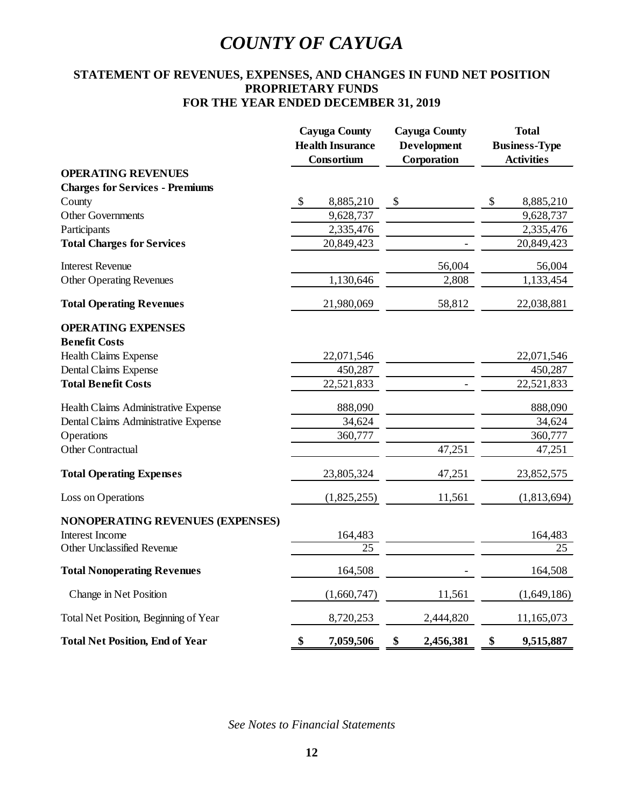## **STATEMENT OF REVENUES, EXPENSES, AND CHANGES IN FUND NET POSITION PROPRIETARY FUNDS FOR THE YEAR ENDED DECEMBER 31, 2019**

|                                         | <b>Cayuga County</b><br><b>Health Insurance</b><br>Consortium |                 | <b>Cayuga County</b><br><b>Development</b><br>Corporation |           | <b>Total</b><br><b>Business-Type</b><br><b>Activities</b> |             |  |
|-----------------------------------------|---------------------------------------------------------------|-----------------|-----------------------------------------------------------|-----------|-----------------------------------------------------------|-------------|--|
| <b>OPERATING REVENUES</b>               |                                                               |                 |                                                           |           |                                                           |             |  |
| <b>Charges for Services - Premiums</b>  |                                                               |                 |                                                           |           |                                                           |             |  |
| County                                  | $\boldsymbol{\mathsf{S}}$                                     | 8,885,210       | \$                                                        |           | \$                                                        | 8,885,210   |  |
| <b>Other Governments</b>                |                                                               | 9,628,737       |                                                           |           |                                                           | 9,628,737   |  |
| Participants                            |                                                               | 2,335,476       |                                                           |           |                                                           | 2,335,476   |  |
| <b>Total Charges for Services</b>       |                                                               | 20,849,423      |                                                           |           |                                                           | 20,849,423  |  |
| <b>Interest Revenue</b>                 |                                                               |                 |                                                           | 56,004    |                                                           | 56,004      |  |
| <b>Other Operating Revenues</b>         |                                                               | 1,130,646       |                                                           | 2,808     |                                                           | 1,133,454   |  |
| <b>Total Operating Revenues</b>         |                                                               | 21,980,069      |                                                           | 58,812    |                                                           | 22,038,881  |  |
| <b>OPERATING EXPENSES</b>               |                                                               |                 |                                                           |           |                                                           |             |  |
| <b>Benefit Costs</b>                    |                                                               |                 |                                                           |           |                                                           |             |  |
| Health Claims Expense                   |                                                               | 22,071,546      |                                                           |           |                                                           | 22,071,546  |  |
| Dental Claims Expense                   |                                                               | 450,287         |                                                           |           |                                                           | 450,287     |  |
| <b>Total Benefit Costs</b>              |                                                               | 22,521,833      |                                                           |           |                                                           | 22,521,833  |  |
| Health Claims Administrative Expense    |                                                               | 888,090         |                                                           |           |                                                           | 888,090     |  |
| Dental Claims Administrative Expense    |                                                               | 34,624          |                                                           |           |                                                           | 34,624      |  |
| Operations                              |                                                               | 360,777         |                                                           |           |                                                           | 360,777     |  |
| <b>Other Contractual</b>                |                                                               |                 |                                                           | 47,251    |                                                           | 47,251      |  |
| <b>Total Operating Expenses</b>         |                                                               | 23,805,324      |                                                           | 47,251    |                                                           | 23,852,575  |  |
| Loss on Operations                      |                                                               | (1,825,255)     |                                                           | 11,561    |                                                           | (1,813,694) |  |
| <b>NONOPERATING REVENUES (EXPENSES)</b> |                                                               |                 |                                                           |           |                                                           |             |  |
| <b>Interest Income</b>                  |                                                               | 164,483         |                                                           |           |                                                           | 164,483     |  |
| Other Unclassified Revenue              |                                                               | $\overline{25}$ |                                                           |           |                                                           | 25          |  |
| <b>Total Nonoperating Revenues</b>      |                                                               | 164,508         |                                                           |           |                                                           | 164,508     |  |
| Change in Net Position                  |                                                               | (1,660,747)     |                                                           | 11,561    |                                                           | (1,649,186) |  |
| Total Net Position, Beginning of Year   |                                                               | 8,720,253       |                                                           | 2,444,820 |                                                           | 11,165,073  |  |
| <b>Total Net Position, End of Year</b>  | \$                                                            | 7,059,506       | \$                                                        | 2,456,381 | \$                                                        | 9,515,887   |  |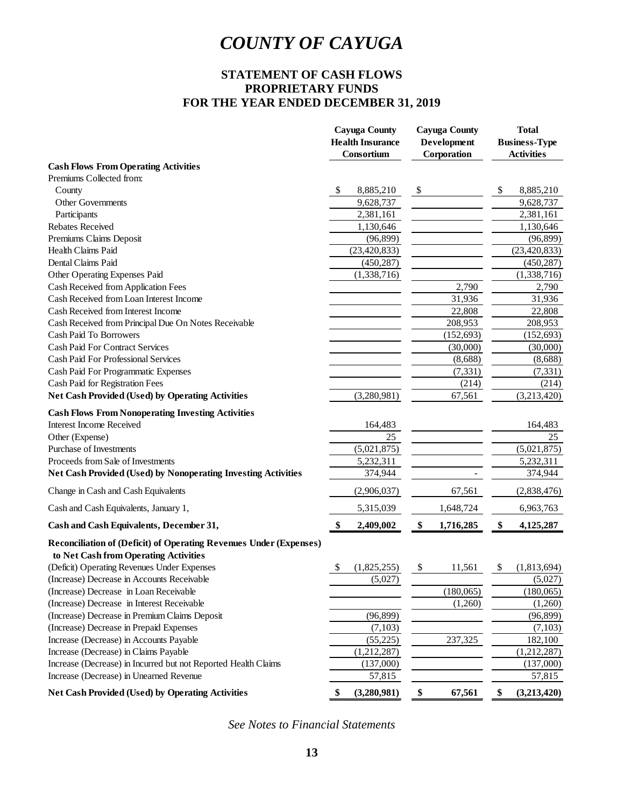## **STATEMENT OF CASH FLOWS PROPRIETARY FUNDS FOR THE YEAR ENDED DECEMBER 31, 2019**

|                                                                                                             |               | <b>Cayuga County</b><br><b>Health Insurance</b><br>Consortium | <b>Cayuga County</b><br>Development<br>Corporation | <b>Total</b><br><b>Business-Type</b><br><b>Activities</b> |
|-------------------------------------------------------------------------------------------------------------|---------------|---------------------------------------------------------------|----------------------------------------------------|-----------------------------------------------------------|
| <b>Cash Flows From Operating Activities</b>                                                                 |               |                                                               |                                                    |                                                           |
| Premiums Collected from:                                                                                    |               |                                                               |                                                    |                                                           |
| County                                                                                                      | \$            | 8,885,210                                                     | \$                                                 | \$<br>8,885,210                                           |
| <b>Other Governments</b>                                                                                    |               | 9,628,737                                                     |                                                    | 9,628,737                                                 |
| Participants                                                                                                |               | 2,381,161                                                     |                                                    | 2,381,161                                                 |
| <b>Rebates Received</b>                                                                                     |               | 1,130,646                                                     |                                                    | 1,130,646                                                 |
| Premiums Claims Deposit                                                                                     |               | (96, 899)                                                     |                                                    | (96, 899)                                                 |
| Health Claims Paid                                                                                          |               | (23, 420, 833)                                                |                                                    | (23, 420, 833)                                            |
| Dental Claims Paid                                                                                          |               | (450, 287)                                                    |                                                    | (450, 287)                                                |
| Other Operating Expenses Paid                                                                               |               | (1,338,716)                                                   |                                                    | (1,338,716)                                               |
| Cash Received from Application Fees                                                                         |               |                                                               | 2,790                                              | 2,790                                                     |
| Cash Received from Loan Interest Income                                                                     |               |                                                               | 31,936                                             | 31,936                                                    |
| Cash Received from Interest Income                                                                          |               |                                                               | 22,808                                             | 22,808                                                    |
| Cash Received from Principal Due On Notes Receivable                                                        |               |                                                               | 208,953                                            | 208,953                                                   |
| <b>Cash Paid To Borrowers</b>                                                                               |               |                                                               | (152, 693)                                         | (152, 693)                                                |
| <b>Cash Paid For Contract Services</b>                                                                      |               |                                                               | (30,000)                                           | (30,000)                                                  |
| <b>Cash Paid For Professional Services</b>                                                                  |               |                                                               | (8,688)                                            | (8,688)                                                   |
| Cash Paid For Programmatic Expenses                                                                         |               |                                                               | (7, 331)                                           | (7, 331)                                                  |
| Cash Paid for Registration Fees                                                                             |               |                                                               | (214)                                              | (214)                                                     |
| <b>Net Cash Provided (Used) by Operating Activities</b>                                                     |               | (3,280,981)                                                   | 67,561                                             | (3,213,420)                                               |
| <b>Cash Flows From Nonoperating Investing Activities</b>                                                    |               |                                                               |                                                    |                                                           |
| <b>Interest Income Received</b>                                                                             |               | 164,483                                                       |                                                    | 164,483                                                   |
| Other (Expense)                                                                                             |               | 25                                                            |                                                    | 25                                                        |
| Purchase of Investments                                                                                     |               | (5,021,875)                                                   |                                                    | (5,021,875)                                               |
| Proceeds from Sale of Investments                                                                           |               | 5,232,311                                                     |                                                    | $\overline{5,}232,311$                                    |
| Net Cash Provided (Used) by Nonoperating Investing Activities                                               |               | 374,944                                                       |                                                    | 374,944                                                   |
| Change in Cash and Cash Equivalents                                                                         |               | (2,906,037)                                                   | 67,561                                             | (2,838,476)                                               |
| Cash and Cash Equivalents, January 1,                                                                       |               | 5,315,039                                                     | 1,648,724                                          | 6,963,763                                                 |
| Cash and Cash Equivalents, December 31,                                                                     | $\frac{1}{2}$ | 2,409,002                                                     | \$<br>1,716,285                                    | \$<br>4,125,287                                           |
| Reconciliation of (Deficit) of Operating Revenues Under (Expenses)<br>to Net Cash from Operating Activities |               |                                                               |                                                    |                                                           |
| (Deficit) Operating Revenues Under Expenses                                                                 | \$            | (1,825,255)                                                   | 11,561                                             | \$                                                        |
|                                                                                                             |               |                                                               | \$                                                 | (1,813,694)                                               |
| (Increase) Decrease in Accounts Receivable<br>(Increase) Decrease in Loan Receivable                        |               | (5,027)                                                       | (180,065)                                          | (5,027)<br>(180,065)                                      |
| (Increase) Decrease in Interest Receivable                                                                  |               |                                                               | (1,260)                                            |                                                           |
|                                                                                                             |               |                                                               |                                                    | (1,260)                                                   |
| (Increase) Decrease in Premium Claims Deposit<br>(Increase) Decrease in Prepaid Expenses                    |               | (96, 899)                                                     |                                                    | (96, 899)                                                 |
| Increase (Decrease) in Accounts Payable                                                                     |               | (7,103)                                                       | 237,325                                            | (7,103)                                                   |
| Increase (Decrease) in Claims Payable                                                                       |               | (55, 225)<br>(1,212,287)                                      |                                                    | 182,100<br>(1,212,287)                                    |
| Increase (Decrease) in Incurred but not Reported Health Claims                                              |               |                                                               |                                                    |                                                           |
| Increase (Decrease) in Unearned Revenue                                                                     |               | (137,000)<br>57,815                                           |                                                    | (137,000)<br>57,815                                       |
| <b>Net Cash Provided (Used) by Operating Activities</b>                                                     | \$            | (3,280,981)                                                   | \$<br>67,561                                       | \$<br>(3,213,420)                                         |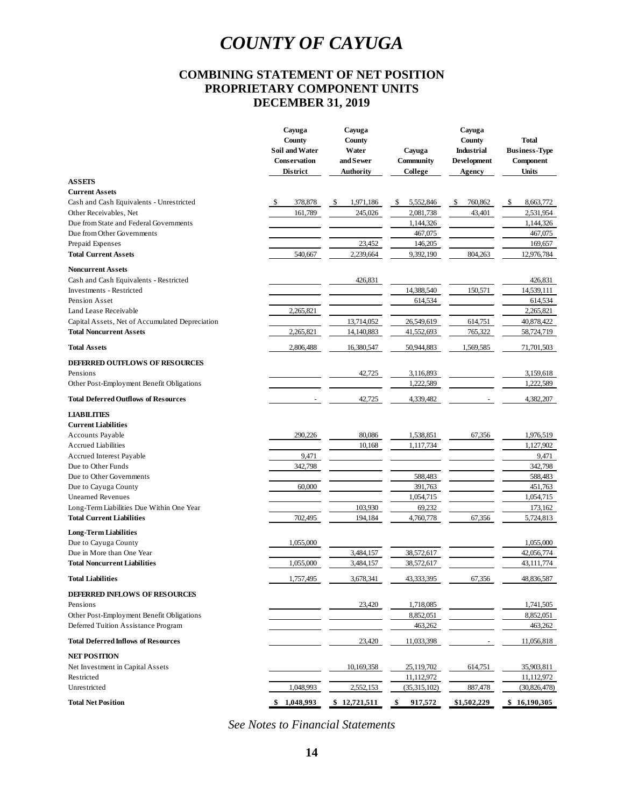## **COMBINING STATEMENT OF NET POSITION PROPRIETARY COMPONENT UNITS DECEMBER 31, 2019**

|                                                 | Cayuga<br>County<br><b>Soil and Water</b><br>Conservation<br><b>District</b> | Cayuga<br>County<br>Water<br>and Sewer<br><b>Authority</b> | Cayuga<br>Community<br>College | Cayuga<br>County<br><b>Industrial</b><br>Development<br>Agency | <b>Total</b><br><b>Business-Type</b><br>Component<br>Units |
|-------------------------------------------------|------------------------------------------------------------------------------|------------------------------------------------------------|--------------------------------|----------------------------------------------------------------|------------------------------------------------------------|
| <b>ASSETS</b>                                   |                                                                              |                                                            |                                |                                                                |                                                            |
| <b>Current Assets</b>                           |                                                                              |                                                            |                                |                                                                |                                                            |
| Cash and Cash Equivalents - Unrestricted        | -\$<br>378,878                                                               | 1,971,186<br>S                                             | 5,552,846<br>\$                | 760,862<br>\$                                                  | \$<br>8,663,772                                            |
| Other Receivables, Net                          | 161,789                                                                      | 245,026                                                    | 2,081,738                      | 43,401                                                         | 2,531,954                                                  |
| Due from State and Federal Governments          |                                                                              |                                                            | 1,144,326                      |                                                                | 1,144,326                                                  |
| Due from Other Governments                      |                                                                              |                                                            | 467,075                        |                                                                | 467,075                                                    |
| Prepaid Expenses                                |                                                                              | 23.452                                                     | 146,205                        |                                                                | 169,657                                                    |
| <b>Total Current Assets</b>                     | 540,667                                                                      | 2,239,664                                                  | 9,392,190                      | 804,263                                                        | 12,976,784                                                 |
| <b>Noncurrent Assets</b>                        |                                                                              |                                                            |                                |                                                                |                                                            |
| Cash and Cash Equivalents - Restricted          |                                                                              | 426,831                                                    |                                |                                                                | 426,831                                                    |
| <b>Investments - Restricted</b>                 |                                                                              |                                                            | 14,388,540                     | 150,571                                                        | 14,539,111                                                 |
| Pension Asset                                   |                                                                              |                                                            | 614,534                        |                                                                | 614,534                                                    |
| Land Lease Receivable                           | 2,265,821                                                                    |                                                            |                                |                                                                | 2,265,821                                                  |
| Capital Assets, Net of Accumulated Depreciation |                                                                              | 13,714,052                                                 | 26,549,619                     | 614,751                                                        | 40,878,422                                                 |
| <b>Total Noncurrent Assets</b>                  | 2,265,821                                                                    | 14, 140, 883                                               | 41,552,693                     | 765,322                                                        | 58,724,719                                                 |
| <b>Total Assets</b>                             | 2,806,488                                                                    | 16,380,547                                                 | 50,944,883                     | 1,569,585                                                      | 71,701,503                                                 |
| <b>DEFERRED OUTFLOWS OF RESOURCES</b>           |                                                                              |                                                            |                                |                                                                |                                                            |
| Pensions                                        |                                                                              | 42,725                                                     | 3,116,893                      |                                                                | 3,159,618                                                  |
| Other Post-Employment Benefit Obligations       |                                                                              |                                                            | 1,222,589                      |                                                                | 1,222,589                                                  |
| <b>Total Deferred Outflows of Resources</b>     |                                                                              | 42,725                                                     | 4,339,482                      |                                                                | 4,382,207                                                  |
| <b>LIABILITIES</b>                              |                                                                              |                                                            |                                |                                                                |                                                            |
| <b>Current Liabilities</b>                      |                                                                              |                                                            |                                |                                                                |                                                            |
| Accounts Payable                                | 290,226                                                                      | 80,086                                                     | 1,538,851                      | 67,356                                                         | 1,976,519                                                  |
| <b>Accrued Liabilities</b>                      |                                                                              | 10,168                                                     | 1,117,734                      |                                                                | 1,127,902                                                  |
| Accrued Interest Payable                        | 9,471                                                                        |                                                            |                                |                                                                | 9,471                                                      |
| Due to Other Funds                              | 342,798                                                                      |                                                            |                                |                                                                | 342,798                                                    |
| Due to Other Governments                        |                                                                              |                                                            | 588,483                        |                                                                | 588,483                                                    |
| Due to Cayuga County                            | 60,000                                                                       |                                                            | 391,763                        |                                                                | 451,763                                                    |
| <b>Unearned Revenues</b>                        |                                                                              |                                                            | 1,054,715                      |                                                                | 1,054,715                                                  |
| Long-Term Liabilities Due Within One Year       |                                                                              | 103,930                                                    | 69,232                         |                                                                | 173,162                                                    |
| <b>Total Current Liabilities</b>                | 702,495                                                                      | 194,184                                                    | 4,760,778                      | 67,356                                                         | 5,724,813                                                  |
| <b>Long-Term Liabilities</b>                    |                                                                              |                                                            |                                |                                                                |                                                            |
| Due to Cayuga County                            | 1,055,000                                                                    |                                                            |                                |                                                                | 1,055,000                                                  |
| Due in More than One Year                       |                                                                              | 3,484,157                                                  | 38,572,617                     |                                                                | 42,056,774                                                 |
| <b>Total Noncurrent Liabilities</b>             | 1,055,000                                                                    | 3,484,157                                                  | 38,572,617                     |                                                                | 43,111,774                                                 |
| <b>Total Liabilities</b>                        | 1,757,495                                                                    | 3,678,341                                                  | 43,333,395                     | 67,356                                                         | 48,836,587                                                 |
| DEFERRED INFLOWS OF RESOURCES                   |                                                                              |                                                            |                                |                                                                |                                                            |
| Pensions                                        |                                                                              | 23,420                                                     | 1,718,085                      |                                                                | 1,741,505                                                  |
| Other Post-Employment Benefit Obligations       |                                                                              |                                                            | 8,852,051                      |                                                                | 8,852,051                                                  |
| Deferred Tuition Assistance Program             |                                                                              |                                                            | 463,262                        |                                                                | 463,262                                                    |
| <b>Total Deferred Inflows of Resources</b>      |                                                                              | 23,420                                                     | 11,033,398                     |                                                                | 11,056,818                                                 |
| <b>NET POSITION</b>                             |                                                                              |                                                            |                                |                                                                |                                                            |
| Net Investment in Capital Assets                |                                                                              | 10,169,358                                                 | 25,119,702                     | 614,751                                                        | 35,903,811                                                 |
| Restricted                                      |                                                                              |                                                            | 11,112,972                     |                                                                | 11,112,972                                                 |
| Unrestricted                                    | 1,048,993                                                                    | 2,552,153                                                  | (35,315,102)                   | 887,478                                                        | (30, 826, 478)                                             |
| <b>Total Net Position</b>                       | 1,048,993                                                                    | 12,721,511                                                 | \$<br>917,572                  | \$1,502,229                                                    | \$<br>16,190,305                                           |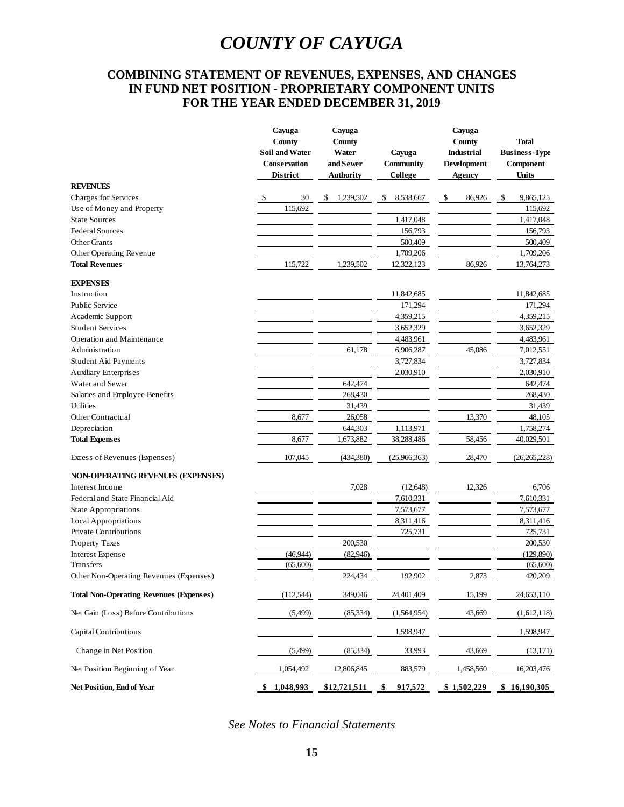## **COMBINING STATEMENT OF REVENUES, EXPENSES, AND CHANGES IN FUND NET POSITION - PROPRIETARY COMPONENT UNITS FOR THE YEAR ENDED DECEMBER 31, 2019**

|                                                | Cayuga<br><b>County</b><br>Soil and Water<br>Conservation<br><b>District</b> | Cayuga<br>County<br>Water<br>and Sewer<br><b>Authority</b> | Cayuga<br>Community<br>College | Cayuga<br>County<br><b>Industrial</b><br>Development<br><b>Agency</b> | <b>Total</b><br><b>Business-Type</b><br>Component<br>Units |
|------------------------------------------------|------------------------------------------------------------------------------|------------------------------------------------------------|--------------------------------|-----------------------------------------------------------------------|------------------------------------------------------------|
| <b>REVENUES</b>                                |                                                                              |                                                            |                                |                                                                       |                                                            |
| Charges for Services                           | $\sqrt[6]{3}$<br>30                                                          | 1,239,502<br>\$                                            | 8,538,667<br>\$                | \$<br>86,926                                                          | 9,865,125<br>\$                                            |
| Use of Money and Property                      | 115,692                                                                      |                                                            |                                |                                                                       | 115,692                                                    |
| <b>State Sources</b>                           |                                                                              |                                                            | 1,417,048                      |                                                                       | 1,417,048                                                  |
| <b>Federal Sources</b>                         |                                                                              |                                                            | 156,793                        |                                                                       | 156,793                                                    |
| Other Grants                                   |                                                                              |                                                            | 500,409                        |                                                                       | 500,409                                                    |
| Other Operating Revenue                        |                                                                              |                                                            | 1,709,206                      |                                                                       | 1,709,206                                                  |
| <b>Total Revenues</b>                          | 115,722                                                                      | 1,239,502                                                  | 12,322,123                     | 86,926                                                                | 13,764,273                                                 |
| <b>EXPENSES</b>                                |                                                                              |                                                            |                                |                                                                       |                                                            |
| Instruction                                    |                                                                              |                                                            | 11,842,685                     |                                                                       | 11,842,685                                                 |
| <b>Public Service</b>                          |                                                                              |                                                            | 171,294                        |                                                                       | 171,294                                                    |
| Academic Support                               |                                                                              |                                                            | 4,359,215                      |                                                                       | 4,359,215                                                  |
| <b>Student Services</b>                        |                                                                              |                                                            | 3,652,329                      |                                                                       | 3,652,329                                                  |
| Operation and Maintenance                      |                                                                              |                                                            | 4,483,961                      |                                                                       | 4,483,961                                                  |
| Administration                                 |                                                                              | 61.178                                                     | 6,906,287                      | 45,086                                                                | 7,012,551                                                  |
| <b>Student Aid Payments</b>                    |                                                                              |                                                            | 3,727,834                      |                                                                       | 3,727,834                                                  |
| <b>Auxiliary Enterprises</b>                   |                                                                              |                                                            | 2,030,910                      |                                                                       | 2,030,910                                                  |
| Water and Sewer                                |                                                                              | 642,474                                                    |                                |                                                                       | 642,474                                                    |
| Salaries and Employee Benefits                 |                                                                              | 268,430                                                    |                                |                                                                       | 268,430                                                    |
| Utilities                                      |                                                                              | 31,439                                                     |                                |                                                                       | 31,439                                                     |
| Other Contractual                              | 8,677                                                                        | 26,058                                                     |                                | 13,370                                                                | 48,105                                                     |
| Depreciation                                   |                                                                              | 644,303                                                    | 1,113,971                      |                                                                       | 1,758,274                                                  |
| <b>Total Expenses</b>                          | 8,677                                                                        | 1,673,882                                                  | 38,288,486                     | 58,456                                                                | 40,029,501                                                 |
| Excess of Revenues (Expenses)                  | 107,045                                                                      | (434,380)                                                  | (25,966,363)                   | 28,470                                                                | (26, 265, 228)                                             |
| <b>NON-OPERATING REVENUES (EXPENSES)</b>       |                                                                              |                                                            |                                |                                                                       |                                                            |
| Interest Income                                |                                                                              | 7,028                                                      | (12, 648)                      | 12,326                                                                | 6,706                                                      |
| Federal and State Financial Aid                |                                                                              |                                                            | 7,610,331                      |                                                                       | 7,610,331                                                  |
| <b>State Appropriations</b>                    |                                                                              |                                                            | 7,573,677                      |                                                                       | 7,573,677                                                  |
| Local Appropriations                           |                                                                              |                                                            | 8,311,416                      |                                                                       | 8,311,416                                                  |
| Private Contributions                          |                                                                              |                                                            | 725,731                        |                                                                       | 725,731                                                    |
| Property Taxes                                 |                                                                              | 200,530                                                    |                                |                                                                       | 200,530                                                    |
| <b>Interest Expense</b>                        | (46,944)                                                                     | (82, 946)                                                  |                                |                                                                       | (129,890)                                                  |
| <b>Transfers</b>                               | (65,600)                                                                     |                                                            |                                |                                                                       | (65,600)                                                   |
| Other Non-Operating Revenues (Expenses)        |                                                                              | 224,434                                                    | 192,902                        | 2,873                                                                 | 420,209                                                    |
| <b>Total Non-Operating Revenues (Expenses)</b> | (112, 544)                                                                   | 349,046                                                    | 24,401,409                     | 15,199                                                                | 24,653,110                                                 |
| Net Gain (Loss) Before Contributions           | (5,499)                                                                      | (85, 334)                                                  | (1,564,954)                    | 43,669                                                                | (1,612,118)                                                |
| Capital Contributions                          |                                                                              |                                                            | 1,598,947                      |                                                                       | 1,598,947                                                  |
| Change in Net Position                         | (5,499)                                                                      | (85, 334)                                                  | 33,993                         | 43,669                                                                | (13, 171)                                                  |
| Net Position Beginning of Year                 | 1,054,492                                                                    | 12,806,845                                                 | 883,579                        | 1,458,560                                                             | 16,203,476                                                 |
| Net Position, End of Year                      | 1,048,993<br>\$                                                              | \$12,721,511                                               | \$<br>917,572                  | \$1,502,229                                                           | \$16,190,305                                               |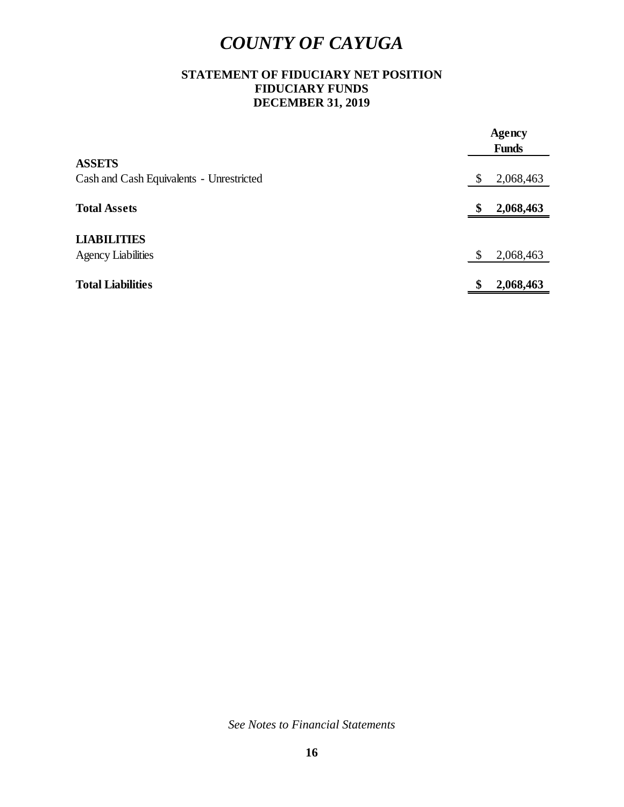## **STATEMENT OF FIDUCIARY NET POSITION FIDUCIARY FUNDS DECEMBER 31, 2019**

|                                          |    | Agency<br><b>Funds</b> |  |  |
|------------------------------------------|----|------------------------|--|--|
| <b>ASSETS</b>                            |    |                        |  |  |
| Cash and Cash Equivalents - Unrestricted | \$ | 2,068,463              |  |  |
| <b>Total Assets</b>                      | \$ | 2,068,463              |  |  |
| <b>LIABILITIES</b>                       |    |                        |  |  |
| <b>Agency Liabilities</b>                | \$ | 2,068,463              |  |  |
| <b>Total Liabilities</b>                 | Φ  | 2,068,463              |  |  |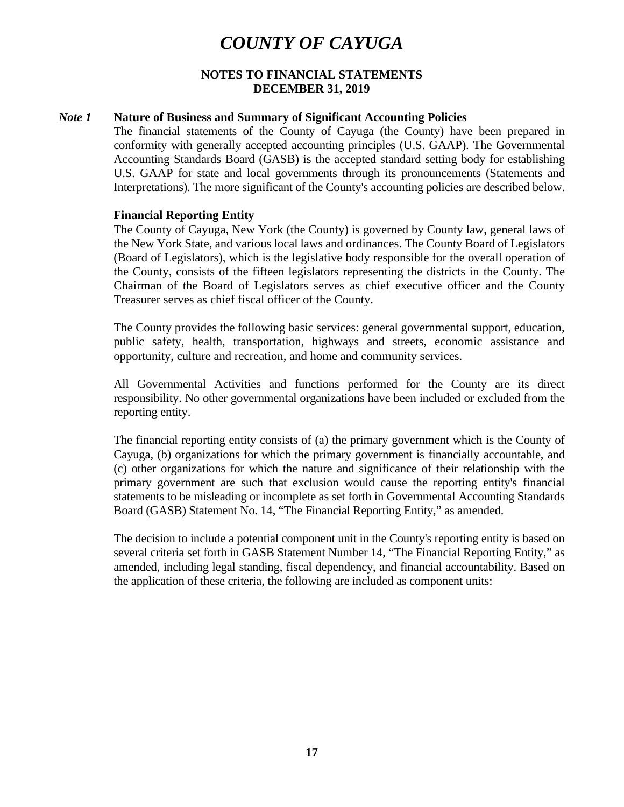### **NOTES TO FINANCIAL STATEMENTS DECEMBER 31, 2019**

#### *Note 1* **Nature of Business and Summary of Significant Accounting Policies**

The financial statements of the County of Cayuga (the County) have been prepared in conformity with generally accepted accounting principles (U.S. GAAP). The Governmental Accounting Standards Board (GASB) is the accepted standard setting body for establishing U.S. GAAP for state and local governments through its pronouncements (Statements and Interpretations). The more significant of the County's accounting policies are described below.

#### **Financial Reporting Entity**

The County of Cayuga, New York (the County) is governed by County law, general laws of the New York State, and various local laws and ordinances. The County Board of Legislators (Board of Legislators), which is the legislative body responsible for the overall operation of the County, consists of the fifteen legislators representing the districts in the County. The Chairman of the Board of Legislators serves as chief executive officer and the County Treasurer serves as chief fiscal officer of the County.

The County provides the following basic services: general governmental support, education, public safety, health, transportation, highways and streets, economic assistance and opportunity, culture and recreation, and home and community services.

All Governmental Activities and functions performed for the County are its direct responsibility. No other governmental organizations have been included or excluded from the reporting entity.

The financial reporting entity consists of (a) the primary government which is the County of Cayuga, (b) organizations for which the primary government is financially accountable, and (c) other organizations for which the nature and significance of their relationship with the primary government are such that exclusion would cause the reporting entity's financial statements to be misleading or incomplete as set forth in Governmental Accounting Standards Board (GASB) Statement No. 14, "The Financial Reporting Entity," as amended.

The decision to include a potential component unit in the County's reporting entity is based on several criteria set forth in GASB Statement Number 14, "The Financial Reporting Entity," as amended, including legal standing, fiscal dependency, and financial accountability. Based on the application of these criteria, the following are included as component units: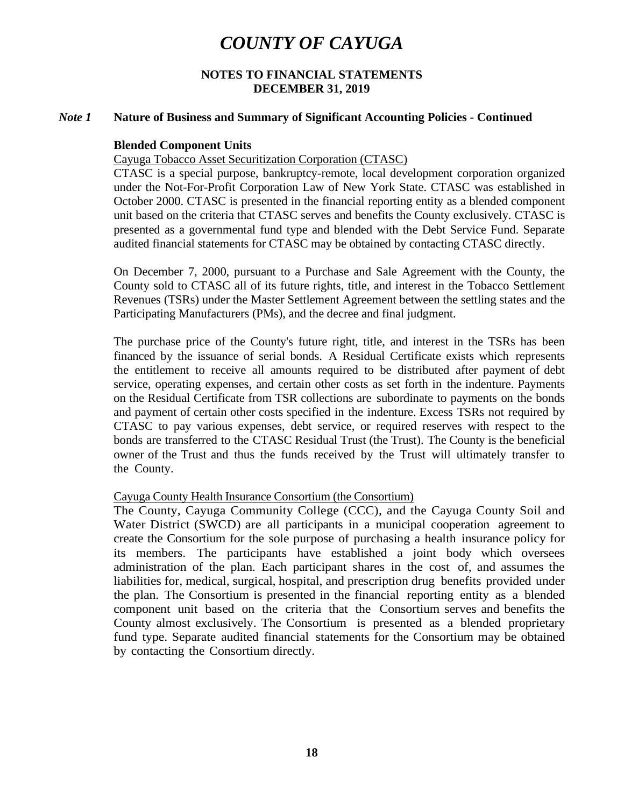### **NOTES TO FINANCIAL STATEMENTS DECEMBER 31, 2019**

#### *Note 1* **Nature of Business and Summary of Significant Accounting Policies - Continued**

#### **Blended Component Units**

#### Cayuga Tobacco Asset Securitization Corporation (CTASC)

CTASC is a special purpose, bankruptcy-remote, local development corporation organized under the Not-For-Profit Corporation Law of New York State. CTASC was established in October 2000. CTASC is presented in the financial reporting entity as a blended component unit based on the criteria that CTASC serves and benefits the County exclusively. CTASC is presented as a governmental fund type and blended with the Debt Service Fund. Separate audited financial statements for CTASC may be obtained by contacting CTASC directly.

On December 7, 2000, pursuant to a Purchase and Sale Agreement with the County, the County sold to CTASC all of its future rights, title, and interest in the Tobacco Settlement Revenues (TSRs) under the Master Settlement Agreement between the settling states and the Participating Manufacturers (PMs), and the decree and final judgment.

The purchase price of the County's future right, title, and interest in the TSRs has been financed by the issuance of serial bonds. A Residual Certificate exists which represents the entitlement to receive all amounts required to be distributed after payment of debt service, operating expenses, and certain other costs as set forth in the indenture. Payments on the Residual Certificate from TSR collections are subordinate to payments on the bonds and payment of certain other costs specified in the indenture. Excess TSRs not required by CTASC to pay various expenses, debt service, or required reserves with respect to the bonds are transferred to the CTASC Residual Trust (the Trust). The County is the beneficial owner of the Trust and thus the funds received by the Trust will ultimately transfer to the County.

#### Cayuga County Health Insurance Consortium (the Consortium)

The County, Cayuga Community College (CCC), and the Cayuga County Soil and Water District (SWCD) are all participants in a municipal cooperation agreement to create the Consortium for the sole purpose of purchasing a health insurance policy for its members. The participants have established a joint body which oversees administration of the plan. Each participant shares in the cost of, and assumes the liabilities for, medical, surgical, hospital, and prescription drug benefits provided under the plan. The Consortium is presented in the financial reporting entity as a blended component unit based on the criteria that the Consortium serves and benefits the County almost exclusively. The Consortium is presented as a blended proprietary fund type. Separate audited financial statements for the Consortium may be obtained by contacting the Consortium directly.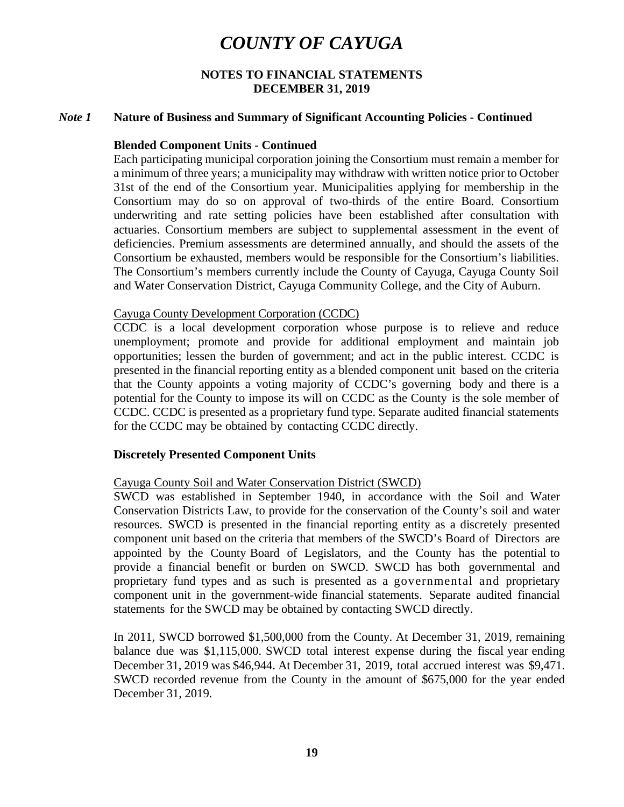### **NOTES TO FINANCIAL STATEMENTS DECEMBER 31, 2019**

#### *Note 1* **Nature of Business and Summary of Significant Accounting Policies - Continued**

#### **Blended Component Units - Continued**

Each participating municipal corporation joining the Consortium must remain a member for a minimum of three years; a municipality may withdraw with written notice prior to October 31st of the end of the Consortium year. Municipalities applying for membership in the Consortium may do so on approval of two-thirds of the entire Board. Consortium underwriting and rate setting policies have been established after consultation with actuaries. Consortium members are subject to supplemental assessment in the event of deficiencies. Premium assessments are determined annually, and should the assets of the Consortium be exhausted, members would be responsible for the Consortium's liabilities. The Consortium's members currently include the County of Cayuga, Cayuga County Soil and Water Conservation District, Cayuga Community College, and the City of Auburn.

#### Cayuga County Development Corporation (CCDC)

CCDC is a local development corporation whose purpose is to relieve and reduce unemployment; promote and provide for additional employment and maintain job opportunities; lessen the burden of government; and act in the public interest. CCDC is presented in the financial reporting entity as a blended component unit based on the criteria that the County appoints a voting majority of CCDC's governing body and there is a potential for the County to impose its will on CCDC as the County is the sole member of CCDC. CCDC is presented as a proprietary fund type. Separate audited financial statements for the CCDC may be obtained by contacting CCDC directly.

#### **Discretely Presented Component Units**

Cayuga County Soil and Water Conservation District (SWCD)

SWCD was established in September 1940, in accordance with the Soil and Water Conservation Districts Law, to provide for the conservation of the County's soil and water resources. SWCD is presented in the financial reporting entity as a discretely presented component unit based on the criteria that members of the SWCD's Board of Directors are appointed by the County Board of Legislators, and the County has the potential to provide a financial benefit or burden on SWCD. SWCD has both governmental and proprietary fund types and as such is presented as a governmental and proprietary component unit in the government-wide financial statements. Separate audited financial statements for the SWCD may be obtained by contacting SWCD directly.

In 2011, SWCD borrowed \$1,500,000 from the County. At December 31, 2019, remaining balance due was \$1,115,000. SWCD total interest expense during the fiscal year ending December 31, 2019 was \$46,944. At December 31, 2019, total accrued interest was \$9,471. SWCD recorded revenue from the County in the amount of \$675,000 for the year ended December 31, 2019.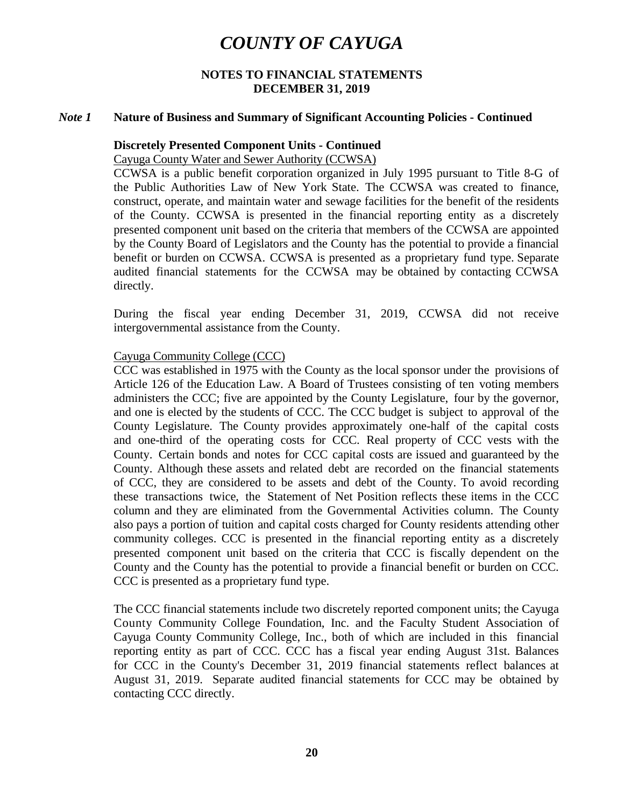## **NOTES TO FINANCIAL STATEMENTS DECEMBER 31, 2019**

### *Note 1* **Nature of Business and Summary of Significant Accounting Policies - Continued**

### **Discretely Presented Component Units - Continued**

Cayuga County Water and Sewer Authority (CCWSA)

CCWSA is a public benefit corporation organized in July 1995 pursuant to Title 8-G of the Public Authorities Law of New York State. The CCWSA was created to finance, construct, operate, and maintain water and sewage facilities for the benefit of the residents of the County. CCWSA is presented in the financial reporting entity as a discretely presented component unit based on the criteria that members of the CCWSA are appointed by the County Board of Legislators and the County has the potential to provide a financial benefit or burden on CCWSA. CCWSA is presented as a proprietary fund type. Separate audited financial statements for the CCWSA may be obtained by contacting CCWSA directly.

During the fiscal year ending December 31, 2019, CCWSA did not receive intergovernmental assistance from the County.

### Cayuga Community College (CCC)

CCC was established in 1975 with the County as the local sponsor under the provisions of Article 126 of the Education Law. A Board of Trustees consisting of ten voting members administers the CCC; five are appointed by the County Legislature, four by the governor, and one is elected by the students of CCC. The CCC budget is subject to approval of the County Legislature. The County provides approximately one-half of the capital costs and one-third of the operating costs for CCC. Real property of CCC vests with the County. Certain bonds and notes for CCC capital costs are issued and guaranteed by the County. Although these assets and related debt are recorded on the financial statements of CCC, they are considered to be assets and debt of the County. To avoid recording these transactions twice, the Statement of Net Position reflects these items in the CCC column and they are eliminated from the Governmental Activities column. The County also pays a portion of tuition and capital costs charged for County residents attending other community colleges. CCC is presented in the financial reporting entity as a discretely presented component unit based on the criteria that CCC is fiscally dependent on the County and the County has the potential to provide a financial benefit or burden on CCC. CCC is presented as a proprietary fund type.

The CCC financial statements include two discretely reported component units; the Cayuga County Community College Foundation, Inc. and the Faculty Student Association of Cayuga County Community College, Inc., both of which are included in this financial reporting entity as part of CCC. CCC has a fiscal year ending August 31st. Balances for CCC in the County's December 31, 2019 financial statements reflect balances at August 31, 2019. Separate audited financial statements for CCC may be obtained by contacting CCC directly.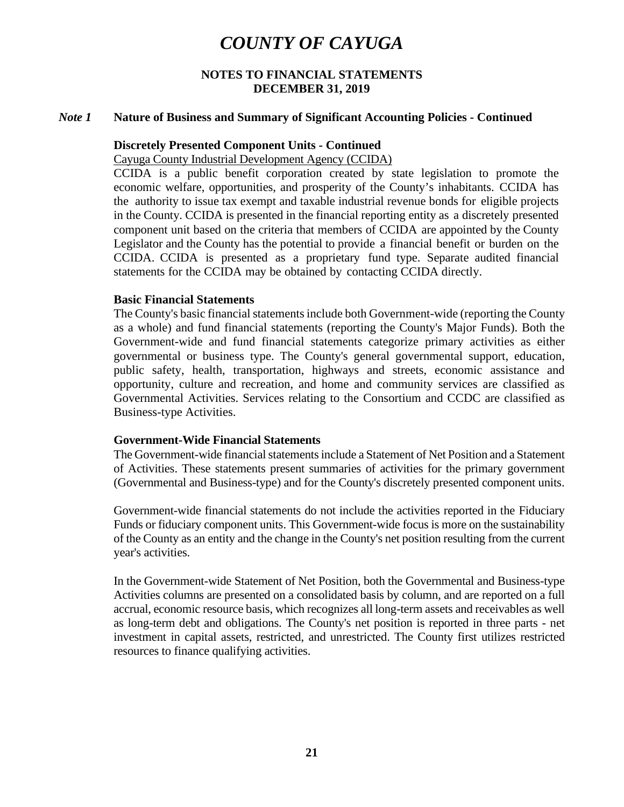# **NOTES TO FINANCIAL STATEMENTS DECEMBER 31, 2019**

### *Note 1* **Nature of Business and Summary of Significant Accounting Policies - Continued**

### **Discretely Presented Component Units - Continued**

Cayuga County Industrial Development Agency (CCIDA)

CCIDA is a public benefit corporation created by state legislation to promote the economic welfare, opportunities, and prosperity of the County's inhabitants. CCIDA has the authority to issue tax exempt and taxable industrial revenue bonds for eligible projects in the County. CCIDA is presented in the financial reporting entity as a discretely presented component unit based on the criteria that members of CCIDA are appointed by the County Legislator and the County has the potential to provide a financial benefit or burden on the CCIDA. CCIDA is presented as a proprietary fund type. Separate audited financial statements for the CCIDA may be obtained by contacting CCIDA directly.

### **Basic Financial Statements**

The County's basic financial statements include both Government-wide (reporting the County as a whole) and fund financial statements (reporting the County's Major Funds). Both the Government-wide and fund financial statements categorize primary activities as either governmental or business type. The County's general governmental support, education, public safety, health, transportation, highways and streets, economic assistance and opportunity, culture and recreation, and home and community services are classified as Governmental Activities. Services relating to the Consortium and CCDC are classified as Business-type Activities.

## **Government-Wide Financial Statements**

The Government-wide financial statements include a Statement of Net Position and a Statement of Activities. These statements present summaries of activities for the primary government (Governmental and Business-type) and for the County's discretely presented component units.

Government-wide financial statements do not include the activities reported in the Fiduciary Funds or fiduciary component units. This Government-wide focus is more on the sustainability of the County as an entity and the change in the County's net position resulting from the current year's activities.

In the Government-wide Statement of Net Position, both the Governmental and Business-type Activities columns are presented on a consolidated basis by column, and are reported on a full accrual, economic resource basis, which recognizes all long-term assets and receivables as well as long-term debt and obligations. The County's net position is reported in three parts - net investment in capital assets, restricted, and unrestricted. The County first utilizes restricted resources to finance qualifying activities.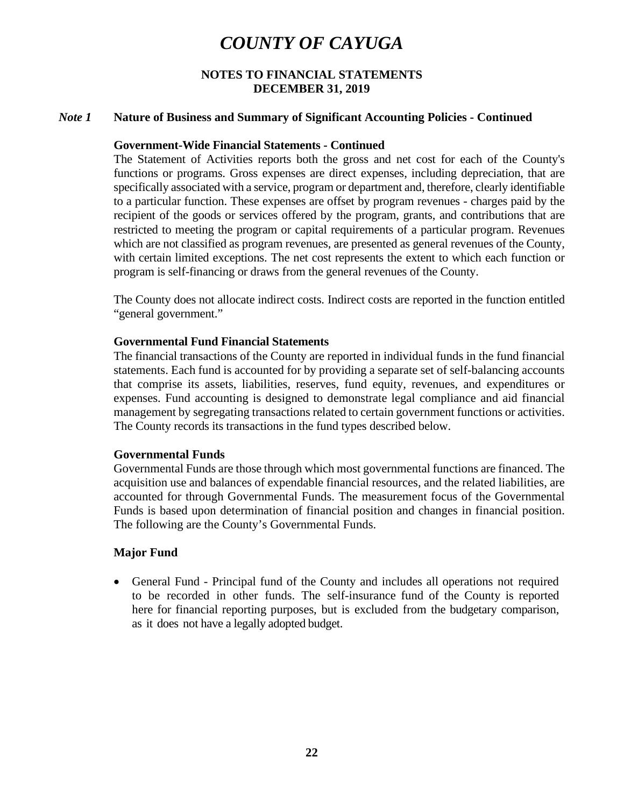# **NOTES TO FINANCIAL STATEMENTS DECEMBER 31, 2019**

### *Note 1* **Nature of Business and Summary of Significant Accounting Policies - Continued**

#### **Government-Wide Financial Statements - Continued**

The Statement of Activities reports both the gross and net cost for each of the County's functions or programs. Gross expenses are direct expenses, including depreciation, that are specifically associated with a service, program or department and, therefore, clearly identifiable to a particular function. These expenses are offset by program revenues - charges paid by the recipient of the goods or services offered by the program, grants, and contributions that are restricted to meeting the program or capital requirements of a particular program. Revenues which are not classified as program revenues, are presented as general revenues of the County, with certain limited exceptions. The net cost represents the extent to which each function or program is self-financing or draws from the general revenues of the County.

The County does not allocate indirect costs. Indirect costs are reported in the function entitled "general government."

### **Governmental Fund Financial Statements**

The financial transactions of the County are reported in individual funds in the fund financial statements. Each fund is accounted for by providing a separate set of self-balancing accounts that comprise its assets, liabilities, reserves, fund equity, revenues, and expenditures or expenses. Fund accounting is designed to demonstrate legal compliance and aid financial management by segregating transactions related to certain government functions or activities. The County records its transactions in the fund types described below.

#### **Governmental Funds**

Governmental Funds are those through which most governmental functions are financed. The acquisition use and balances of expendable financial resources, and the related liabilities, are accounted for through Governmental Funds. The measurement focus of the Governmental Funds is based upon determination of financial position and changes in financial position. The following are the County's Governmental Funds.

## **Major Fund**

• General Fund - Principal fund of the County and includes all operations not required to be recorded in other funds. The self-insurance fund of the County is reported here for financial reporting purposes, but is excluded from the budgetary comparison, as it does not have a legally adopted budget.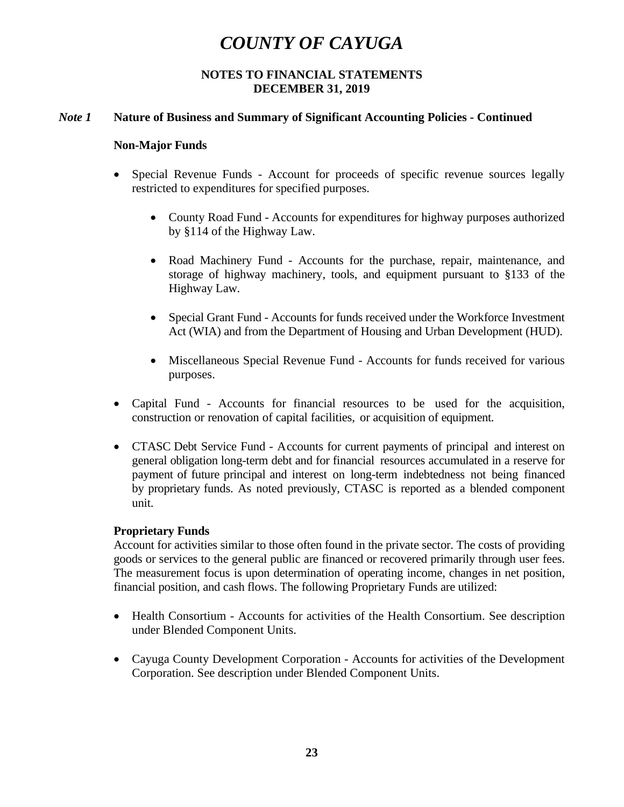# **NOTES TO FINANCIAL STATEMENTS DECEMBER 31, 2019**

# *Note 1* **Nature of Business and Summary of Significant Accounting Policies - Continued**

## **Non-Major Funds**

- Special Revenue Funds Account for proceeds of specific revenue sources legally restricted to expenditures for specified purposes.
	- County Road Fund Accounts for expenditures for highway purposes authorized by §114 of the Highway Law.
	- Road Machinery Fund Accounts for the purchase, repair, maintenance, and storage of highway machinery, tools, and equipment pursuant to §133 of the Highway Law.
	- Special Grant Fund Accounts for funds received under the Workforce Investment Act (WIA) and from the Department of Housing and Urban Development (HUD).
	- Miscellaneous Special Revenue Fund Accounts for funds received for various purposes.
- Capital Fund Accounts for financial resources to be used for the acquisition, construction or renovation of capital facilities, or acquisition of equipment.
- CTASC Debt Service Fund Accounts for current payments of principal and interest on general obligation long-term debt and for financial resources accumulated in a reserve for payment of future principal and interest on long-term indebtedness not being financed by proprietary funds. As noted previously, CTASC is reported as a blended component unit.

## **Proprietary Funds**

Account for activities similar to those often found in the private sector. The costs of providing goods or services to the general public are financed or recovered primarily through user fees. The measurement focus is upon determination of operating income, changes in net position, financial position, and cash flows. The following Proprietary Funds are utilized:

- Health Consortium Accounts for activities of the Health Consortium. See description under Blended Component Units.
- Cayuga County Development Corporation Accounts for activities of the Development Corporation. See description under Blended Component Units.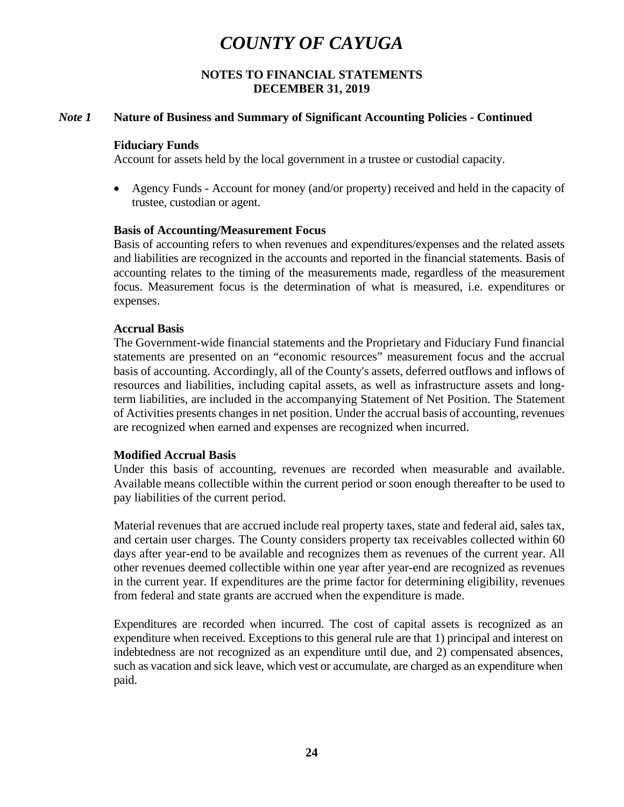# **NOTES TO FINANCIAL STATEMENTS DECEMBER 31, 2019**

## *Note 1* **Nature of Business and Summary of Significant Accounting Policies - Continued**

## **Fiduciary Funds**

Account for assets held by the local government in a trustee or custodial capacity.

• Agency Funds - Account for money (and/or property) received and held in the capacity of trustee, custodian or agent.

# **Basis of Accounting/Measurement Focus**

Basis of accounting refers to when revenues and expenditures/expenses and the related assets and liabilities are recognized in the accounts and reported in the financial statements. Basis of accounting relates to the timing of the measurements made, regardless of the measurement focus. Measurement focus is the determination of what is measured, i.e. expenditures or expenses.

## **Accrual Basis**

The Government-wide financial statements and the Proprietary and Fiduciary Fund financial statements are presented on an "economic resources" measurement focus and the accrual basis of accounting. Accordingly, all of the County's assets, deferred outflows and inflows of resources and liabilities, including capital assets, as well as infrastructure assets and longterm liabilities, are included in the accompanying Statement of Net Position. The Statement of Activities presents changes in net position. Under the accrual basis of accounting, revenues are recognized when earned and expenses are recognized when incurred.

## **Modified Accrual Basis**

Under this basis of accounting, revenues are recorded when measurable and available. Available means collectible within the current period or soon enough thereafter to be used to pay liabilities of the current period.

Material revenues that are accrued include real property taxes, state and federal aid, sales tax, and certain user charges. The County considers property tax receivables collected within 60 days after year-end to be available and recognizes them as revenues of the current year. All other revenues deemed collectible within one year after year-end are recognized as revenues in the current year. If expenditures are the prime factor for determining eligibility, revenues from federal and state grants are accrued when the expenditure is made.

Expenditures are recorded when incurred. The cost of capital assets is recognized as an expenditure when received. Exceptions to this general rule are that 1) principal and interest on indebtedness are not recognized as an expenditure until due, and 2) compensated absences, such as vacation and sick leave, which vest or accumulate, are charged as an expenditure when paid.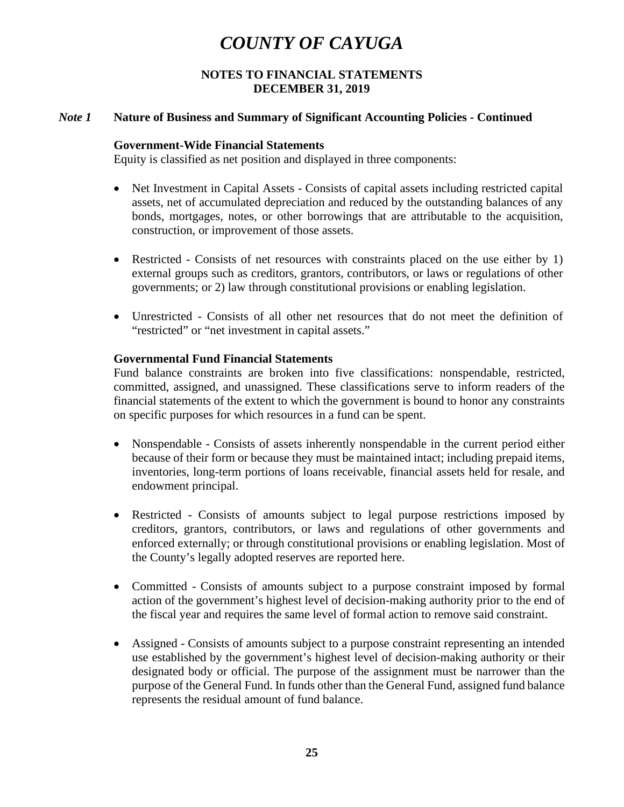# **NOTES TO FINANCIAL STATEMENTS DECEMBER 31, 2019**

## *Note 1* **Nature of Business and Summary of Significant Accounting Policies - Continued**

### **Government-Wide Financial Statements**

Equity is classified as net position and displayed in three components:

- Net Investment in Capital Assets Consists of capital assets including restricted capital assets, net of accumulated depreciation and reduced by the outstanding balances of any bonds, mortgages, notes, or other borrowings that are attributable to the acquisition, construction, or improvement of those assets.
- Restricted Consists of net resources with constraints placed on the use either by 1) external groups such as creditors, grantors, contributors, or laws or regulations of other governments; or 2) law through constitutional provisions or enabling legislation.
- Unrestricted Consists of all other net resources that do not meet the definition of "restricted" or "net investment in capital assets."

## **Governmental Fund Financial Statements**

Fund balance constraints are broken into five classifications: nonspendable, restricted, committed, assigned, and unassigned. These classifications serve to inform readers of the financial statements of the extent to which the government is bound to honor any constraints on specific purposes for which resources in a fund can be spent.

- Nonspendable Consists of assets inherently nonspendable in the current period either because of their form or because they must be maintained intact; including prepaid items, inventories, long-term portions of loans receivable, financial assets held for resale, and endowment principal.
- Restricted Consists of amounts subject to legal purpose restrictions imposed by creditors, grantors, contributors, or laws and regulations of other governments and enforced externally; or through constitutional provisions or enabling legislation. Most of the County's legally adopted reserves are reported here.
- Committed Consists of amounts subject to a purpose constraint imposed by formal action of the government's highest level of decision-making authority prior to the end of the fiscal year and requires the same level of formal action to remove said constraint.
- Assigned Consists of amounts subject to a purpose constraint representing an intended use established by the government's highest level of decision-making authority or their designated body or official. The purpose of the assignment must be narrower than the purpose of the General Fund. In funds other than the General Fund, assigned fund balance represents the residual amount of fund balance.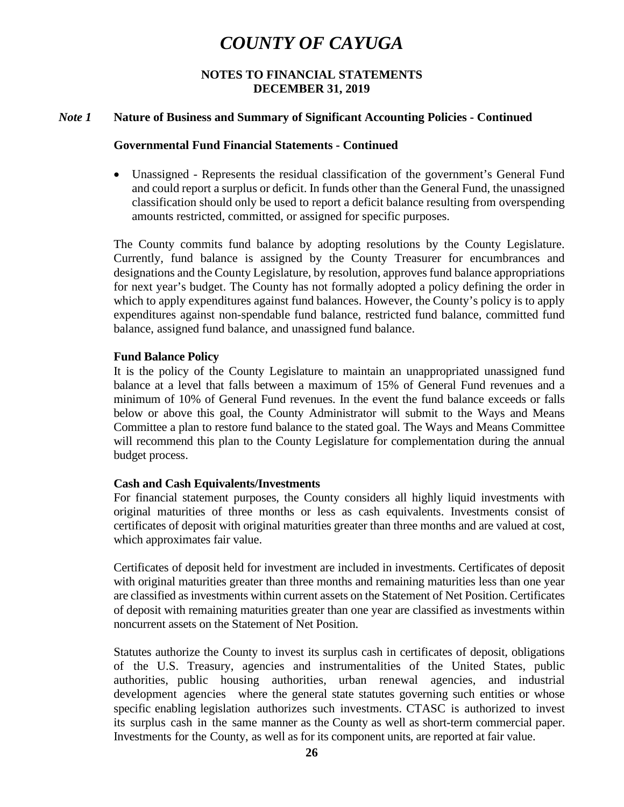# **NOTES TO FINANCIAL STATEMENTS DECEMBER 31, 2019**

### *Note 1* **Nature of Business and Summary of Significant Accounting Policies - Continued**

#### **Governmental Fund Financial Statements - Continued**

• Unassigned - Represents the residual classification of the government's General Fund and could report a surplus or deficit. In funds other than the General Fund, the unassigned classification should only be used to report a deficit balance resulting from overspending amounts restricted, committed, or assigned for specific purposes.

The County commits fund balance by adopting resolutions by the County Legislature. Currently, fund balance is assigned by the County Treasurer for encumbrances and designations and the County Legislature, by resolution, approves fund balance appropriations for next year's budget. The County has not formally adopted a policy defining the order in which to apply expenditures against fund balances. However, the County's policy is to apply expenditures against non-spendable fund balance, restricted fund balance, committed fund balance, assigned fund balance, and unassigned fund balance.

### **Fund Balance Policy**

It is the policy of the County Legislature to maintain an unappropriated unassigned fund balance at a level that falls between a maximum of 15% of General Fund revenues and a minimum of 10% of General Fund revenues. In the event the fund balance exceeds or falls below or above this goal, the County Administrator will submit to the Ways and Means Committee a plan to restore fund balance to the stated goal. The Ways and Means Committee will recommend this plan to the County Legislature for complementation during the annual budget process.

## **Cash and Cash Equivalents/Investments**

For financial statement purposes, the County considers all highly liquid investments with original maturities of three months or less as cash equivalents. Investments consist of certificates of deposit with original maturities greater than three months and are valued at cost, which approximates fair value.

Certificates of deposit held for investment are included in investments. Certificates of deposit with original maturities greater than three months and remaining maturities less than one year are classified as investments within current assets on the Statement of Net Position. Certificates of deposit with remaining maturities greater than one year are classified as investments within noncurrent assets on the Statement of Net Position.

Statutes authorize the County to invest its surplus cash in certificates of deposit, obligations of the U.S. Treasury, agencies and instrumentalities of the United States, public authorities, public housing authorities, urban renewal agencies, and industrial development agencies where the general state statutes governing such entities or whose specific enabling legislation authorizes such investments. CTASC is authorized to invest its surplus cash in the same manner as the County as well as short-term commercial paper. Investments for the County, as well as for its component units, are reported at fair value.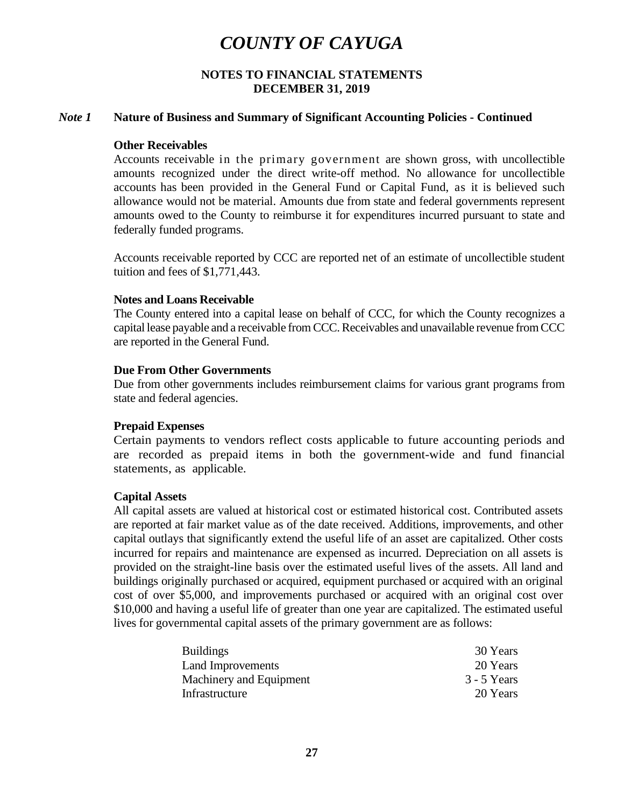# **NOTES TO FINANCIAL STATEMENTS DECEMBER 31, 2019**

#### *Note 1* **Nature of Business and Summary of Significant Accounting Policies - Continued**

#### **Other Receivables**

Accounts receivable in the primary government are shown gross, with uncollectible amounts recognized under the direct write-off method. No allowance for uncollectible accounts has been provided in the General Fund or Capital Fund, as it is believed such allowance would not be material. Amounts due from state and federal governments represent amounts owed to the County to reimburse it for expenditures incurred pursuant to state and federally funded programs.

Accounts receivable reported by CCC are reported net of an estimate of uncollectible student tuition and fees of \$1,771,443.

#### **Notes and Loans Receivable**

The County entered into a capital lease on behalf of CCC, for which the County recognizes a capital lease payable and a receivable from CCC. Receivables and unavailable revenue from CCC are reported in the General Fund.

### **Due From Other Governments**

Due from other governments includes reimbursement claims for various grant programs from state and federal agencies.

#### **Prepaid Expenses**

Certain payments to vendors reflect costs applicable to future accounting periods and are recorded as prepaid items in both the government-wide and fund financial statements, as applicable.

#### **Capital Assets**

All capital assets are valued at historical cost or estimated historical cost. Contributed assets are reported at fair market value as of the date received. Additions, improvements, and other capital outlays that significantly extend the useful life of an asset are capitalized. Other costs incurred for repairs and maintenance are expensed as incurred. Depreciation on all assets is provided on the straight-line basis over the estimated useful lives of the assets. All land and buildings originally purchased or acquired, equipment purchased or acquired with an original cost of over \$5,000, and improvements purchased or acquired with an original cost over \$10,000 and having a useful life of greater than one year are capitalized. The estimated useful lives for governmental capital assets of the primary government are as follows:

| <b>Buildings</b>        | 30 Years      |
|-------------------------|---------------|
| Land Improvements       | 20 Years      |
| Machinery and Equipment | $3 - 5$ Years |
| Infrastructure          | 20 Years      |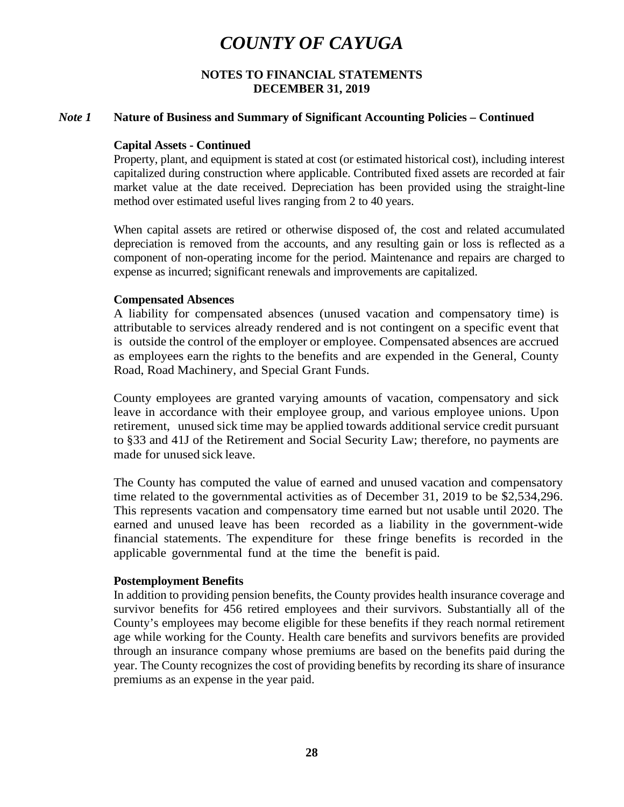# **NOTES TO FINANCIAL STATEMENTS DECEMBER 31, 2019**

### *Note 1* **Nature of Business and Summary of Significant Accounting Policies – Continued**

#### **Capital Assets - Continued**

Property, plant, and equipment is stated at cost (or estimated historical cost), including interest capitalized during construction where applicable. Contributed fixed assets are recorded at fair market value at the date received. Depreciation has been provided using the straight-line method over estimated useful lives ranging from 2 to 40 years.

When capital assets are retired or otherwise disposed of, the cost and related accumulated depreciation is removed from the accounts, and any resulting gain or loss is reflected as a component of non-operating income for the period. Maintenance and repairs are charged to expense as incurred; significant renewals and improvements are capitalized.

### **Compensated Absences**

A liability for compensated absences (unused vacation and compensatory time) is attributable to services already rendered and is not contingent on a specific event that is outside the control of the employer or employee. Compensated absences are accrued as employees earn the rights to the benefits and are expended in the General, County Road, Road Machinery, and Special Grant Funds.

County employees are granted varying amounts of vacation, compensatory and sick leave in accordance with their employee group, and various employee unions. Upon retirement, unused sick time may be applied towards additional service credit pursuant to §33 and 41J of the Retirement and Social Security Law; therefore, no payments are made for unused sick leave.

The County has computed the value of earned and unused vacation and compensatory time related to the governmental activities as of December 31, 2019 to be \$2,534,296. This represents vacation and compensatory time earned but not usable until 2020. The earned and unused leave has been recorded as a liability in the government-wide financial statements. The expenditure for these fringe benefits is recorded in the applicable governmental fund at the time the benefit is paid.

#### **Postemployment Benefits**

In addition to providing pension benefits, the County provides health insurance coverage and survivor benefits for 456 retired employees and their survivors. Substantially all of the County's employees may become eligible for these benefits if they reach normal retirement age while working for the County. Health care benefits and survivors benefits are provided through an insurance company whose premiums are based on the benefits paid during the year. The County recognizes the cost of providing benefits by recording its share of insurance premiums as an expense in the year paid.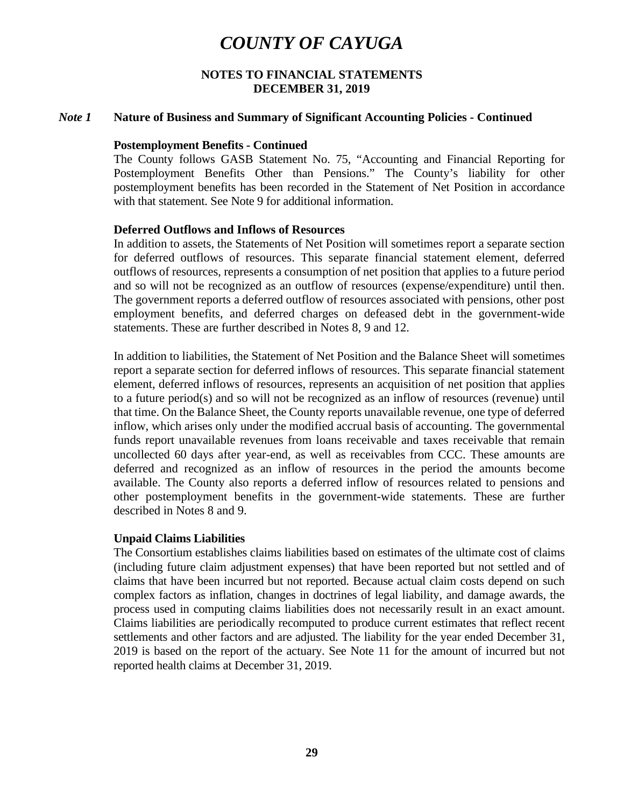# **NOTES TO FINANCIAL STATEMENTS DECEMBER 31, 2019**

#### *Note 1* **Nature of Business and Summary of Significant Accounting Policies - Continued**

#### **Postemployment Benefits - Continued**

The County follows GASB Statement No. 75, "Accounting and Financial Reporting for Postemployment Benefits Other than Pensions." The County's liability for other postemployment benefits has been recorded in the Statement of Net Position in accordance with that statement. See Note 9 for additional information.

### **Deferred Outflows and Inflows of Resources**

In addition to assets, the Statements of Net Position will sometimes report a separate section for deferred outflows of resources. This separate financial statement element, deferred outflows of resources, represents a consumption of net position that applies to a future period and so will not be recognized as an outflow of resources (expense/expenditure) until then. The government reports a deferred outflow of resources associated with pensions, other post employment benefits, and deferred charges on defeased debt in the government-wide statements. These are further described in Notes 8, 9 and 12.

In addition to liabilities, the Statement of Net Position and the Balance Sheet will sometimes report a separate section for deferred inflows of resources. This separate financial statement element, deferred inflows of resources, represents an acquisition of net position that applies to a future period(s) and so will not be recognized as an inflow of resources (revenue) until that time. On the Balance Sheet, the County reports unavailable revenue, one type of deferred inflow, which arises only under the modified accrual basis of accounting. The governmental funds report unavailable revenues from loans receivable and taxes receivable that remain uncollected 60 days after year-end, as well as receivables from CCC. These amounts are deferred and recognized as an inflow of resources in the period the amounts become available. The County also reports a deferred inflow of resources related to pensions and other postemployment benefits in the government-wide statements. These are further described in Notes 8 and 9.

## **Unpaid Claims Liabilities**

The Consortium establishes claims liabilities based on estimates of the ultimate cost of claims (including future claim adjustment expenses) that have been reported but not settled and of claims that have been incurred but not reported. Because actual claim costs depend on such complex factors as inflation, changes in doctrines of legal liability, and damage awards, the process used in computing claims liabilities does not necessarily result in an exact amount. Claims liabilities are periodically recomputed to produce current estimates that reflect recent settlements and other factors and are adjusted. The liability for the year ended December 31, 2019 is based on the report of the actuary. See Note 11 for the amount of incurred but not reported health claims at December 31, 2019.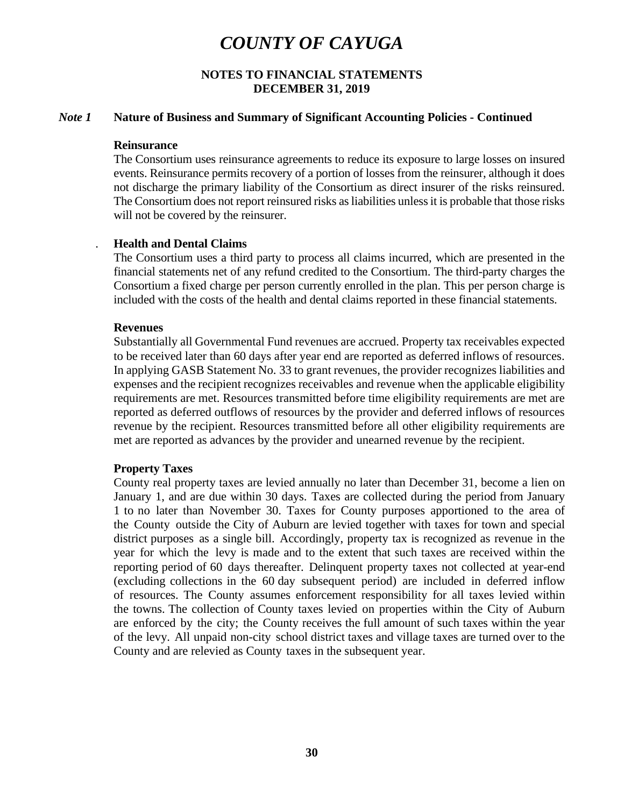# **NOTES TO FINANCIAL STATEMENTS DECEMBER 31, 2019**

#### *Note 1* **Nature of Business and Summary of Significant Accounting Policies - Continued**

#### **Reinsurance**

The Consortium uses reinsurance agreements to reduce its exposure to large losses on insured events. Reinsurance permits recovery of a portion of losses from the reinsurer, although it does not discharge the primary liability of the Consortium as direct insurer of the risks reinsured. The Consortium does not report reinsured risks as liabilities unless it is probable that those risks will not be covered by the reinsurer.

#### . **Health and Dental Claims**

The Consortium uses a third party to process all claims incurred, which are presented in the financial statements net of any refund credited to the Consortium. The third-party charges the Consortium a fixed charge per person currently enrolled in the plan. This per person charge is included with the costs of the health and dental claims reported in these financial statements.

#### **Revenues**

Substantially all Governmental Fund revenues are accrued. Property tax receivables expected to be received later than 60 days after year end are reported as deferred inflows of resources. In applying GASB Statement No. 33 to grant revenues, the provider recognizes liabilities and expenses and the recipient recognizes receivables and revenue when the applicable eligibility requirements are met. Resources transmitted before time eligibility requirements are met are reported as deferred outflows of resources by the provider and deferred inflows of resources revenue by the recipient. Resources transmitted before all other eligibility requirements are met are reported as advances by the provider and unearned revenue by the recipient.

#### **Property Taxes**

County real property taxes are levied annually no later than December 31, become a lien on January 1, and are due within 30 days. Taxes are collected during the period from January 1 to no later than November 30. Taxes for County purposes apportioned to the area of the County outside the City of Auburn are levied together with taxes for town and special district purposes as a single bill. Accordingly, property tax is recognized as revenue in the year for which the levy is made and to the extent that such taxes are received within the reporting period of 60 days thereafter. Delinquent property taxes not collected at year-end (excluding collections in the 60 day subsequent period) are included in deferred inflow of resources. The County assumes enforcement responsibility for all taxes levied within the towns. The collection of County taxes levied on properties within the City of Auburn are enforced by the city; the County receives the full amount of such taxes within the year of the levy. All unpaid non-city school district taxes and village taxes are turned over to the County and are relevied as County taxes in the subsequent year.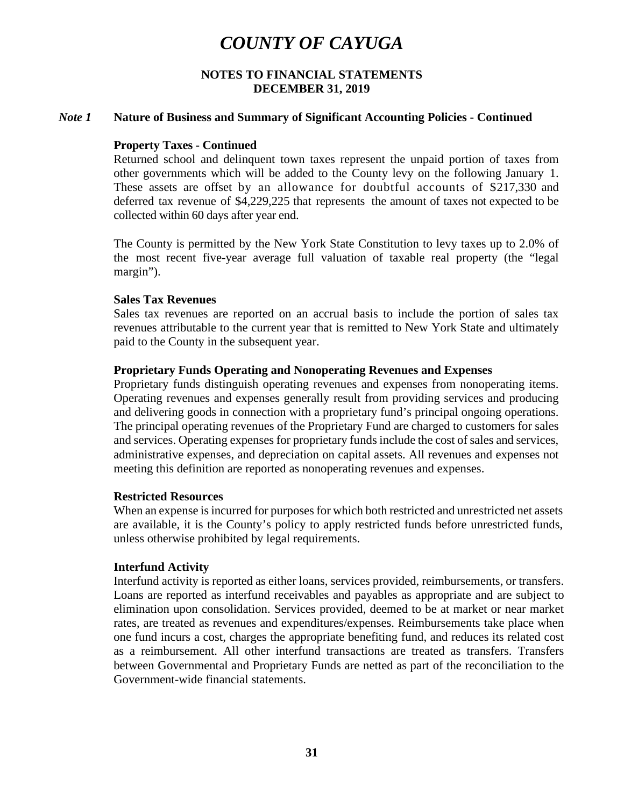# **NOTES TO FINANCIAL STATEMENTS DECEMBER 31, 2019**

### *Note 1* **Nature of Business and Summary of Significant Accounting Policies - Continued**

### **Property Taxes - Continued**

Returned school and delinquent town taxes represent the unpaid portion of taxes from other governments which will be added to the County levy on the following January 1. These assets are offset by an allowance for doubtful accounts of \$217,330 and deferred tax revenue of \$4,229,225 that represents the amount of taxes not expected to be collected within 60 days after year end.

The County is permitted by the New York State Constitution to levy taxes up to 2.0% of the most recent five-year average full valuation of taxable real property (the "legal margin").

### **Sales Tax Revenues**

Sales tax revenues are reported on an accrual basis to include the portion of sales tax revenues attributable to the current year that is remitted to New York State and ultimately paid to the County in the subsequent year.

### **Proprietary Funds Operating and Nonoperating Revenues and Expenses**

Proprietary funds distinguish operating revenues and expenses from nonoperating items. Operating revenues and expenses generally result from providing services and producing and delivering goods in connection with a proprietary fund's principal ongoing operations. The principal operating revenues of the Proprietary Fund are charged to customers for sales and services. Operating expenses for proprietary funds include the cost of sales and services, administrative expenses, and depreciation on capital assets. All revenues and expenses not meeting this definition are reported as nonoperating revenues and expenses.

#### **Restricted Resources**

When an expense is incurred for purposes for which both restricted and unrestricted net assets are available, it is the County's policy to apply restricted funds before unrestricted funds, unless otherwise prohibited by legal requirements.

## **Interfund Activity**

Interfund activity is reported as either loans, services provided, reimbursements, or transfers. Loans are reported as interfund receivables and payables as appropriate and are subject to elimination upon consolidation. Services provided, deemed to be at market or near market rates, are treated as revenues and expenditures/expenses. Reimbursements take place when one fund incurs a cost, charges the appropriate benefiting fund, and reduces its related cost as a reimbursement. All other interfund transactions are treated as transfers. Transfers between Governmental and Proprietary Funds are netted as part of the reconciliation to the Government-wide financial statements.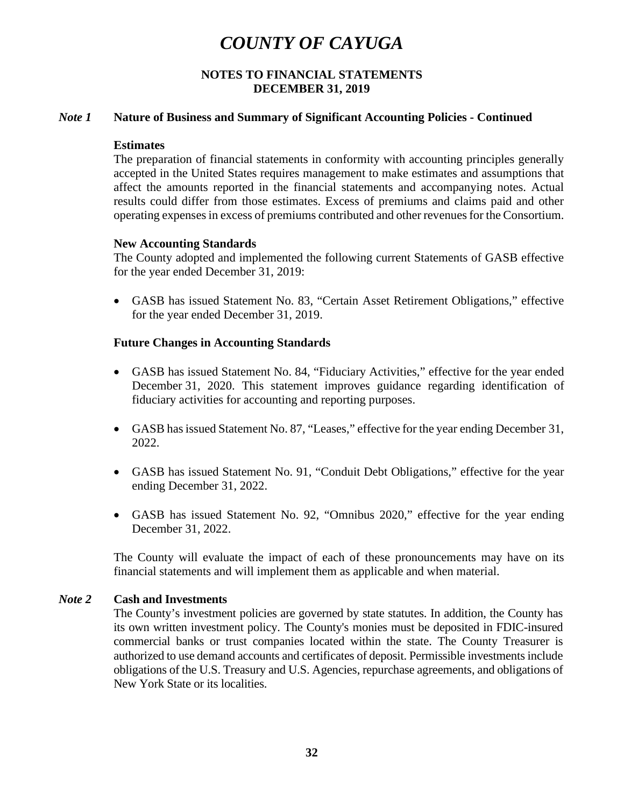# **NOTES TO FINANCIAL STATEMENTS DECEMBER 31, 2019**

## *Note 1* **Nature of Business and Summary of Significant Accounting Policies - Continued**

#### **Estimates**

The preparation of financial statements in conformity with accounting principles generally accepted in the United States requires management to make estimates and assumptions that affect the amounts reported in the financial statements and accompanying notes. Actual results could differ from those estimates. Excess of premiums and claims paid and other operating expenses in excess of premiums contributed and other revenues for the Consortium.

### **New Accounting Standards**

The County adopted and implemented the following current Statements of GASB effective for the year ended December 31, 2019:

• GASB has issued Statement No. 83, "Certain Asset Retirement Obligations," effective for the year ended December 31, 2019.

## **Future Changes in Accounting Standards**

- GASB has issued Statement No. 84, "Fiduciary Activities," effective for the year ended December 31, 2020. This statement improves guidance regarding identification of fiduciary activities for accounting and reporting purposes.
- GASB has issued Statement No. 87, "Leases," effective for the year ending December 31, 2022.
- GASB has issued Statement No. 91, "Conduit Debt Obligations," effective for the year ending December 31, 2022.
- GASB has issued Statement No. 92, "Omnibus 2020," effective for the year ending December 31, 2022.

The County will evaluate the impact of each of these pronouncements may have on its financial statements and will implement them as applicable and when material.

## *Note 2* **Cash and Investments**

The County's investment policies are governed by state statutes. In addition, the County has its own written investment policy. The County's monies must be deposited in FDIC-insured commercial banks or trust companies located within the state. The County Treasurer is authorized to use demand accounts and certificates of deposit. Permissible investments include obligations of the U.S. Treasury and U.S. Agencies, repurchase agreements, and obligations of New York State or its localities.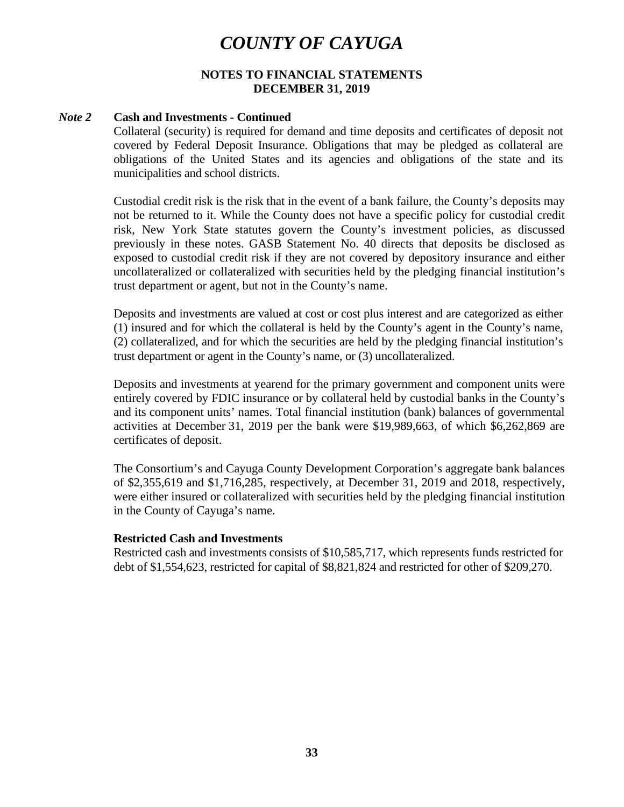# **NOTES TO FINANCIAL STATEMENTS DECEMBER 31, 2019**

### *Note 2* **Cash and Investments - Continued**

Collateral (security) is required for demand and time deposits and certificates of deposit not covered by Federal Deposit Insurance. Obligations that may be pledged as collateral are obligations of the United States and its agencies and obligations of the state and its municipalities and school districts.

Custodial credit risk is the risk that in the event of a bank failure, the County's deposits may not be returned to it. While the County does not have a specific policy for custodial credit risk, New York State statutes govern the County's investment policies, as discussed previously in these notes. GASB Statement No. 40 directs that deposits be disclosed as exposed to custodial credit risk if they are not covered by depository insurance and either uncollateralized or collateralized with securities held by the pledging financial institution's trust department or agent, but not in the County's name.

Deposits and investments are valued at cost or cost plus interest and are categorized as either (1) insured and for which the collateral is held by the County's agent in the County's name, (2) collateralized, and for which the securities are held by the pledging financial institution's trust department or agent in the County's name, or (3) uncollateralized.

Deposits and investments at yearend for the primary government and component units were entirely covered by FDIC insurance or by collateral held by custodial banks in the County's and its component units' names. Total financial institution (bank) balances of governmental activities at December 31, 2019 per the bank were \$19,989,663, of which \$6,262,869 are certificates of deposit.

The Consortium's and Cayuga County Development Corporation's aggregate bank balances of \$2,355,619 and \$1,716,285, respectively, at December 31, 2019 and 2018, respectively, were either insured or collateralized with securities held by the pledging financial institution in the County of Cayuga's name.

#### **Restricted Cash and Investments**

Restricted cash and investments consists of \$10,585,717, which represents funds restricted for debt of \$1,554,623, restricted for capital of \$8,821,824 and restricted for other of \$209,270.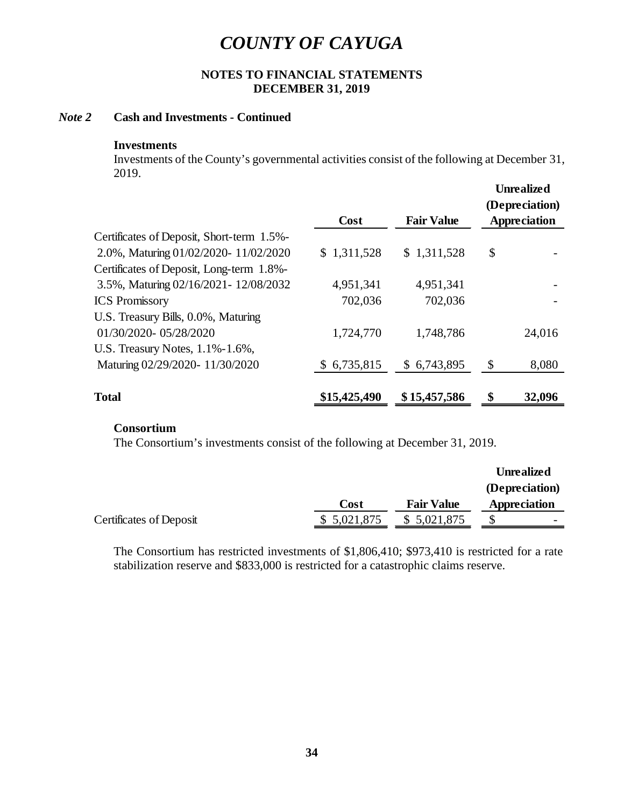# **NOTES TO FINANCIAL STATEMENTS DECEMBER 31, 2019**

## *Note 2* **Cash and Investments - Continued**

#### **Investments**

Investments of the County's governmental activities consist of the following at December 31, 2019.

|                                           |                  |                   | <b>Unrealized</b><br>(Depreciation) |
|-------------------------------------------|------------------|-------------------|-------------------------------------|
|                                           | Cost             | <b>Fair Value</b> | <b>Appreciation</b>                 |
| Certificates of Deposit, Short-term 1.5%- |                  |                   |                                     |
| 2.0%, Maturing 01/02/2020-11/02/2020      | \$1,311,528      | \$1,311,528       | \$                                  |
| Certificates of Deposit, Long-term 1.8%-  |                  |                   |                                     |
| 3.5%, Maturing 02/16/2021-12/08/2032      | 4,951,341        | 4,951,341         |                                     |
| <b>ICS Promissory</b>                     | 702,036          | 702,036           |                                     |
| U.S. Treasury Bills, 0.0%, Maturing       |                  |                   |                                     |
| 01/30/2020-05/28/2020                     | 1,724,770        | 1,748,786         | 24,016                              |
| U.S. Treasury Notes, 1.1%-1.6%,           |                  |                   |                                     |
| Maturing 02/29/2020-11/30/2020            | 6,735,815<br>SS. | \$6,743,895       | \$<br>8,080                         |
| <b>Total</b>                              | \$15,425,490     | \$15,457,586      | \$<br>32,096                        |

#### **Consortium**

The Consortium's investments consist of the following at December 31, 2019.

|                         |             |                   | <b>Unrealized</b>   |
|-------------------------|-------------|-------------------|---------------------|
|                         |             |                   | (Depreciation)      |
|                         | Cost        | <b>Fair Value</b> | <b>Appreciation</b> |
| Certificates of Deposit | \$5,021,875 | \$5,021,875       |                     |

The Consortium has restricted investments of \$1,806,410; \$973,410 is restricted for a rate stabilization reserve and \$833,000 is restricted for a catastrophic claims reserve.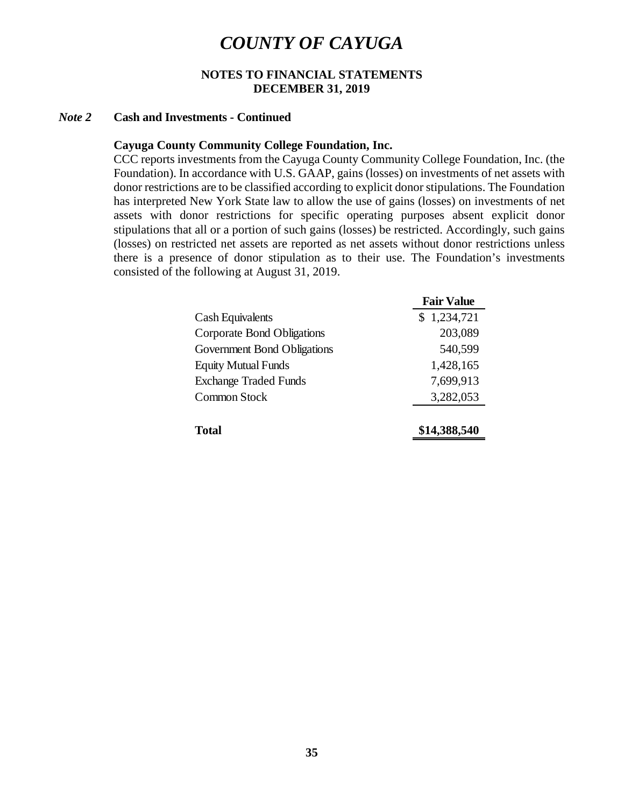## **NOTES TO FINANCIAL STATEMENTS DECEMBER 31, 2019**

#### *Note 2* **Cash and Investments - Continued**

#### **Cayuga County Community College Foundation, Inc.**

CCC reports investments from the Cayuga County Community College Foundation, Inc. (the Foundation). In accordance with U.S. GAAP, gains (losses) on investments of net assets with donor restrictions are to be classified according to explicit donor stipulations. The Foundation has interpreted New York State law to allow the use of gains (losses) on investments of net assets with donor restrictions for specific operating purposes absent explicit donor stipulations that all or a portion of such gains (losses) be restricted. Accordingly, such gains (losses) on restricted net assets are reported as net assets without donor restrictions unless there is a presence of donor stipulation as to their use. The Foundation's investments consisted of the following at August 31, 2019.

|                              | <b>Fair Value</b> |
|------------------------------|-------------------|
| <b>Cash Equivalents</b>      | \$1,234,721       |
| Corporate Bond Obligations   | 203,089           |
| Government Bond Obligations  | 540,599           |
| <b>Equity Mutual Funds</b>   | 1,428,165         |
| <b>Exchange Traded Funds</b> | 7,699,913         |
| Common Stock                 | 3,282,053         |
| <b>Total</b>                 | \$14,388,540      |
|                              |                   |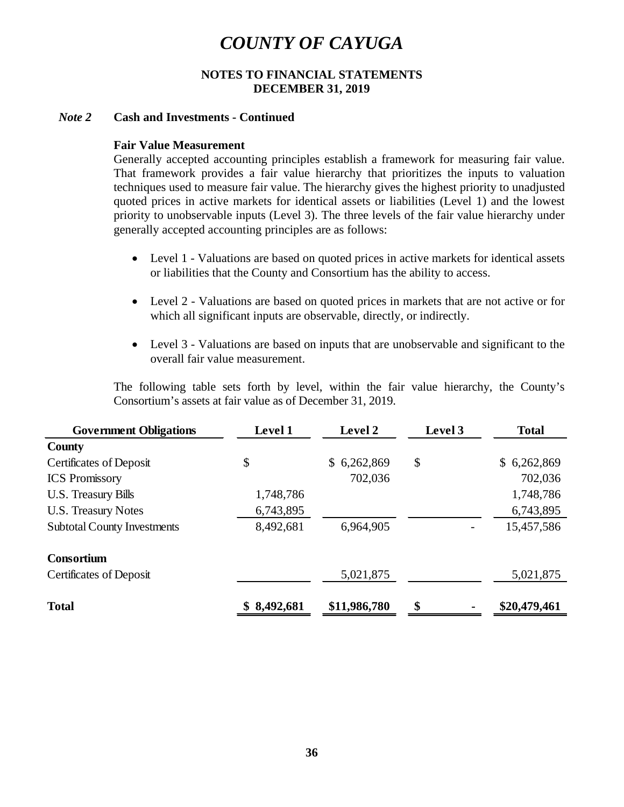# **NOTES TO FINANCIAL STATEMENTS DECEMBER 31, 2019**

### *Note 2* **Cash and Investments - Continued**

#### **Fair Value Measurement**

Generally accepted accounting principles establish a framework for measuring fair value. That framework provides a fair value hierarchy that prioritizes the inputs to valuation techniques used to measure fair value. The hierarchy gives the highest priority to unadjusted quoted prices in active markets for identical assets or liabilities (Level 1) and the lowest priority to unobservable inputs (Level 3). The three levels of the fair value hierarchy under generally accepted accounting principles are as follows:

- Level 1 Valuations are based on quoted prices in active markets for identical assets or liabilities that the County and Consortium has the ability to access.
- Level 2 Valuations are based on quoted prices in markets that are not active or for which all significant inputs are observable, directly, or indirectly.
- Level 3 Valuations are based on inputs that are unobservable and significant to the overall fair value measurement.

The following table sets forth by level, within the fair value hierarchy, the County's Consortium's assets at fair value as of December 31, 2019.

| <b>Government Obligations</b>      | Level 1     | Level 2      | Level 3 | <b>Total</b> |
|------------------------------------|-------------|--------------|---------|--------------|
| County                             |             |              |         |              |
| <b>Certificates of Deposit</b>     | \$          | \$6,262,869  | \$      | \$6,262,869  |
| <b>ICS</b> Promissory              |             | 702,036      |         | 702,036      |
| U.S. Treasury Bills                | 1,748,786   |              |         | 1,748,786    |
| U.S. Treasury Notes                | 6,743,895   |              |         | 6,743,895    |
| <b>Subtotal County Investments</b> | 8,492,681   | 6,964,905    |         | 15,457,586   |
| <b>Consortium</b>                  |             |              |         |              |
| Certificates of Deposit            |             | 5,021,875    |         | 5,021,875    |
| <b>Total</b>                       | \$8,492,681 | \$11,986,780 | \$      | \$20,479,461 |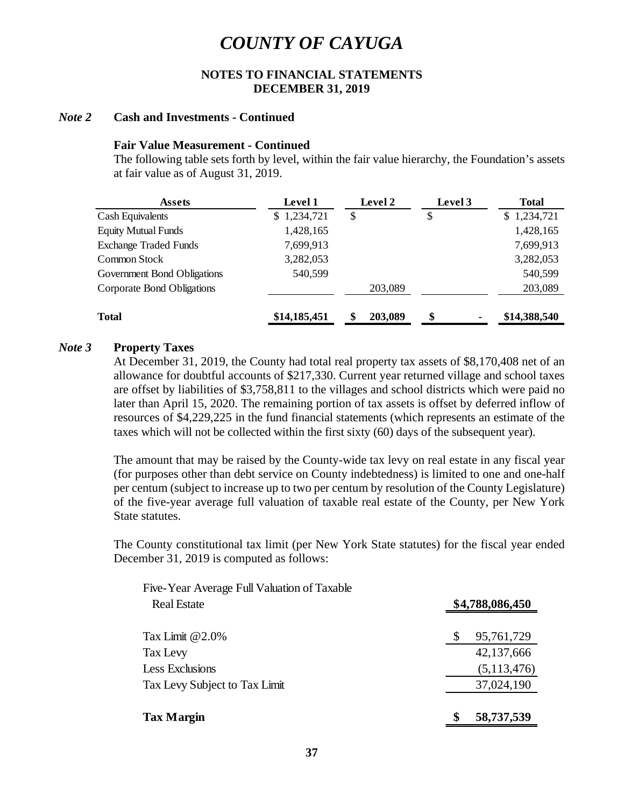## **NOTES TO FINANCIAL STATEMENTS DECEMBER 31, 2019**

### *Note 2* **Cash and Investments - Continued**

#### **Fair Value Measurement - Continued**

The following table sets forth by level, within the fair value hierarchy, the Foundation's assets at fair value as of August 31, 2019.

| <b>Assets</b>                | Level 1      | Level 2 | Level 3              | <b>Total</b> |
|------------------------------|--------------|---------|----------------------|--------------|
| Cash Equivalents             | \$1,234,721  | \$      | \$                   | \$1,234,721  |
| <b>Equity Mutual Funds</b>   | 1,428,165    |         |                      | 1,428,165    |
| <b>Exchange Traded Funds</b> | 7,699,913    |         |                      | 7,699,913    |
| Common Stock                 | 3,282,053    |         |                      | 3,282,053    |
| Government Bond Obligations  | 540,599      |         |                      | 540,599      |
| Corporate Bond Obligations   |              | 203,089 |                      | 203,089      |
|                              |              |         |                      |              |
| <b>Total</b>                 | \$14,185,451 | 203,089 | \$<br>$\blacksquare$ | \$14,388,540 |

### *Note 3* **Property Taxes**

At December 31, 2019, the County had total real property tax assets of \$8,170,408 net of an allowance for doubtful accounts of \$217,330. Current year returned village and school taxes are offset by liabilities of \$3,758,811 to the villages and school districts which were paid no later than April 15, 2020. The remaining portion of tax assets is offset by deferred inflow of resources of \$4,229,225 in the fund financial statements (which represents an estimate of the taxes which will not be collected within the first sixty (60) days of the subsequent year).

The amount that may be raised by the County-wide tax levy on real estate in any fiscal year (for purposes other than debt service on County indebtedness) is limited to one and one-half per centum (subject to increase up to two per centum by resolution of the County Legislature) of the five-year average full valuation of taxable real estate of the County, per New York State statutes.

The County constitutional tax limit (per New York State statutes) for the fiscal year ended December 31, 2019 is computed as follows:

| Five-Year Average Full Valuation of Taxable |                 |             |  |
|---------------------------------------------|-----------------|-------------|--|
| <b>Real Estate</b>                          | \$4,788,086,450 |             |  |
|                                             |                 |             |  |
| Tax Limit $@2.0\%$                          | \$              | 95,761,729  |  |
| Tax Levy                                    |                 | 42,137,666  |  |
| <b>Less Exclusions</b>                      |                 | (5,113,476) |  |
| Tax Levy Subject to Tax Limit               |                 | 37,024,190  |  |
|                                             |                 |             |  |
| <b>Tax Margin</b>                           |                 | 58,737,539  |  |
|                                             |                 |             |  |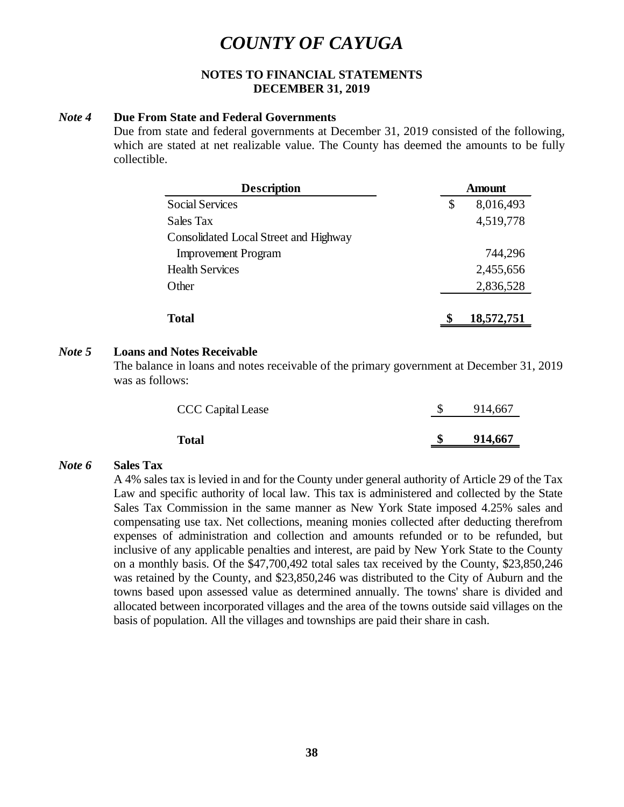## **NOTES TO FINANCIAL STATEMENTS DECEMBER 31, 2019**

#### *Note 4* **Due From State and Federal Governments**

Due from state and federal governments at December 31, 2019 consisted of the following, which are stated at net realizable value. The County has deemed the amounts to be fully collectible.

| <b>Description</b>                    | Amount          |
|---------------------------------------|-----------------|
| <b>Social Services</b>                | \$<br>8,016,493 |
| Sales Tax                             | 4,519,778       |
| Consolidated Local Street and Highway |                 |
| <b>Improvement Program</b>            | 744,296         |
| <b>Health Services</b>                | 2,455,656       |
| Other                                 | 2,836,528       |
|                                       |                 |
| Total                                 | 18,572,751      |

### *Note 5* **Loans and Notes Receivable**

The balance in loans and notes receivable of the primary government at December 31, 2019 was as follows:

| <b>CCC</b> Capital Lease | 914,667       |
|--------------------------|---------------|
|                          |               |
| <b>Total</b>             | \$<br>914,667 |

## *Note 6* **Sales Tax**

A 4% sales tax is levied in and for the County under general authority of Article 29 of the Tax Law and specific authority of local law. This tax is administered and collected by the State Sales Tax Commission in the same manner as New York State imposed 4.25% sales and compensating use tax. Net collections, meaning monies collected after deducting therefrom expenses of administration and collection and amounts refunded or to be refunded, but inclusive of any applicable penalties and interest, are paid by New York State to the County on a monthly basis. Of the \$47,700,492 total sales tax received by the County, \$23,850,246 was retained by the County, and \$23,850,246 was distributed to the City of Auburn and the towns based upon assessed value as determined annually. The towns' share is divided and allocated between incorporated villages and the area of the towns outside said villages on the basis of population. All the villages and townships are paid their share in cash.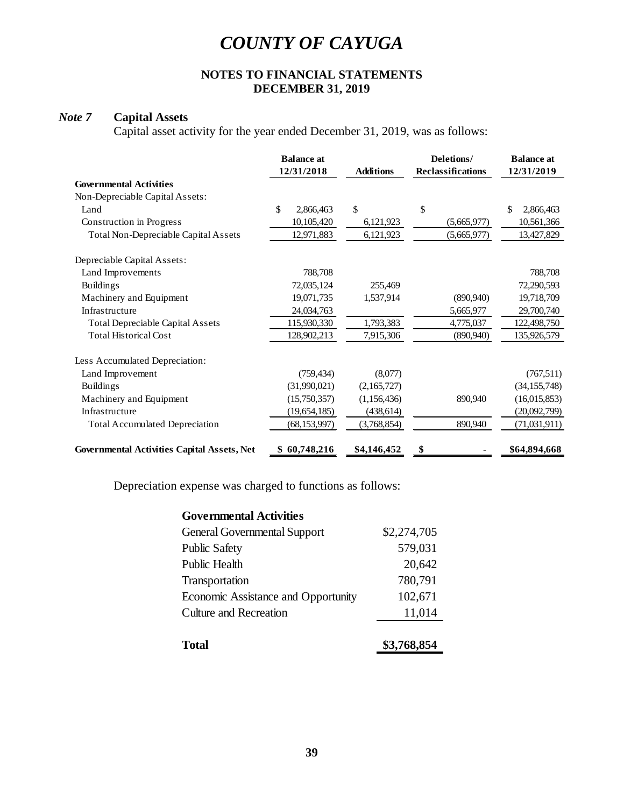# **NOTES TO FINANCIAL STATEMENTS DECEMBER 31, 2019**

# *Note 7* **Capital Assets**

Capital asset activity for the year ended December 31, 2019, was as follows:

|                                                    | <b>Balance</b> at<br>12/31/2018 | <b>Additions</b> | Deletions/<br><b>Reclassifications</b> | <b>Balance</b> at<br>12/31/2019 |
|----------------------------------------------------|---------------------------------|------------------|----------------------------------------|---------------------------------|
| <b>Governmental Activities</b>                     |                                 |                  |                                        |                                 |
| Non-Depreciable Capital Assets:                    |                                 |                  |                                        |                                 |
| Land                                               | \$<br>2,866,463                 | \$               | \$                                     | \$<br>2,866,463                 |
| Construction in Progress                           | 10,105,420                      | 6,121,923        | (5,665,977)                            | 10,561,366                      |
| <b>Total Non-Depreciable Capital Assets</b>        | 12,971,883                      | 6,121,923        | (5,665,977)                            | 13,427,829                      |
| Depreciable Capital Assets:                        |                                 |                  |                                        |                                 |
| Land Improvements                                  | 788,708                         |                  |                                        | 788,708                         |
| <b>Buildings</b>                                   | 72,035,124                      | 255,469          |                                        | 72,290,593                      |
| Machinery and Equipment                            | 19,071,735                      | 1,537,914        | (890, 940)                             | 19,718,709                      |
| Infrastructure                                     | 24,034,763                      |                  | 5,665,977                              | 29,700,740                      |
| <b>Total Depreciable Capital Assets</b>            | 115,930,330                     | 1,793,383        | 4,775,037                              | 122,498,750                     |
| <b>Total Historical Cost</b>                       | 128,902,213                     | 7,915,306        | (890,940)                              | 135,926,579                     |
| Less Accumulated Depreciation:                     |                                 |                  |                                        |                                 |
| Land Improvement                                   | (759, 434)                      | (8,077)          |                                        | (767,511)                       |
| <b>Buildings</b>                                   | (31,990,021)                    | (2,165,727)      |                                        | (34, 155, 748)                  |
| Machinery and Equipment                            | (15,750,357)                    | (1,156,436)      | 890,940                                | (16,015,853)                    |
| Infrastructure                                     | (19, 654, 185)                  | (438,614)        |                                        | (20,092,799)                    |
| <b>Total Accumulated Depreciation</b>              | (68, 153, 997)                  | (3,768,854)      | 890,940                                | (71, 031, 911)                  |
| <b>Governmental Activities Capital Assets, Net</b> | \$60,748,216                    | \$4,146,452      | \$                                     | \$64,894,668                    |

Depreciation expense was charged to functions as follows:

| <b>Governmental Activities</b>      |             |
|-------------------------------------|-------------|
| <b>General Governmental Support</b> | \$2,274,705 |
| <b>Public Safety</b>                | 579,031     |
| Public Health                       | 20,642      |
| Transportation                      | 780,791     |
| Economic Assistance and Opportunity | 102,671     |
| Culture and Recreation              | 11,014      |
|                                     |             |
| Total                               | \$3,768,854 |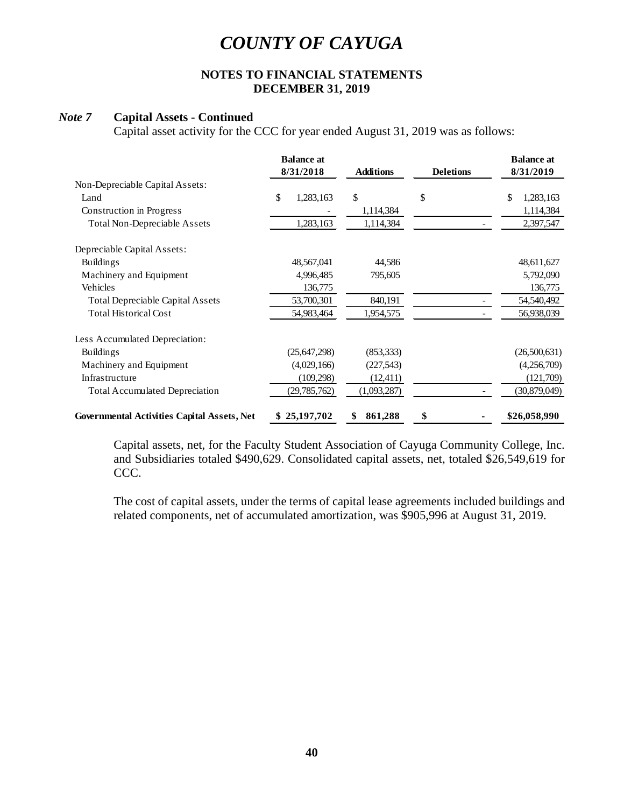# **NOTES TO FINANCIAL STATEMENTS DECEMBER 31, 2019**

#### *Note 7* **Capital Assets - Continued**

Capital asset activity for the CCC for year ended August 31, 2019 was as follows:

|                                                    | <b>Balance</b> at |                  |                  | <b>Balance</b> at |
|----------------------------------------------------|-------------------|------------------|------------------|-------------------|
|                                                    | 8/31/2018         | <b>Additions</b> | <b>Deletions</b> | 8/31/2019         |
| Non-Depreciable Capital Assets:                    |                   |                  |                  |                   |
| Land                                               | \$<br>1,283,163   | \$               | \$               | \$<br>1,283,163   |
| Construction in Progress                           |                   | 1,114,384        |                  | 1,114,384         |
| <b>Total Non-Depreciable Assets</b>                | 1,283,163         | 1,114,384        |                  | 2,397,547         |
| Depreciable Capital Assets:                        |                   |                  |                  |                   |
| <b>Buildings</b>                                   | 48,567,041        | 44,586           |                  | 48,611,627        |
| Machinery and Equipment                            | 4,996,485         | 795,605          |                  | 5,792,090         |
| Vehicles                                           | 136,775           |                  |                  | 136,775           |
| <b>Total Depreciable Capital Assets</b>            | 53,700,301        | 840,191          |                  | 54,540,492        |
| <b>Total Historical Cost</b>                       | 54,983,464        | 1,954,575        |                  | 56,938,039        |
| Less Accumulated Depreciation:                     |                   |                  |                  |                   |
| <b>Buildings</b>                                   | (25, 647, 298)    | (853, 333)       |                  | (26,500,631)      |
| Machinery and Equipment                            | (4,029,166)       | (227, 543)       |                  | (4,256,709)       |
| Infrastructure                                     | (109, 298)        | (12, 411)        |                  | (121,709)         |
| <b>Total Accumulated Depreciation</b>              | (29,785,762)      | (1,093,287)      |                  | (30,879,049)      |
| <b>Governmental Activities Capital Assets, Net</b> | \$25,197,702      | 861,288          | \$               | \$26,058,990      |

Capital assets, net, for the Faculty Student Association of Cayuga Community College, Inc. and Subsidiaries totaled \$490,629. Consolidated capital assets, net, totaled \$26,549,619 for CCC.

The cost of capital assets, under the terms of capital lease agreements included buildings and related components, net of accumulated amortization, was \$905,996 at August 31, 2019.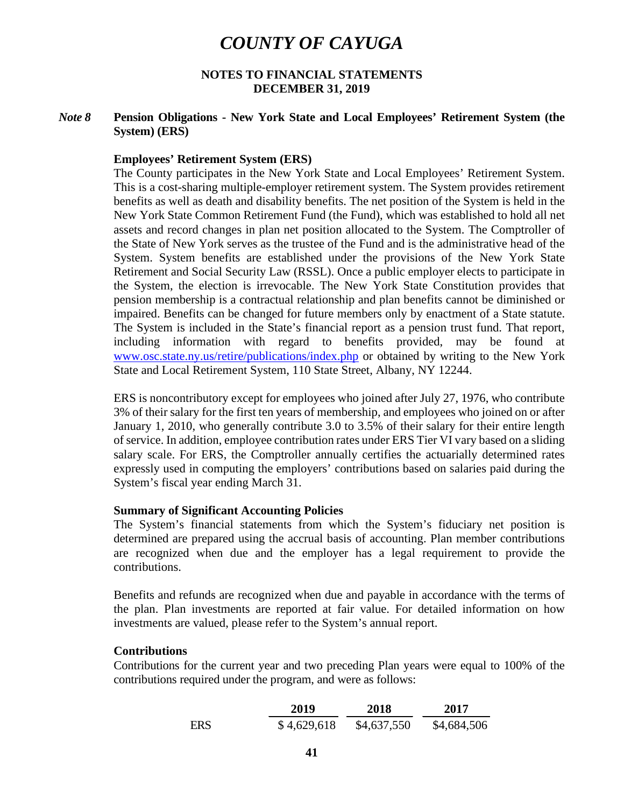## **NOTES TO FINANCIAL STATEMENTS DECEMBER 31, 2019**

### *Note 8* **Pension Obligations - New York State and Local Employees' Retirement System (the System) (ERS)**

#### **Employees' Retirement System (ERS)**

The County participates in the New York State and Local Employees' Retirement System. This is a cost-sharing multiple-employer retirement system. The System provides retirement benefits as well as death and disability benefits. The net position of the System is held in the New York State Common Retirement Fund (the Fund), which was established to hold all net assets and record changes in plan net position allocated to the System. The Comptroller of the State of New York serves as the trustee of the Fund and is the administrative head of the System. System benefits are established under the provisions of the New York State Retirement and Social Security Law (RSSL). Once a public employer elects to participate in the System, the election is irrevocable. The New York State Constitution provides that pension membership is a contractual relationship and plan benefits cannot be diminished or impaired. Benefits can be changed for future members only by enactment of a State statute. The System is included in the State's financial report as a pension trust fund. That report, including information with regard to benefits provided, may be found at www.osc.state.ny.us/retire/publications/index.php or obtained by writing to the New York State and Local Retirement System, 110 State Street, Albany, NY 12244.

ERS is noncontributory except for employees who joined after July 27, 1976, who contribute 3% of their salary for the first ten years of membership, and employees who joined on or after January 1, 2010, who generally contribute 3.0 to 3.5% of their salary for their entire length of service. In addition, employee contribution rates under ERS Tier VI vary based on a sliding salary scale. For ERS, the Comptroller annually certifies the actuarially determined rates expressly used in computing the employers' contributions based on salaries paid during the System's fiscal year ending March 31.

#### **Summary of Significant Accounting Policies**

The System's financial statements from which the System's fiduciary net position is determined are prepared using the accrual basis of accounting. Plan member contributions are recognized when due and the employer has a legal requirement to provide the contributions.

Benefits and refunds are recognized when due and payable in accordance with the terms of the plan. Plan investments are reported at fair value. For detailed information on how investments are valued, please refer to the System's annual report.

#### **Contributions**

Contributions for the current year and two preceding Plan years were equal to 100% of the contributions required under the program, and were as follows:

|     | 2019        | 2018        | 2017        |
|-----|-------------|-------------|-------------|
| ERS | \$4,629,618 | \$4,637,550 | \$4,684,506 |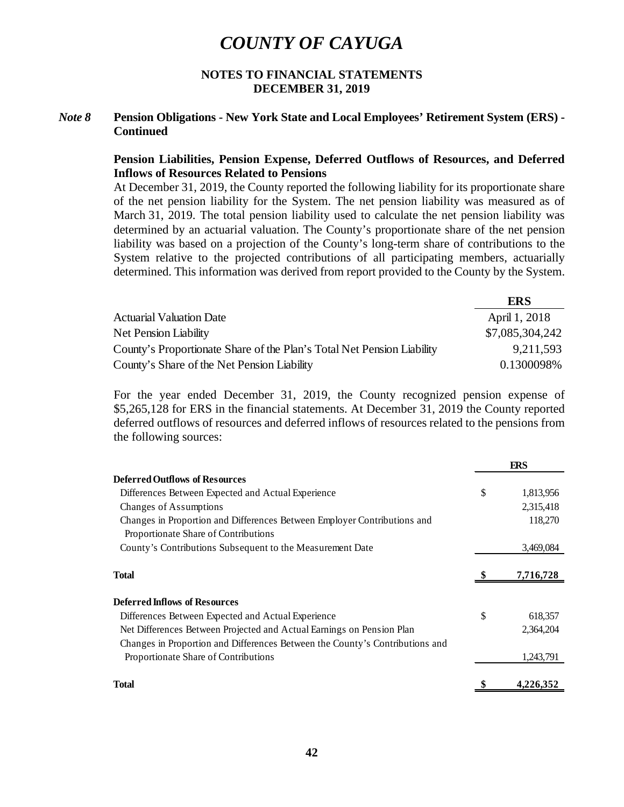## **NOTES TO FINANCIAL STATEMENTS DECEMBER 31, 2019**

## *Note 8* **Pension Obligations - New York State and Local Employees' Retirement System (ERS) - Continued**

## **Pension Liabilities, Pension Expense, Deferred Outflows of Resources, and Deferred Inflows of Resources Related to Pensions**

At December 31, 2019, the County reported the following liability for its proportionate share of the net pension liability for the System. The net pension liability was measured as of March 31, 2019. The total pension liability used to calculate the net pension liability was determined by an actuarial valuation. The County's proportionate share of the net pension liability was based on a projection of the County's long-term share of contributions to the System relative to the projected contributions of all participating members, actuarially determined. This information was derived from report provided to the County by the System.

|                                                                        | LKƏ             |
|------------------------------------------------------------------------|-----------------|
| <b>Actuarial Valuation Date</b>                                        | April 1, 2018   |
| Net Pension Liability                                                  | \$7,085,304,242 |
| County's Proportionate Share of the Plan's Total Net Pension Liability | 9,211,593       |
| County's Share of the Net Pension Liability                            | 0.1300098%      |

**ERS**

For the year ended December 31, 2019, the County recognized pension expense of \$5,265,128 for ERS in the financial statements. At December 31, 2019 the County reported deferred outflows of resources and deferred inflows of resources related to the pensions from the following sources:

|                                                                              | <b>ERS</b>      |
|------------------------------------------------------------------------------|-----------------|
| <b>Deferred Outflows of Resources</b>                                        |                 |
| Differences Between Expected and Actual Experience                           | \$<br>1,813,956 |
| Changes of Assumptions                                                       | 2,315,418       |
| Changes in Proportion and Differences Between Employer Contributions and     | 118,270         |
| Proportionate Share of Contributions                                         |                 |
| County's Contributions Subsequent to the Measurement Date                    | 3,469,084       |
|                                                                              |                 |
| <b>Total</b>                                                                 | 7,716,728       |
| <b>Deferred Inflows of Resources</b>                                         |                 |
| Differences Between Expected and Actual Experience                           | \$<br>618,357   |
| Net Differences Between Projected and Actual Earnings on Pension Plan        | 2,364,204       |
| Changes in Proportion and Differences Between the County's Contributions and |                 |
| Proportionate Share of Contributions                                         | 1,243,791       |
|                                                                              |                 |
| <b>Total</b>                                                                 | 4,226,352       |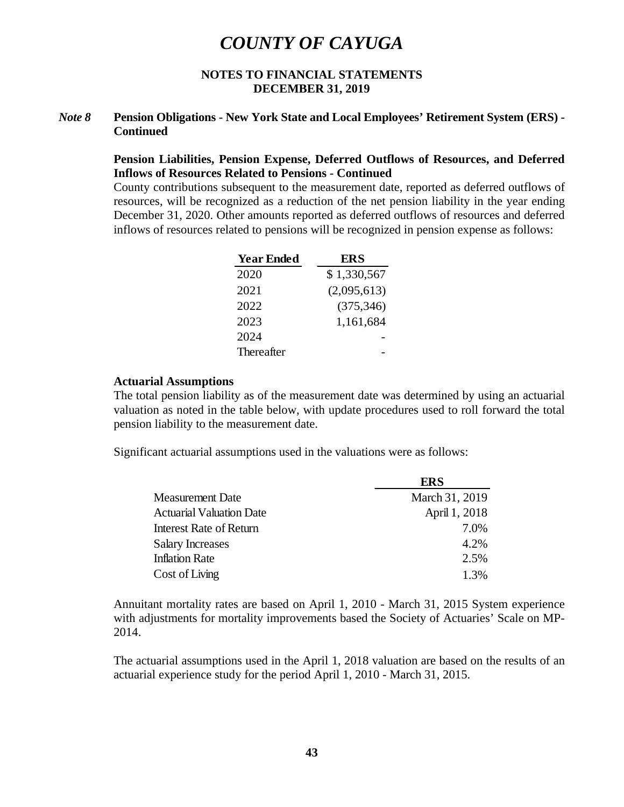## **NOTES TO FINANCIAL STATEMENTS DECEMBER 31, 2019**

## *Note 8* **Pension Obligations - New York State and Local Employees' Retirement System (ERS) - Continued**

## **Pension Liabilities, Pension Expense, Deferred Outflows of Resources, and Deferred Inflows of Resources Related to Pensions - Continued**

County contributions subsequent to the measurement date, reported as deferred outflows of resources, will be recognized as a reduction of the net pension liability in the year ending December 31, 2020. Other amounts reported as deferred outflows of resources and deferred inflows of resources related to pensions will be recognized in pension expense as follows:

| <b>Year Ended</b> | ERS         |
|-------------------|-------------|
| 2020              | \$1,330,567 |
| 2021              | (2,095,613) |
| 2022              | (375, 346)  |
| 2023              | 1,161,684   |
| 2024              |             |
| Thereafter        |             |

#### **Actuarial Assumptions**

The total pension liability as of the measurement date was determined by using an actuarial valuation as noted in the table below, with update procedures used to roll forward the total pension liability to the measurement date.

Significant actuarial assumptions used in the valuations were as follows:

|                                 | <b>ERS</b>     |
|---------------------------------|----------------|
| <b>Measurement Date</b>         | March 31, 2019 |
| <b>Actuarial Valuation Date</b> | April 1, 2018  |
| Interest Rate of Return         | 7.0%           |
| <b>Salary Increases</b>         | 4.2%           |
| <b>Inflation Rate</b>           | 2.5%           |
| Cost of Living                  | $1.3\%$        |

Annuitant mortality rates are based on April 1, 2010 - March 31, 2015 System experience with adjustments for mortality improvements based the Society of Actuaries' Scale on MP-2014.

The actuarial assumptions used in the April 1, 2018 valuation are based on the results of an actuarial experience study for the period April 1, 2010 - March 31, 2015.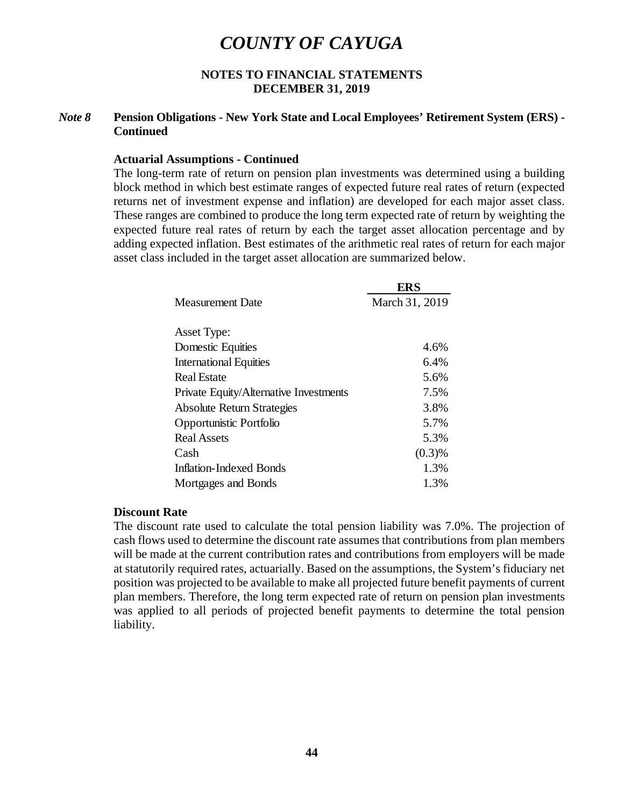## **NOTES TO FINANCIAL STATEMENTS DECEMBER 31, 2019**

## *Note 8* **Pension Obligations - New York State and Local Employees' Retirement System (ERS) - Continued**

#### **Actuarial Assumptions - Continued**

The long-term rate of return on pension plan investments was determined using a building block method in which best estimate ranges of expected future real rates of return (expected returns net of investment expense and inflation) are developed for each major asset class. These ranges are combined to produce the long term expected rate of return by weighting the expected future real rates of return by each the target asset allocation percentage and by adding expected inflation. Best estimates of the arithmetic real rates of return for each major asset class included in the target asset allocation are summarized below.

|                                        | <b>ERS</b>     |
|----------------------------------------|----------------|
| Measurement Date                       | March 31, 2019 |
|                                        |                |
| <b>Asset Type:</b>                     |                |
| Domestic Equities                      | 4.6%           |
| <b>International Equities</b>          | 6.4%           |
| <b>Real Estate</b>                     | 5.6%           |
| Private Equity/Alternative Investments | 7.5%           |
| <b>Absolute Return Strategies</b>      | 3.8%           |
| Opportunistic Portfolio                | 5.7%           |
| <b>Real Assets</b>                     | 5.3%           |
| Cash                                   | (0.3)%         |
| <b>Inflation-Indexed Bonds</b>         | 1.3%           |
| Mortgages and Bonds                    | 1.3%           |

#### **Discount Rate**

The discount rate used to calculate the total pension liability was 7.0%. The projection of cash flows used to determine the discount rate assumes that contributions from plan members will be made at the current contribution rates and contributions from employers will be made at statutorily required rates, actuarially. Based on the assumptions, the System's fiduciary net position was projected to be available to make all projected future benefit payments of current plan members. Therefore, the long term expected rate of return on pension plan investments was applied to all periods of projected benefit payments to determine the total pension liability.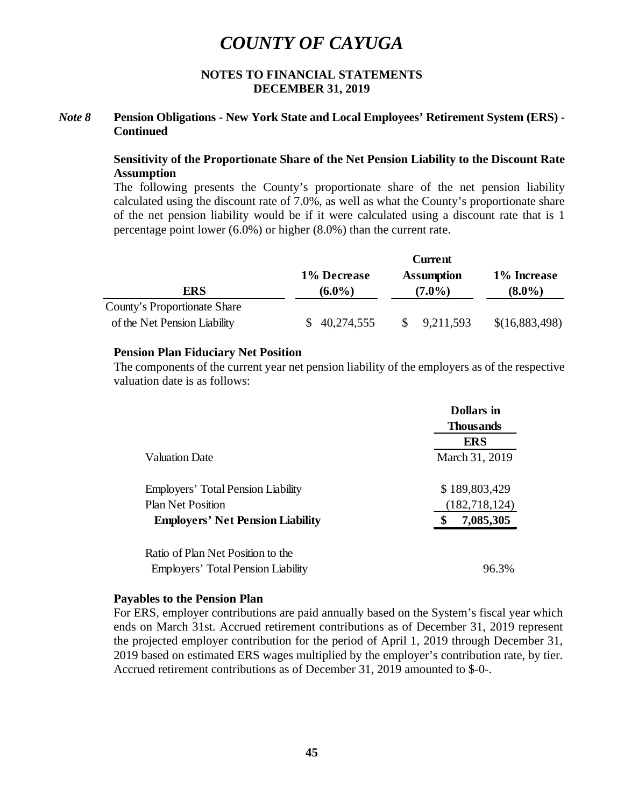## **NOTES TO FINANCIAL STATEMENTS DECEMBER 31, 2019**

### *Note 8* **Pension Obligations - New York State and Local Employees' Retirement System (ERS) - Continued**

## **Sensitivity of the Proportionate Share of the Net Pension Liability to the Discount Rate Assumption**

The following presents the County's proportionate share of the net pension liability calculated using the discount rate of 7.0%, as well as what the County's proportionate share of the net pension liability would be if it were calculated using a discount rate that is 1 percentage point lower (6.0%) or higher (8.0%) than the current rate.

|                                                              | <b>Current</b>           |                                |                          |
|--------------------------------------------------------------|--------------------------|--------------------------------|--------------------------|
| ERS                                                          | 1% Decrease<br>$(6.0\%)$ | <b>Assumption</b><br>$(7.0\%)$ | 1% Increase<br>$(8.0\%)$ |
| County's Proportionate Share<br>of the Net Pension Liability | 40,274,555               | 9,211,593                      | \$(16,883,498)           |

### **Pension Plan Fiduciary Net Position**

The components of the current year net pension liability of the employers as of the respective valuation date is as follows:

|                                           | Dollars in       |
|-------------------------------------------|------------------|
|                                           | <b>Thousands</b> |
|                                           | <b>ERS</b>       |
| <b>Valuation Date</b>                     | March 31, 2019   |
| <b>Employers' Total Pension Liability</b> | \$189,803,429    |
| <b>Plan Net Position</b>                  | (182, 718, 124)  |
| <b>Employers' Net Pension Liability</b>   | 7,085,305        |
| Ratio of Plan Net Position to the         |                  |
| <b>Employers' Total Pension Liability</b> | 96.3%            |

#### **Payables to the Pension Plan**

For ERS, employer contributions are paid annually based on the System's fiscal year which ends on March 31st. Accrued retirement contributions as of December 31, 2019 represent the projected employer contribution for the period of April 1, 2019 through December 31, 2019 based on estimated ERS wages multiplied by the employer's contribution rate, by tier. Accrued retirement contributions as of December 31, 2019 amounted to \$-0-.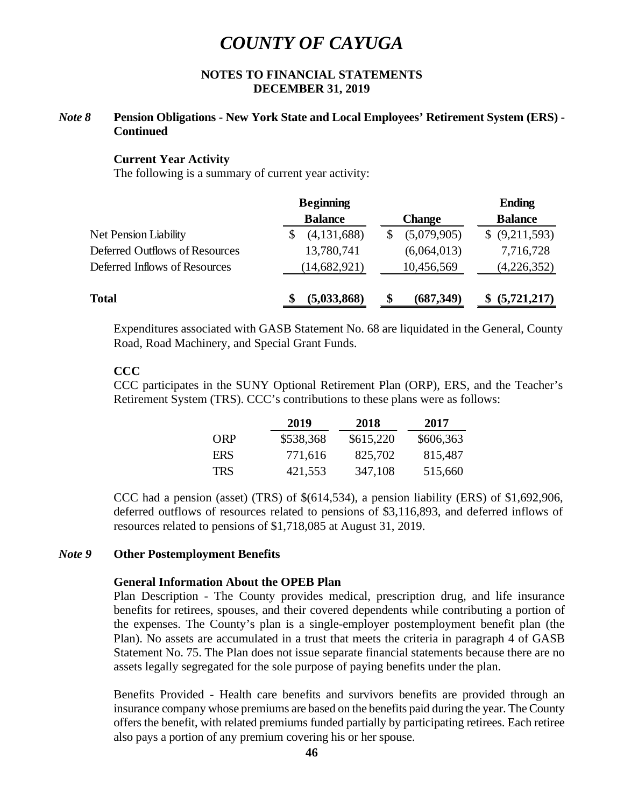## **NOTES TO FINANCIAL STATEMENTS DECEMBER 31, 2019**

## *Note 8* **Pension Obligations - New York State and Local Employees' Retirement System (ERS) - Continued**

#### **Current Year Activity**

The following is a summary of current year activity:

|                                | <b>Beginning</b> |                  | <b>Ending</b>  |
|--------------------------------|------------------|------------------|----------------|
|                                | <b>Balance</b>   | <b>Change</b>    | <b>Balance</b> |
| Net Pension Liability          | (4,131,688)      | (5,079,905)      | \$ (9,211,593) |
| Deferred Outflows of Resources | 13,780,741       | (6,064,013)      | 7,716,728      |
| Deferred Inflows of Resources  | (14, 682, 921)   | 10,456,569       | (4,226,352)    |
| <b>Total</b>                   | (5,033,868)      | \$<br>(687, 349) | (5,721,217)    |

Expenditures associated with GASB Statement No. 68 are liquidated in the General, County Road, Road Machinery, and Special Grant Funds.

#### **CCC**

CCC participates in the SUNY Optional Retirement Plan (ORP), ERS, and the Teacher's Retirement System (TRS). CCC's contributions to these plans were as follows:

|            | 2019      | 2018      | 2017      |
|------------|-----------|-----------|-----------|
| ORP        | \$538,368 | \$615,220 | \$606,363 |
| ERS        | 771.616   | 825,702   | 815,487   |
| <b>TRS</b> | 421,553   | 347,108   | 515,660   |

CCC had a pension (asset) (TRS) of \$(614,534), a pension liability (ERS) of \$1,692,906, deferred outflows of resources related to pensions of \$3,116,893, and deferred inflows of resources related to pensions of \$1,718,085 at August 31, 2019.

#### *Note 9* **Other Postemployment Benefits**

#### **General Information About the OPEB Plan**

Plan Description - The County provides medical, prescription drug, and life insurance benefits for retirees, spouses, and their covered dependents while contributing a portion of the expenses. The County's plan is a single-employer postemployment benefit plan (the Plan). No assets are accumulated in a trust that meets the criteria in paragraph 4 of GASB Statement No. 75. The Plan does not issue separate financial statements because there are no assets legally segregated for the sole purpose of paying benefits under the plan.

Benefits Provided - Health care benefits and survivors benefits are provided through an insurance company whose premiums are based on the benefits paid during the year. The County offers the benefit, with related premiums funded partially by participating retirees. Each retiree also pays a portion of any premium covering his or her spouse.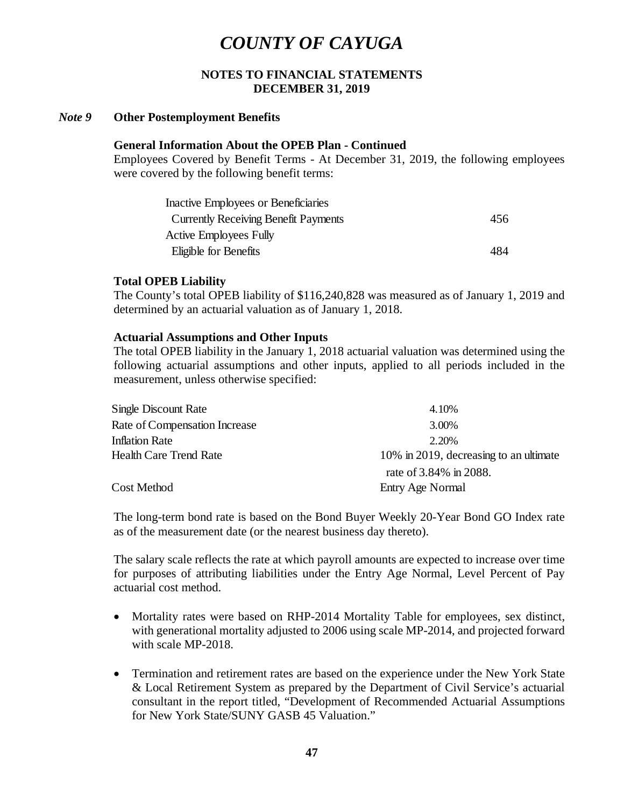# **NOTES TO FINANCIAL STATEMENTS DECEMBER 31, 2019**

### *Note 9* **Other Postemployment Benefits**

### **General Information About the OPEB Plan - Continued**

Employees Covered by Benefit Terms - At December 31, 2019, the following employees were covered by the following benefit terms:

| Inactive Employees or Beneficiaries         |     |
|---------------------------------------------|-----|
| <b>Currently Receiving Benefit Payments</b> | 456 |
| <b>Active Employees Fully</b>               |     |
| Eligible for Benefits                       | 484 |

## **Total OPEB Liability**

The County's total OPEB liability of \$116,240,828 was measured as of January 1, 2019 and determined by an actuarial valuation as of January 1, 2018.

#### **Actuarial Assumptions and Other Inputs**

The total OPEB liability in the January 1, 2018 actuarial valuation was determined using the following actuarial assumptions and other inputs, applied to all periods included in the measurement, unless otherwise specified:

| <b>Single Discount Rate</b>   | 4.10%                                  |
|-------------------------------|----------------------------------------|
| Rate of Compensation Increase | 3.00%                                  |
| <b>Inflation Rate</b>         | 2.20%                                  |
| <b>Health Care Trend Rate</b> | 10% in 2019, decreasing to an ultimate |
|                               | rate of 3.84% in 2088.                 |
| <b>Cost Method</b>            | Entry Age Normal                       |

The long-term bond rate is based on the Bond Buyer Weekly 20-Year Bond GO Index rate as of the measurement date (or the nearest business day thereto).

The salary scale reflects the rate at which payroll amounts are expected to increase over time for purposes of attributing liabilities under the Entry Age Normal, Level Percent of Pay actuarial cost method.

- Mortality rates were based on RHP-2014 Mortality Table for employees, sex distinct, with generational mortality adjusted to 2006 using scale MP-2014, and projected forward with scale MP-2018.
- Termination and retirement rates are based on the experience under the New York State & Local Retirement System as prepared by the Department of Civil Service's actuarial consultant in the report titled, "Development of Recommended Actuarial Assumptions for New York State/SUNY GASB 45 Valuation."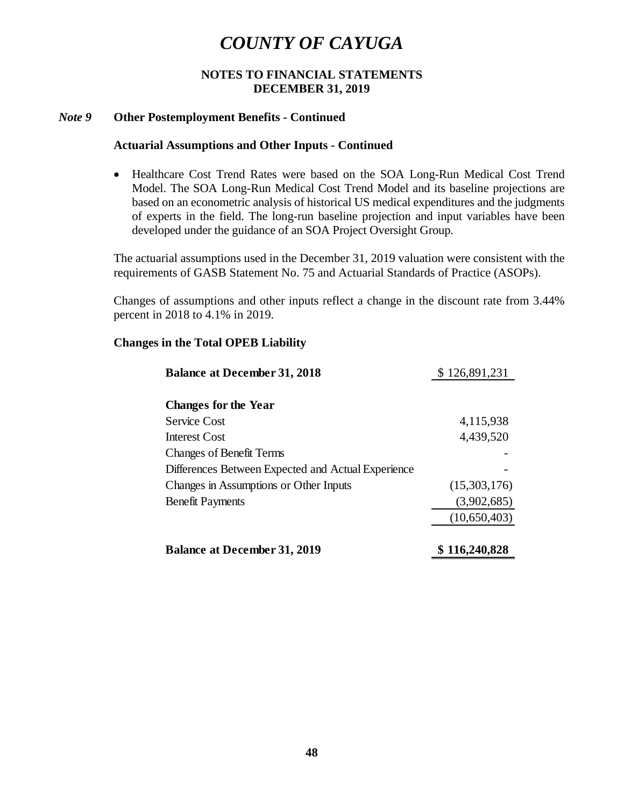## **NOTES TO FINANCIAL STATEMENTS DECEMBER 31, 2019**

### *Note 9* **Other Postemployment Benefits - Continued**

### **Actuarial Assumptions and Other Inputs - Continued**

• Healthcare Cost Trend Rates were based on the SOA Long-Run Medical Cost Trend Model. The SOA Long-Run Medical Cost Trend Model and its baseline projections are based on an econometric analysis of historical US medical expenditures and the judgments of experts in the field. The long-run baseline projection and input variables have been developed under the guidance of an SOA Project Oversight Group.

The actuarial assumptions used in the December 31, 2019 valuation were consistent with the requirements of GASB Statement No. 75 and Actuarial Standards of Practice (ASOPs).

Changes of assumptions and other inputs reflect a change in the discount rate from 3.44% percent in 2018 to 4.1% in 2019.

### **Changes in the Total OPEB Liability**

| <b>Balance at December 31, 2018</b>                | \$126,891,231 |
|----------------------------------------------------|---------------|
|                                                    |               |
| <b>Changes for the Year</b>                        |               |
| Service Cost                                       | 4,115,938     |
| Interest Cost                                      | 4,439,520     |
| <b>Changes of Benefit Terms</b>                    |               |
| Differences Between Expected and Actual Experience |               |
| Changes in Assumptions or Other Inputs             | (15,303,176)  |
| <b>Benefit Payments</b>                            | (3,902,685)   |
|                                                    | (10,650,403)  |
|                                                    |               |
| <b>Balance at December 31, 2019</b>                | \$116,240,828 |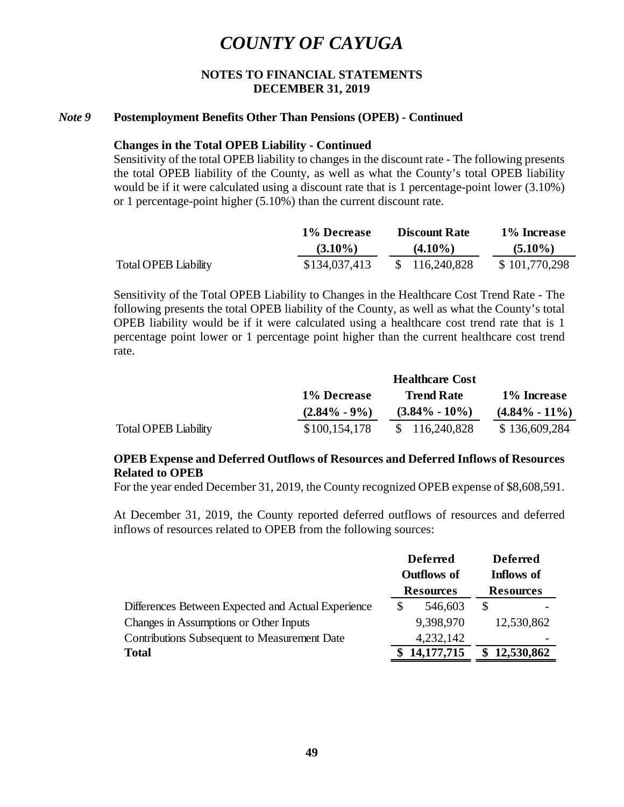## **NOTES TO FINANCIAL STATEMENTS DECEMBER 31, 2019**

#### *Note 9* **Postemployment Benefits Other Than Pensions (OPEB) - Continued**

#### **Changes in the Total OPEB Liability - Continued**

Sensitivity of the total OPEB liability to changes in the discount rate - The following presents the total OPEB liability of the County, as well as what the County's total OPEB liability would be if it were calculated using a discount rate that is 1 percentage-point lower (3.10%) or 1 percentage-point higher (5.10%) than the current discount rate.

|                             | 1% Decrease   | <b>Discount Rate</b> | 1% Increase   |
|-----------------------------|---------------|----------------------|---------------|
|                             | $(3.10\%)$    | $(4.10\%)$           | $(5.10\%)$    |
| <b>Total OPEB Liability</b> | \$134,037,413 | \$116,240,828        | \$101,770,298 |

Sensitivity of the Total OPEB Liability to Changes in the Healthcare Cost Trend Rate - The following presents the total OPEB liability of the County, as well as what the County's total OPEB liability would be if it were calculated using a healthcare cost trend rate that is 1 percentage point lower or 1 percentage point higher than the current healthcare cost trend rate.

|                             |                  | <b>Healthcare Cost</b> |                   |
|-----------------------------|------------------|------------------------|-------------------|
|                             | 1% Decrease      | <b>Trend Rate</b>      | 1% Increase       |
|                             | $(2.84\% - 9\%)$ | $(3.84\% - 10\%)$      | $(4.84\% - 11\%)$ |
| <b>Total OPEB Liability</b> | \$100,154,178    | \$116,240,828          | \$136,609,284     |

# **OPEB Expense and Deferred Outflows of Resources and Deferred Inflows of Resources Related to OPEB**

For the year ended December 31, 2019, the County recognized OPEB expense of \$8,608,591.

At December 31, 2019, the County reported deferred outflows of resources and deferred inflows of resources related to OPEB from the following sources:

|                                                    |                    | <b>Deferred</b>  |            | <b>Deferred</b>  |
|----------------------------------------------------|--------------------|------------------|------------|------------------|
|                                                    | <b>Outflows of</b> |                  | Inflows of |                  |
|                                                    |                    | <b>Resources</b> |            | <b>Resources</b> |
| Differences Between Expected and Actual Experience |                    | 546,603          | \$         |                  |
| Changes in Assumptions or Other Inputs             |                    | 9,398,970        |            | 12,530,862       |
| Contributions Subsequent to Measurement Date       |                    | 4,232,142        |            |                  |
| <b>Total</b>                                       |                    | 14, 177, 715     |            | \$12,530,862     |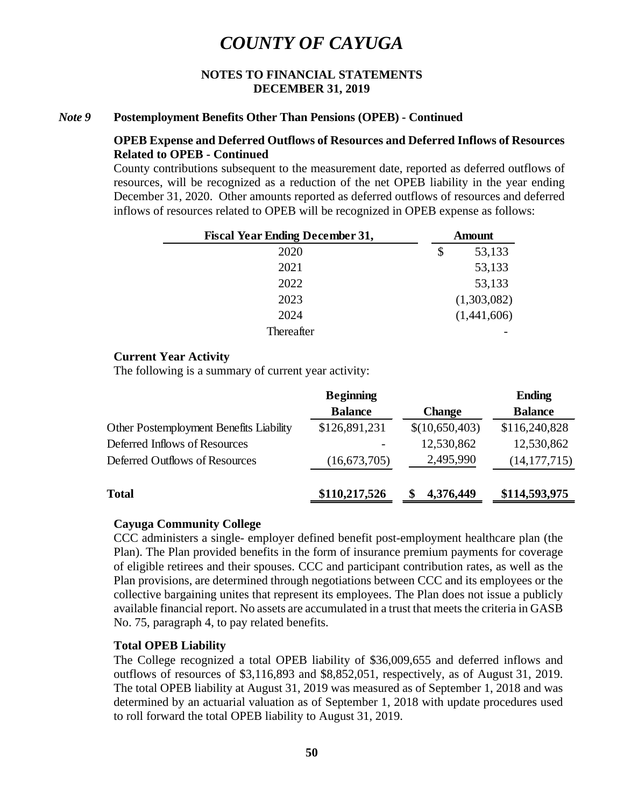## **NOTES TO FINANCIAL STATEMENTS DECEMBER 31, 2019**

#### *Note 9* **Postemployment Benefits Other Than Pensions (OPEB) - Continued**

## **OPEB Expense and Deferred Outflows of Resources and Deferred Inflows of Resources Related to OPEB - Continued**

County contributions subsequent to the measurement date, reported as deferred outflows of resources, will be recognized as a reduction of the net OPEB liability in the year ending December 31, 2020. Other amounts reported as deferred outflows of resources and deferred inflows of resources related to OPEB will be recognized in OPEB expense as follows:

| <b>Fiscal Year Ending December 31,</b> | <b>Amount</b> |  |  |
|----------------------------------------|---------------|--|--|
| 2020                                   | \$<br>53,133  |  |  |
| 2021                                   | 53,133        |  |  |
| 2022                                   | 53,133        |  |  |
| 2023                                   | (1,303,082)   |  |  |
| 2024                                   | (1,441,606)   |  |  |
| <b>Thereafter</b>                      |               |  |  |

### **Current Year Activity**

The following is a summary of current year activity:

|                                         | <b>Beginning</b> |                | <b>Ending</b>  |
|-----------------------------------------|------------------|----------------|----------------|
|                                         | <b>Balance</b>   | <b>Change</b>  | <b>Balance</b> |
| Other Postemployment Benefits Liability | \$126,891,231    | \$(10,650,403) | \$116,240,828  |
| Deferred Inflows of Resources           |                  | 12,530,862     | 12,530,862     |
| Deferred Outflows of Resources          | (16, 673, 705)   | 2,495,990      | (14, 177, 715) |
| <b>Total</b>                            | \$110,217,526    | 4,376,449      | \$114,593,975  |

## **Cayuga Community College**

CCC administers a single- employer defined benefit post-employment healthcare plan (the Plan). The Plan provided benefits in the form of insurance premium payments for coverage of eligible retirees and their spouses. CCC and participant contribution rates, as well as the Plan provisions, are determined through negotiations between CCC and its employees or the collective bargaining unites that represent its employees. The Plan does not issue a publicly available financial report. No assets are accumulated in a trust that meets the criteria in GASB No. 75, paragraph 4, to pay related benefits.

## **Total OPEB Liability**

The College recognized a total OPEB liability of \$36,009,655 and deferred inflows and outflows of resources of \$3,116,893 and \$8,852,051, respectively, as of August 31, 2019. The total OPEB liability at August 31, 2019 was measured as of September 1, 2018 and was determined by an actuarial valuation as of September 1, 2018 with update procedures used to roll forward the total OPEB liability to August 31, 2019.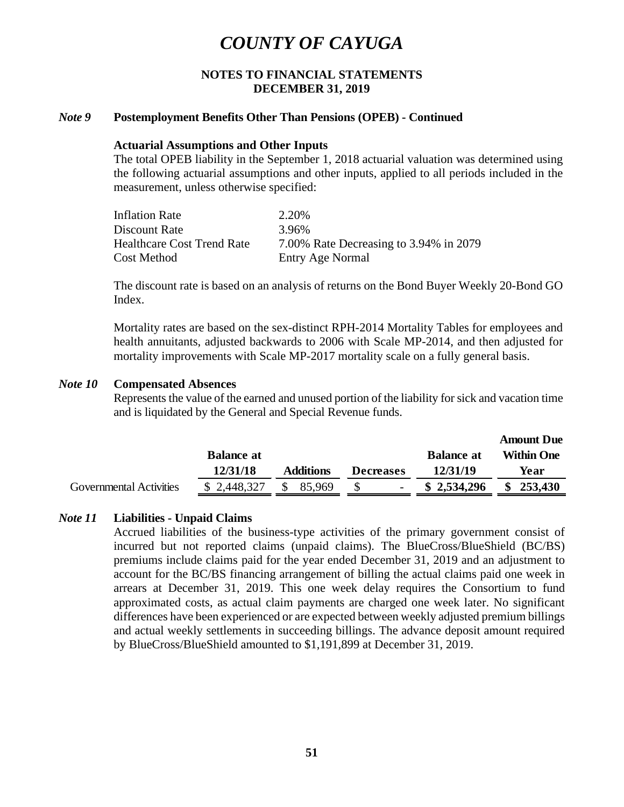## **NOTES TO FINANCIAL STATEMENTS DECEMBER 31, 2019**

### *Note 9* **Postemployment Benefits Other Than Pensions (OPEB) - Continued**

#### **Actuarial Assumptions and Other Inputs**

The total OPEB liability in the September 1, 2018 actuarial valuation was determined using the following actuarial assumptions and other inputs, applied to all periods included in the measurement, unless otherwise specified:

| Inflation Rate             | 2.20%                                  |
|----------------------------|----------------------------------------|
| Discount Rate              | 3.96%                                  |
| Healthcare Cost Trend Rate | 7.00% Rate Decreasing to 3.94% in 2079 |
| Cost Method                | Entry Age Normal                       |

The discount rate is based on an analysis of returns on the Bond Buyer Weekly 20-Bond GO Index.

Mortality rates are based on the sex-distinct RPH-2014 Mortality Tables for employees and health annuitants, adjusted backwards to 2006 with Scale MP-2014, and then adjusted for mortality improvements with Scale MP-2017 mortality scale on a fully general basis.

### *Note 10* **Compensated Absences**

Represents the value of the earned and unused portion of the liability for sick and vacation time and is liquidated by the General and Special Revenue funds.

|                                |                   |                  |                  |                   | <b>Amount Due</b> |
|--------------------------------|-------------------|------------------|------------------|-------------------|-------------------|
|                                | <b>Balance at</b> |                  |                  | <b>Balance at</b> | <b>Within One</b> |
|                                | 12/31/18          | <b>Additions</b> | <b>Decreases</b> | 12/31/19          | Year              |
| <b>Governmental Activities</b> | \$2,448,327       | 85,969           |                  | \$2,534,296       | \$253,430         |

## *Note 11* **Liabilities - Unpaid Claims**

Accrued liabilities of the business-type activities of the primary government consist of incurred but not reported claims (unpaid claims). The BlueCross/BlueShield (BC/BS) premiums include claims paid for the year ended December 31, 2019 and an adjustment to account for the BC/BS financing arrangement of billing the actual claims paid one week in arrears at December 31, 2019. This one week delay requires the Consortium to fund approximated costs, as actual claim payments are charged one week later. No significant differences have been experienced or are expected between weekly adjusted premium billings and actual weekly settlements in succeeding billings. The advance deposit amount required by BlueCross/BlueShield amounted to \$1,191,899 at December 31, 2019.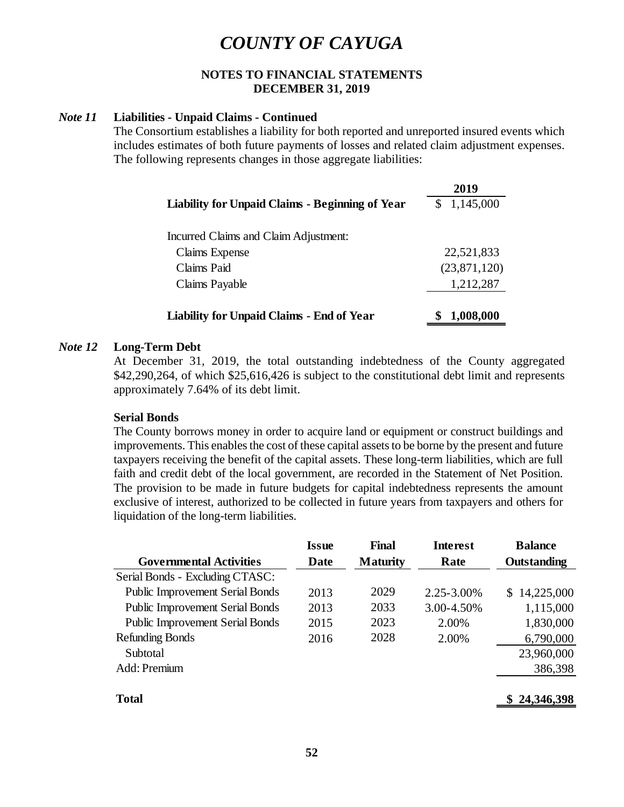# **NOTES TO FINANCIAL STATEMENTS DECEMBER 31, 2019**

### *Note 11* **Liabilities - Unpaid Claims - Continued**

The Consortium establishes a liability for both reported and unreported insured events which includes estimates of both future payments of losses and related claim adjustment expenses. The following represents changes in those aggregate liabilities:

|                                                        | 2019           |
|--------------------------------------------------------|----------------|
| <b>Liability for Unpaid Claims - Beginning of Year</b> | 1,145,000<br>S |
| Incurred Claims and Claim Adjustment:                  |                |
| Claims Expense                                         | 22,521,833     |
| Claims Paid                                            | (23,871,120)   |
| Claims Payable                                         | 1,212,287      |
| Liability for Unpaid Claims - End of Year              | 1,008,000      |

## *Note 12* **Long-Term Debt**

At December 31, 2019, the total outstanding indebtedness of the County aggregated \$42,290,264, of which \$25,616,426 is subject to the constitutional debt limit and represents approximately 7.64% of its debt limit.

#### **Serial Bonds**

The County borrows money in order to acquire land or equipment or construct buildings and improvements. This enables the cost of these capital assets to be borne by the present and future taxpayers receiving the benefit of the capital assets. These long-term liabilities, which are full faith and credit debt of the local government, are recorded in the Statement of Net Position. The provision to be made in future budgets for capital indebtedness represents the amount exclusive of interest, authorized to be collected in future years from taxpayers and others for liquidation of the long-term liabilities.

|                                        | Issue | <b>Final</b>    | <b>Interest</b> | <b>Balance</b> |
|----------------------------------------|-------|-----------------|-----------------|----------------|
| <b>Governmental Activities</b>         | Date  | <b>Maturity</b> | Rate            | Outstanding    |
| Serial Bonds - Excluding CTASC:        |       |                 |                 |                |
| <b>Public Improvement Serial Bonds</b> | 2013  | 2029            | 2.25-3.00%      | \$14,225,000   |
| <b>Public Improvement Serial Bonds</b> | 2013  | 2033            | 3.00-4.50%      | 1,115,000      |
| <b>Public Improvement Serial Bonds</b> | 2015  | 2023            | 2.00%           | 1,830,000      |
| <b>Refunding Bonds</b>                 | 2016  | 2028            | 2.00%           | 6,790,000      |
| Subtotal                               |       |                 |                 | 23,960,000     |
| Add: Premium                           |       |                 |                 | 386,398        |
| <b>Total</b>                           |       |                 |                 | 24,346,398     |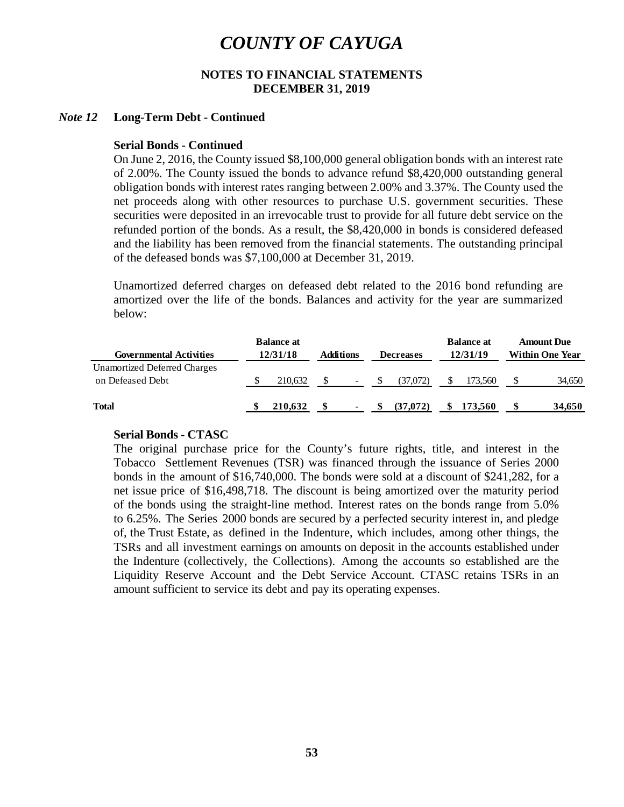# **NOTES TO FINANCIAL STATEMENTS DECEMBER 31, 2019**

#### *Note 12* **Long-Term Debt - Continued**

#### **Serial Bonds - Continued**

On June 2, 2016, the County issued \$8,100,000 general obligation bonds with an interest rate of 2.00%. The County issued the bonds to advance refund \$8,420,000 outstanding general obligation bonds with interest rates ranging between 2.00% and 3.37%. The County used the net proceeds along with other resources to purchase U.S. government securities. These securities were deposited in an irrevocable trust to provide for all future debt service on the refunded portion of the bonds. As a result, the \$8,420,000 in bonds is considered defeased and the liability has been removed from the financial statements. The outstanding principal of the defeased bonds was \$7,100,000 at December 31, 2019.

Unamortized deferred charges on defeased debt related to the 2016 bond refunding are amortized over the life of the bonds. Balances and activity for the year are summarized below:

|                                     | <b>Balance at</b> |                  |                  | <b>Balance at</b> | <b>Amount Due</b>      |
|-------------------------------------|-------------------|------------------|------------------|-------------------|------------------------|
| <b>Governmental Activities</b>      | 12/31/18          | <b>Additions</b> | <b>Decreases</b> | 12/31/19          | <b>Within One Year</b> |
| <b>Unamortized Deferred Charges</b> |                   |                  |                  |                   |                        |
| on Defeased Debt                    | 210.632           | $\sim$           | (37.072)         | 173,560           | 34,650                 |
| <b>Total</b>                        | 210,632           | ٠                | (37,072)         | 173,560           | 34,650                 |

#### **Serial Bonds - CTASC**

The original purchase price for the County's future rights, title, and interest in the Tobacco Settlement Revenues (TSR) was financed through the issuance of Series 2000 bonds in the amount of \$16,740,000. The bonds were sold at a discount of \$241,282, for a net issue price of \$16,498,718. The discount is being amortized over the maturity period of the bonds using the straight-line method. Interest rates on the bonds range from 5.0% to 6.25%. The Series 2000 bonds are secured by a perfected security interest in, and pledge of, the Trust Estate, as defined in the Indenture, which includes, among other things, the TSRs and all investment earnings on amounts on deposit in the accounts established under the Indenture (collectively, the Collections). Among the accounts so established are the Liquidity Reserve Account and the Debt Service Account. CTASC retains TSRs in an amount sufficient to service its debt and pay its operating expenses.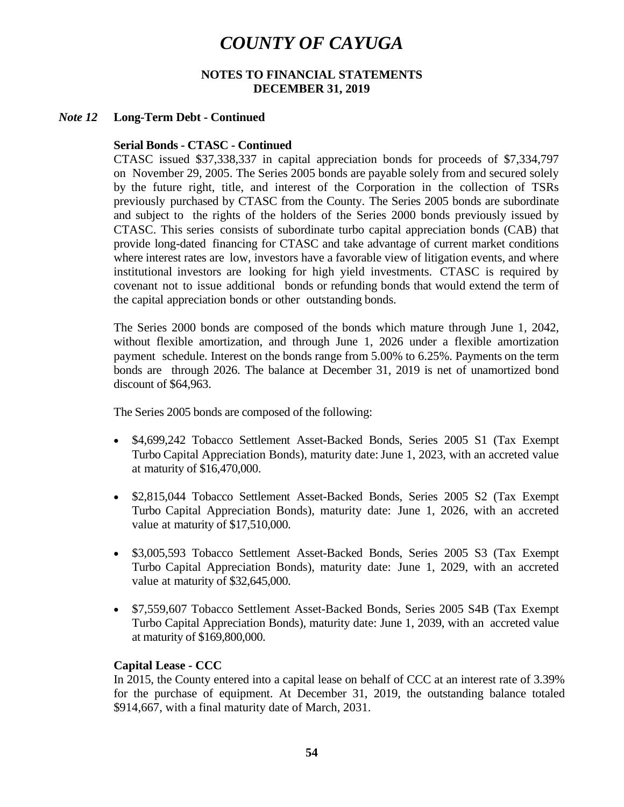# **NOTES TO FINANCIAL STATEMENTS DECEMBER 31, 2019**

### *Note 12* **Long-Term Debt - Continued**

#### **Serial Bonds - CTASC - Continued**

CTASC issued \$37,338,337 in capital appreciation bonds for proceeds of \$7,334,797 on November 29, 2005. The Series 2005 bonds are payable solely from and secured solely by the future right, title, and interest of the Corporation in the collection of TSRs previously purchased by CTASC from the County. The Series 2005 bonds are subordinate and subject to the rights of the holders of the Series 2000 bonds previously issued by CTASC. This series consists of subordinate turbo capital appreciation bonds (CAB) that provide long-dated financing for CTASC and take advantage of current market conditions where interest rates are low, investors have a favorable view of litigation events, and where institutional investors are looking for high yield investments. CTASC is required by covenant not to issue additional bonds or refunding bonds that would extend the term of the capital appreciation bonds or other outstanding bonds.

The Series 2000 bonds are composed of the bonds which mature through June 1, 2042, without flexible amortization, and through June 1, 2026 under a flexible amortization payment schedule. Interest on the bonds range from 5.00% to 6.25%. Payments on the term bonds are through 2026. The balance at December 31, 2019 is net of unamortized bond discount of \$64,963.

The Series 2005 bonds are composed of the following:

- \$4,699,242 Tobacco Settlement Asset-Backed Bonds, Series 2005 S1 (Tax Exempt Turbo Capital Appreciation Bonds), maturity date: June 1, 2023, with an accreted value at maturity of \$16,470,000.
- \$2,815,044 Tobacco Settlement Asset-Backed Bonds, Series 2005 S2 (Tax Exempt Turbo Capital Appreciation Bonds), maturity date: June 1, 2026, with an accreted value at maturity of \$17,510,000.
- \$3,005,593 Tobacco Settlement Asset-Backed Bonds, Series 2005 S3 (Tax Exempt Turbo Capital Appreciation Bonds), maturity date: June 1, 2029, with an accreted value at maturity of \$32,645,000.
- \$7,559,607 Tobacco Settlement Asset-Backed Bonds, Series 2005 S4B (Tax Exempt Turbo Capital Appreciation Bonds), maturity date: June 1, 2039, with an accreted value at maturity of \$169,800,000.

## **Capital Lease - CCC**

In 2015, the County entered into a capital lease on behalf of CCC at an interest rate of 3.39% for the purchase of equipment. At December 31, 2019, the outstanding balance totaled \$914,667, with a final maturity date of March, 2031.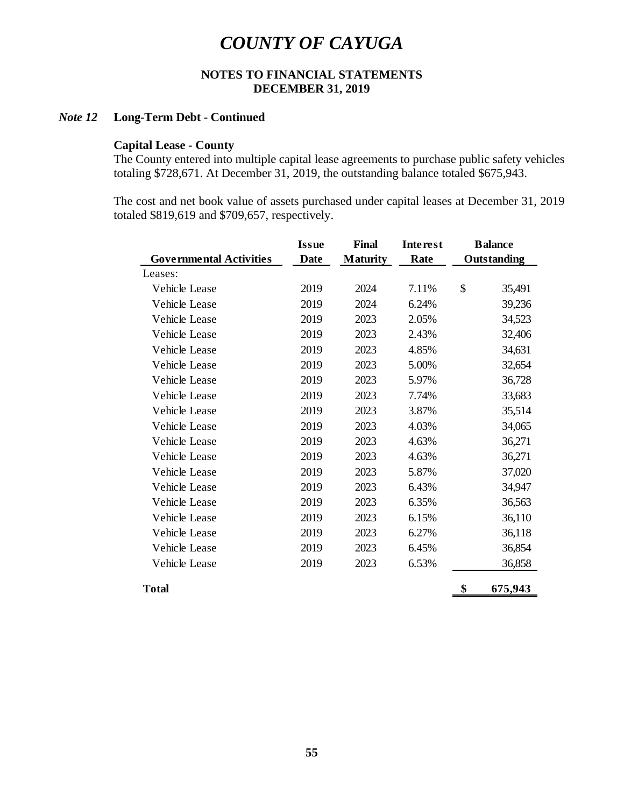# **NOTES TO FINANCIAL STATEMENTS DECEMBER 31, 2019**

#### *Note 12* **Long-Term Debt - Continued**

# **Capital Lease - County**

The County entered into multiple capital lease agreements to purchase public safety vehicles totaling \$728,671. At December 31, 2019, the outstanding balance totaled \$675,943.

The cost and net book value of assets purchased under capital leases at December 31, 2019 totaled \$819,619 and \$709,657, respectively.

|                                | <b>Issue</b> | <b>Final</b>    | <b>Interest</b> | <b>Balance</b> |
|--------------------------------|--------------|-----------------|-----------------|----------------|
| <b>Governmental Activities</b> | <b>Date</b>  | <b>Maturity</b> | Rate            | Outstanding    |
| Leases:                        |              |                 |                 |                |
| Vehicle Lease                  | 2019         | 2024            | 7.11%           | \$<br>35,491   |
| Vehicle Lease                  | 2019         | 2024            | 6.24%           | 39,236         |
| Vehicle Lease                  | 2019         | 2023            | 2.05%           | 34,523         |
| Vehicle Lease                  | 2019         | 2023            | 2.43%           | 32,406         |
| Vehicle Lease                  | 2019         | 2023            | 4.85%           | 34,631         |
| Vehicle Lease                  | 2019         | 2023            | 5.00%           | 32,654         |
| Vehicle Lease                  | 2019         | 2023            | 5.97%           | 36,728         |
| Vehicle Lease                  | 2019         | 2023            | 7.74%           | 33,683         |
| Vehicle Lease                  | 2019         | 2023            | 3.87%           | 35,514         |
| Vehicle Lease                  | 2019         | 2023            | 4.03%           | 34,065         |
| Vehicle Lease                  | 2019         | 2023            | 4.63%           | 36,271         |
| Vehicle Lease                  | 2019         | 2023            | 4.63%           | 36,271         |
| Vehicle Lease                  | 2019         | 2023            | 5.87%           | 37,020         |
| Vehicle Lease                  | 2019         | 2023            | 6.43%           | 34,947         |
| Vehicle Lease                  | 2019         | 2023            | 6.35%           | 36,563         |
| Vehicle Lease                  | 2019         | 2023            | 6.15%           | 36,110         |
| Vehicle Lease                  | 2019         | 2023            | 6.27%           | 36,118         |
| Vehicle Lease                  | 2019         | 2023            | 6.45%           | 36,854         |
| Vehicle Lease                  | 2019         | 2023            | 6.53%           | 36,858         |
|                                |              |                 |                 |                |

**Total \$ 675,943**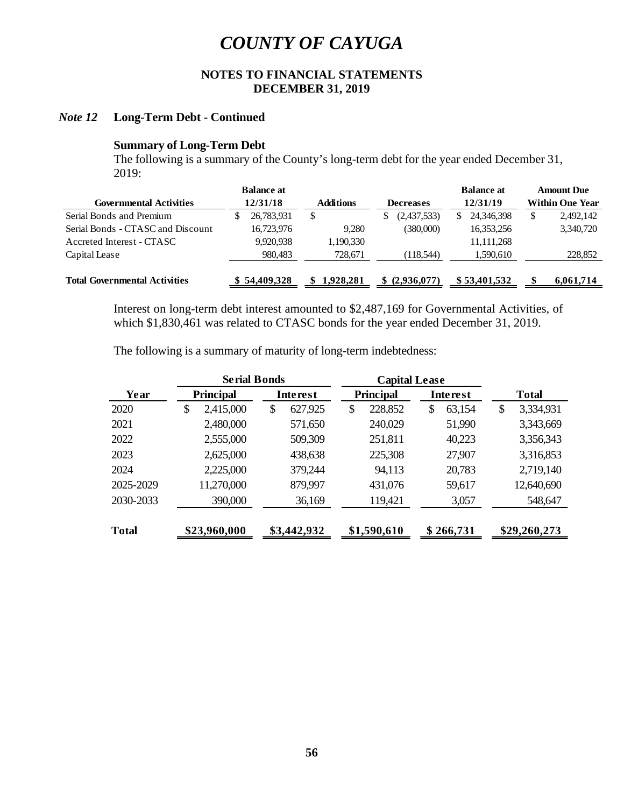## **NOTES TO FINANCIAL STATEMENTS DECEMBER 31, 2019**

### *Note 12* **Long-Term Debt - Continued**

#### **Summary of Long-Term Debt**

The following is a summary of the County's long-term debt for the year ended December 31, 2019:

| <b>Balance at</b>                    |          |              |                  |           |                  |                |          | <b>Balance at</b> | <b>Amount Due</b>      |
|--------------------------------------|----------|--------------|------------------|-----------|------------------|----------------|----------|-------------------|------------------------|
| <b>Governmental Activities</b>       | 12/31/18 |              | <b>Additions</b> |           | <b>Decreases</b> |                | 12/31/19 |                   | <b>Within One Year</b> |
| Serial Bonds and Premium             |          | 26,783,931   | S                |           |                  | (2,437,533)    |          | 24.346.398        | 2,492,142              |
| Serial Bonds - CTASC and Discount    |          | 16.723.976   |                  | 9.280     |                  | (380,000)      |          | 16,353,256        | 3,340,720              |
| Accreted Interest - CTASC            |          | 9.920.938    |                  | 1,190,330 |                  |                |          | 11,111,268        |                        |
| Capital Lease                        |          | 980,483      |                  | 728,671   |                  | (118,544)      |          | 1,590,610         | 228,852                |
|                                      |          |              |                  |           |                  |                |          |                   |                        |
| <b>Total Governmental Activities</b> |          | \$54,409,328 |                  | 1.928.281 |                  | \$ (2,936,077) |          | \$53,401,532      | 6,061,714              |

Interest on long-term debt interest amounted to \$2,487,169 for Governmental Activities, of which \$1,830,461 was related to CTASC bonds for the year ended December 31, 2019.

The following is a summary of maturity of long-term indebtedness:

| <b>Principal</b><br>Interest |               | <b>Principal</b>    | <b>Interest</b> | <b>Total</b>         |  |
|------------------------------|---------------|---------------------|-----------------|----------------------|--|
| \$<br>2,415,000              | 627,925<br>\$ | \$<br>228,852       | 63,154<br>\$    | \$<br>3,334,931      |  |
| 2,480,000                    | 571,650       | 240,029             | 51,990          | 3,343,669            |  |
| 2,555,000                    | 509,309       | 251,811             | 40,223          | 3,356,343            |  |
| 2,625,000                    | 438,638       | 225,308             | 27,907          | 3,316,853            |  |
| 2,225,000                    | 379,244       | 94,113              | 20,783          | 2,719,140            |  |
| 11,270,000                   | 879,997       | 431,076             | 59,617          | 12,640,690           |  |
| 390,000                      | 36,169        | 119,421             | 3,057           | 548,647              |  |
|                              |               |                     |                 |                      |  |
| \$23,960,000                 | \$3,442,932   | \$1,590,610         | \$266,731       | \$29,260,273         |  |
|                              |               | <b>Serial Bonds</b> |                 | <b>Capital Lease</b> |  |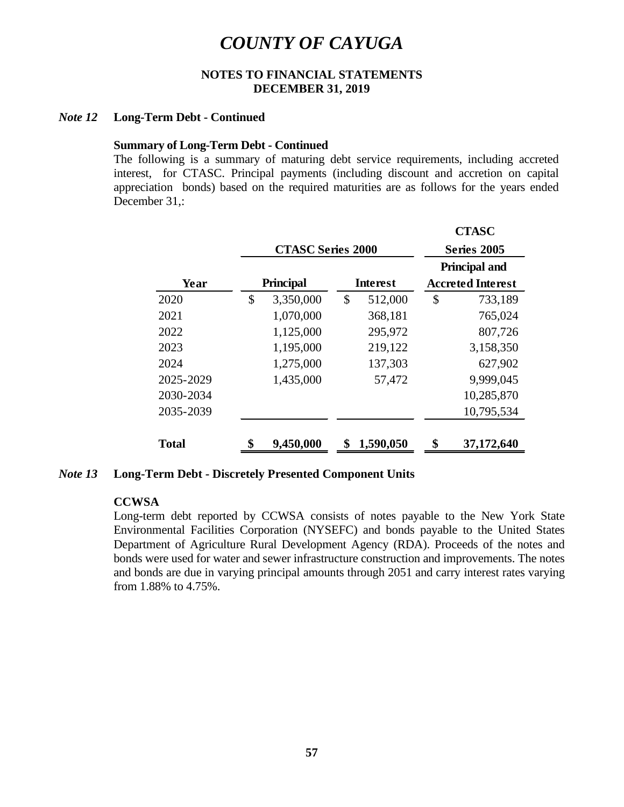### **NOTES TO FINANCIAL STATEMENTS DECEMBER 31, 2019**

#### *Note 12* **Long-Term Debt - Continued**

#### **Summary of Long-Term Debt - Continued**

The following is a summary of maturing debt service requirements, including accreted interest, for CTASC. Principal payments (including discount and accretion on capital appreciation bonds) based on the required maturities are as follows for the years ended December 31,:

|              |    |                          |               |           |                      | <b>CTASC</b>             |  |
|--------------|----|--------------------------|---------------|-----------|----------------------|--------------------------|--|
|              |    | <b>CTASC Series 2000</b> |               |           | Series 2005          |                          |  |
|              |    |                          |               |           | <b>Principal and</b> |                          |  |
| Year         |    | <b>Principal</b>         | Interest      |           |                      | <b>Accreted Interest</b> |  |
| 2020         | \$ | 3,350,000                | $\mathcal{S}$ | 512,000   | \$                   | 733,189                  |  |
| 2021         |    | 1,070,000                |               | 368,181   |                      | 765,024                  |  |
| 2022         |    | 1,125,000                |               | 295,972   |                      | 807,726                  |  |
| 2023         |    | 1,195,000                |               | 219,122   |                      | 3,158,350                |  |
| 2024         |    | 1,275,000                |               | 137,303   |                      | 627,902                  |  |
| 2025-2029    |    | 1,435,000                |               | 57,472    |                      | 9,999,045                |  |
| 2030-2034    |    |                          |               |           |                      | 10,285,870               |  |
| 2035-2039    |    |                          |               |           |                      | 10,795,534               |  |
| <b>Total</b> |    | 9,450,000                | \$            | 1,590,050 | \$                   | 37,172,640               |  |

### *Note 13* **Long-Term Debt - Discretely Presented Component Units**

### **CCWSA**

Long-term debt reported by CCWSA consists of notes payable to the New York State Environmental Facilities Corporation (NYSEFC) and bonds payable to the United States Department of Agriculture Rural Development Agency (RDA). Proceeds of the notes and bonds were used for water and sewer infrastructure construction and improvements. The notes and bonds are due in varying principal amounts through 2051 and carry interest rates varying from 1.88% to 4.75%.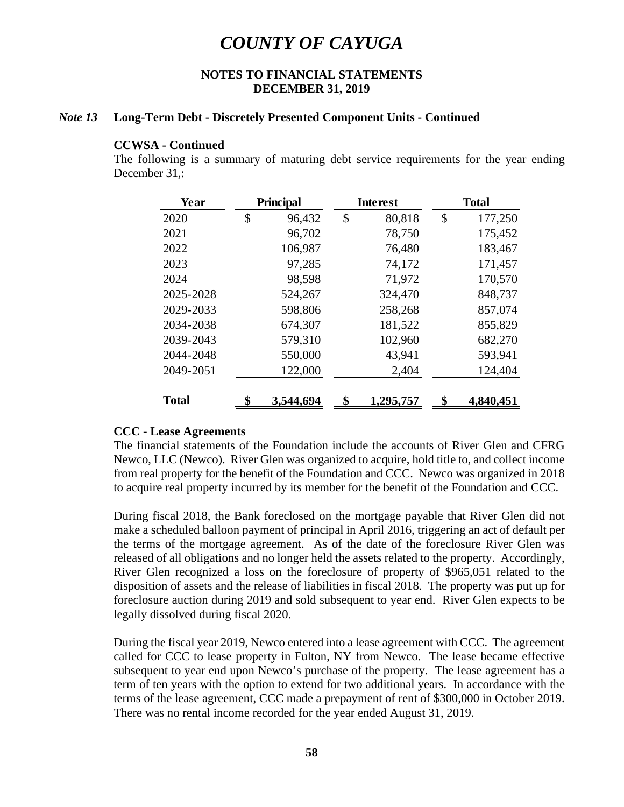### **NOTES TO FINANCIAL STATEMENTS DECEMBER 31, 2019**

#### *Note 13* **Long-Term Debt - Discretely Presented Component Units - Continued**

### **CCWSA - Continued**

The following is a summary of maturing debt service requirements for the year ending December 31,:

| Year         | <b>Principal</b> |           | <b>Interest</b> |    | <b>Total</b> |  |
|--------------|------------------|-----------|-----------------|----|--------------|--|
| 2020         | \$               | 96,432    | \$<br>80,818    | \$ | 177,250      |  |
| 2021         |                  | 96,702    | 78,750          |    | 175,452      |  |
| 2022         |                  | 106,987   | 76,480          |    | 183,467      |  |
| 2023         |                  | 97,285    | 74,172          |    | 171,457      |  |
| 2024         |                  | 98,598    | 71,972          |    | 170,570      |  |
| 2025-2028    |                  | 524,267   | 324,470         |    | 848,737      |  |
| 2029-2033    |                  | 598,806   | 258,268         |    | 857,074      |  |
| 2034-2038    |                  | 674,307   | 181,522         |    | 855,829      |  |
| 2039-2043    |                  | 579,310   | 102,960         |    | 682,270      |  |
| 2044-2048    |                  | 550,000   | 43,941          |    | 593,941      |  |
| 2049-2051    |                  | 122,000   | 2,404           |    | 124,404      |  |
|              |                  |           |                 |    |              |  |
| <b>Total</b> | \$               | 3,544,694 | \$<br>1,295,757 |    | 4,840,451    |  |

#### **CCC - Lease Agreements**

The financial statements of the Foundation include the accounts of River Glen and CFRG Newco, LLC (Newco). River Glen was organized to acquire, hold title to, and collect income from real property for the benefit of the Foundation and CCC. Newco was organized in 2018 to acquire real property incurred by its member for the benefit of the Foundation and CCC.

During fiscal 2018, the Bank foreclosed on the mortgage payable that River Glen did not make a scheduled balloon payment of principal in April 2016, triggering an act of default per the terms of the mortgage agreement. As of the date of the foreclosure River Glen was released of all obligations and no longer held the assets related to the property. Accordingly, River Glen recognized a loss on the foreclosure of property of \$965,051 related to the disposition of assets and the release of liabilities in fiscal 2018. The property was put up for foreclosure auction during 2019 and sold subsequent to year end. River Glen expects to be legally dissolved during fiscal 2020.

During the fiscal year 2019, Newco entered into a lease agreement with CCC. The agreement called for CCC to lease property in Fulton, NY from Newco. The lease became effective subsequent to year end upon Newco's purchase of the property. The lease agreement has a term of ten years with the option to extend for two additional years. In accordance with the terms of the lease agreement, CCC made a prepayment of rent of \$300,000 in October 2019. There was no rental income recorded for the year ended August 31, 2019.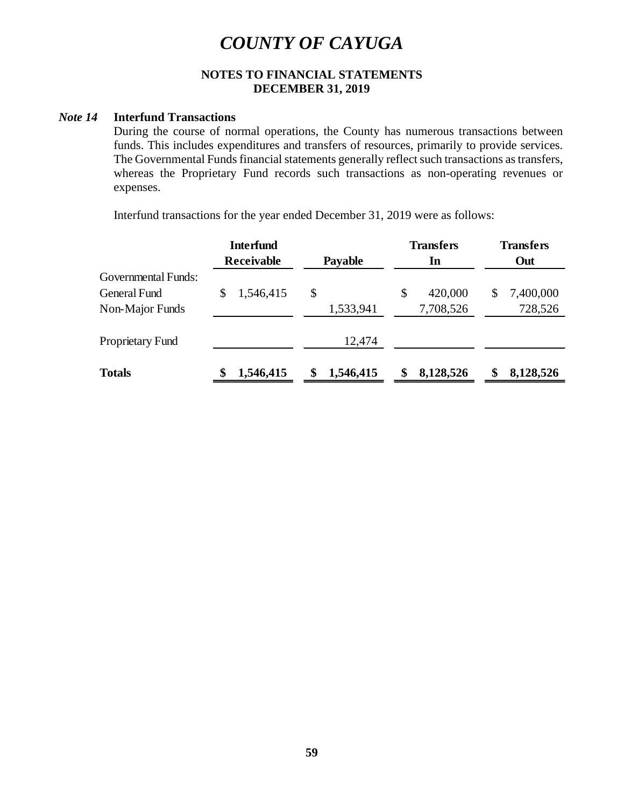## **NOTES TO FINANCIAL STATEMENTS DECEMBER 31, 2019**

### *Note 14* **Interfund Transactions**

During the course of normal operations, the County has numerous transactions between funds. This includes expenditures and transfers of resources, primarily to provide services. The Governmental Funds financial statements generally reflect such transactions as transfers, whereas the Proprietary Fund records such transactions as non-operating revenues or expenses.

Interfund transactions for the year ended December 31, 2019 were as follows:

| <b>Interfund</b><br><b>Receivable</b>                         |  | <b>Payable</b> |    |           | <b>Transfers</b><br>In | <b>Transfers</b><br>Out |    |                      |
|---------------------------------------------------------------|--|----------------|----|-----------|------------------------|-------------------------|----|----------------------|
| Governmental Funds:<br><b>General Fund</b><br>Non-Major Funds |  | 1,546,415      | \$ | 1,533,941 | \$                     | 420,000<br>7,708,526    | \$ | 7,400,000<br>728,526 |
| <b>Proprietary Fund</b>                                       |  |                |    | 12,474    |                        |                         |    |                      |
| <b>Totals</b>                                                 |  | 1,546,415      | \$ | 1,546,415 | S                      | 8,128,526               |    | 8,128,526            |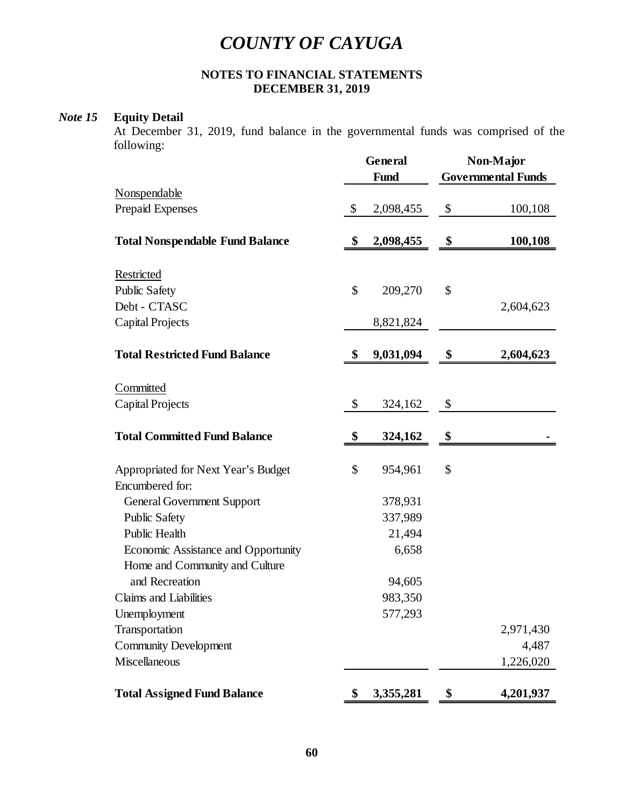## **NOTES TO FINANCIAL STATEMENTS DECEMBER 31, 2019**

## *Note 15* **Equity Detail**

At December 31, 2019, fund balance in the governmental funds was comprised of the following:

|                                        | General         | Non-Major                 |           |  |
|----------------------------------------|-----------------|---------------------------|-----------|--|
|                                        | <b>Fund</b>     | <b>Governmental Funds</b> |           |  |
| Nonspendable                           |                 |                           |           |  |
| <b>Prepaid Expenses</b>                | \$<br>2,098,455 | \$                        | 100,108   |  |
| <b>Total Nonspendable Fund Balance</b> | \$<br>2,098,455 | \$                        | 100,108   |  |
| Restricted                             |                 |                           |           |  |
| <b>Public Safety</b>                   | \$<br>209,270   | \$                        |           |  |
| Debt - CTASC                           |                 |                           | 2,604,623 |  |
| Capital Projects                       | 8,821,824       |                           |           |  |
| <b>Total Restricted Fund Balance</b>   | \$<br>9,031,094 | \$                        | 2,604,623 |  |
|                                        |                 |                           |           |  |
| Committed                              |                 |                           |           |  |
| <b>Capital Projects</b>                | \$<br>324,162   | \$                        |           |  |
| <b>Total Committed Fund Balance</b>    | \$<br>324,162   | \$                        |           |  |
| Appropriated for Next Year's Budget    | \$<br>954,961   | \$                        |           |  |
| Encumbered for:                        |                 |                           |           |  |
| <b>General Government Support</b>      | 378,931         |                           |           |  |
| <b>Public Safety</b>                   | 337,989         |                           |           |  |
| Public Health                          | 21,494          |                           |           |  |
| Economic Assistance and Opportunity    | 6,658           |                           |           |  |
| Home and Community and Culture         |                 |                           |           |  |
| and Recreation                         | 94,605          |                           |           |  |
| <b>Claims and Liabilities</b>          | 983,350         |                           |           |  |
| Unemployment                           | 577,293         |                           |           |  |
| Transportation                         |                 |                           | 2,971,430 |  |
| <b>Community Development</b>           |                 |                           | 4,487     |  |
| Miscellaneous                          |                 |                           | 1,226,020 |  |
| <b>Total Assigned Fund Balance</b>     | \$<br>3,355,281 | \$                        | 4,201,937 |  |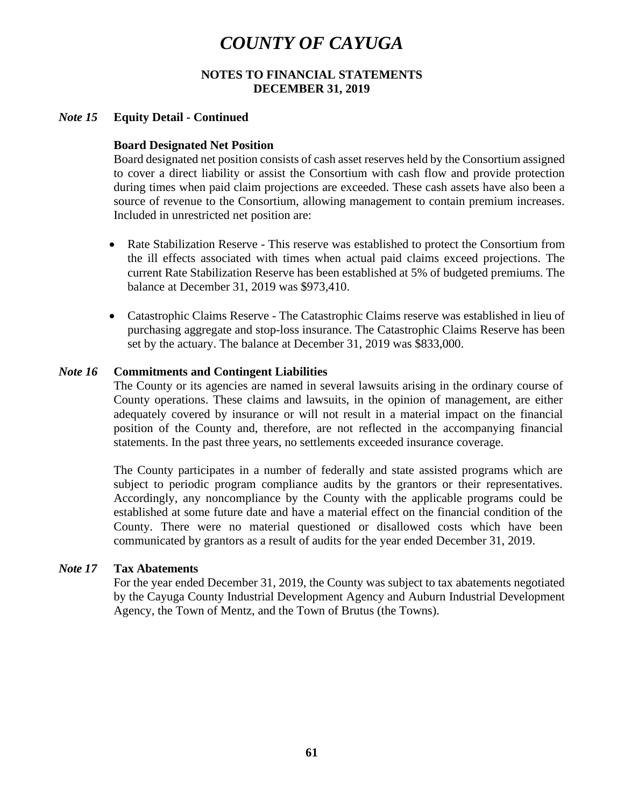## **NOTES TO FINANCIAL STATEMENTS DECEMBER 31, 2019**

### *Note 15* **Equity Detail - Continued**

### **Board Designated Net Position**

Board designated net position consists of cash asset reserves held by the Consortium assigned to cover a direct liability or assist the Consortium with cash flow and provide protection during times when paid claim projections are exceeded. These cash assets have also been a source of revenue to the Consortium, allowing management to contain premium increases. Included in unrestricted net position are:

- Rate Stabilization Reserve This reserve was established to protect the Consortium from the ill effects associated with times when actual paid claims exceed projections. The current Rate Stabilization Reserve has been established at 5% of budgeted premiums. The balance at December 31, 2019 was \$973,410.
- Catastrophic Claims Reserve The Catastrophic Claims reserve was established in lieu of purchasing aggregate and stop-loss insurance. The Catastrophic Claims Reserve has been set by the actuary. The balance at December 31, 2019 was \$833,000.

### *Note 16* **Commitments and Contingent Liabilities**

The County or its agencies are named in several lawsuits arising in the ordinary course of County operations. These claims and lawsuits, in the opinion of management, are either adequately covered by insurance or will not result in a material impact on the financial position of the County and, therefore, are not reflected in the accompanying financial statements. In the past three years, no settlements exceeded insurance coverage.

The County participates in a number of federally and state assisted programs which are subject to periodic program compliance audits by the grantors or their representatives. Accordingly, any noncompliance by the County with the applicable programs could be established at some future date and have a material effect on the financial condition of the County. There were no material questioned or disallowed costs which have been communicated by grantors as a result of audits for the year ended December 31, 2019.

### *Note 17* **Tax Abatements**

For the year ended December 31, 2019, the County was subject to tax abatements negotiated by the Cayuga County Industrial Development Agency and Auburn Industrial Development Agency, the Town of Mentz, and the Town of Brutus (the Towns).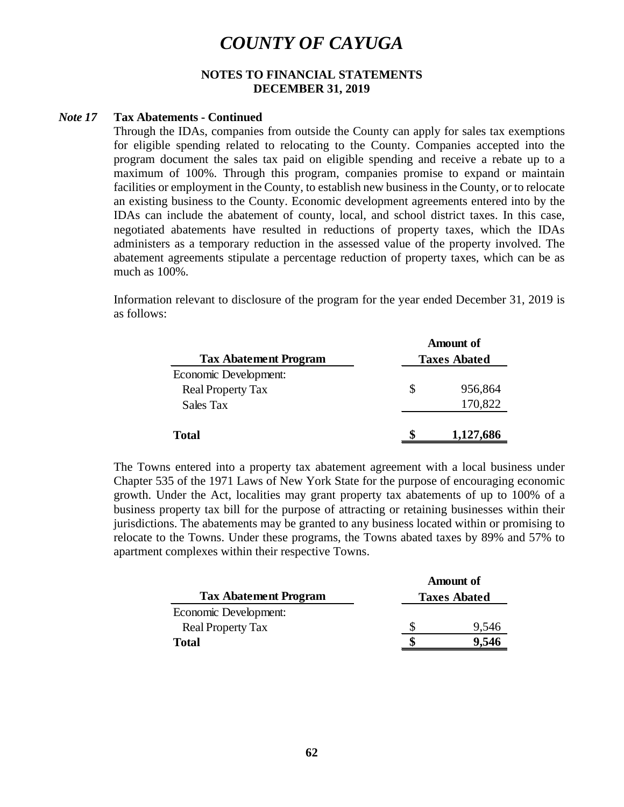### **NOTES TO FINANCIAL STATEMENTS DECEMBER 31, 2019**

### *Note 17* **Tax Abatements - Continued**

Through the IDAs, companies from outside the County can apply for sales tax exemptions for eligible spending related to relocating to the County. Companies accepted into the program document the sales tax paid on eligible spending and receive a rebate up to a maximum of 100%. Through this program, companies promise to expand or maintain facilities or employment in the County, to establish new business in the County, or to relocate an existing business to the County. Economic development agreements entered into by the IDAs can include the abatement of county, local, and school district taxes. In this case, negotiated abatements have resulted in reductions of property taxes, which the IDAs administers as a temporary reduction in the assessed value of the property involved. The abatement agreements stipulate a percentage reduction of property taxes, which can be as much as 100%.

Information relevant to disclosure of the program for the year ended December 31, 2019 is as follows:

|                              |                     | <b>Amount of</b> |  |  |
|------------------------------|---------------------|------------------|--|--|
| <b>Tax Abatement Program</b> | <b>Taxes Abated</b> |                  |  |  |
| Economic Development:        |                     |                  |  |  |
| <b>Real Property Tax</b>     | \$                  | 956,864          |  |  |
| Sales Tax                    |                     | 170,822          |  |  |
|                              |                     |                  |  |  |
| Total                        |                     | 1,127,686        |  |  |

The Towns entered into a property tax abatement agreement with a local business under Chapter 535 of the 1971 Laws of New York State for the purpose of encouraging economic growth. Under the Act, localities may grant property tax abatements of up to 100% of a business property tax bill for the purpose of attracting or retaining businesses within their jurisdictions. The abatements may be granted to any business located within or promising to relocate to the Towns. Under these programs, the Towns abated taxes by 89% and 57% to apartment complexes within their respective Towns.

|                              | <b>Amount of</b>    |  |  |
|------------------------------|---------------------|--|--|
| <b>Tax Abatement Program</b> | <b>Taxes Abated</b> |  |  |
| Economic Development:        |                     |  |  |
| <b>Real Property Tax</b>     | 9,546               |  |  |
| Total                        | 9.546               |  |  |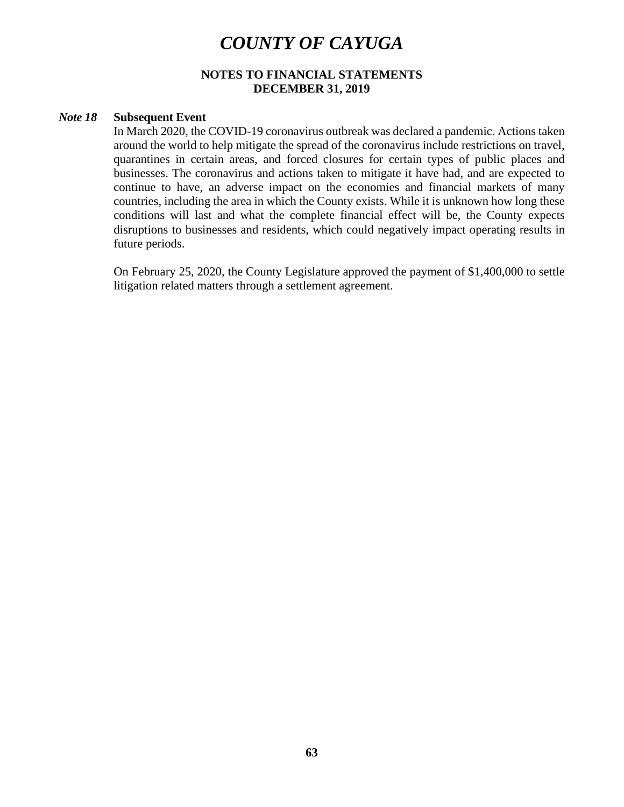### **NOTES TO FINANCIAL STATEMENTS DECEMBER 31, 2019**

#### *Note 18* **Subsequent Event**

In March 2020, the COVID-19 coronavirus outbreak was declared a pandemic. Actions taken around the world to help mitigate the spread of the coronavirus include restrictions on travel, quarantines in certain areas, and forced closures for certain types of public places and businesses. The coronavirus and actions taken to mitigate it have had, and are expected to continue to have, an adverse impact on the economies and financial markets of many countries, including the area in which the County exists. While it is unknown how long these conditions will last and what the complete financial effect will be, the County expects disruptions to businesses and residents, which could negatively impact operating results in future periods.

On February 25, 2020, the County Legislature approved the payment of \$1,400,000 to settle litigation related matters through a settlement agreement.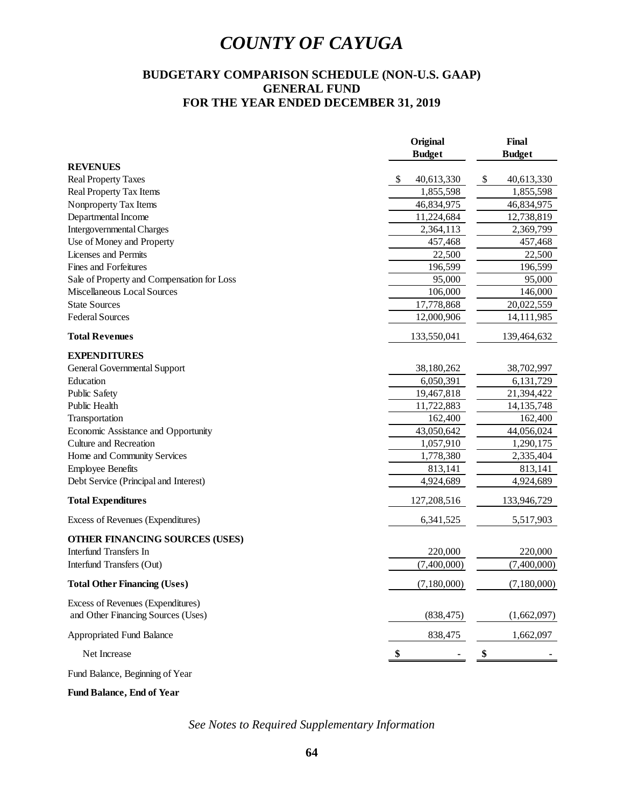## **BUDGETARY COMPARISON SCHEDULE (NON-U.S. GAAP) GENERAL FUND FOR THE YEAR ENDED DECEMBER 31, 2019**

|                                            | Original         | Final            |  |  |
|--------------------------------------------|------------------|------------------|--|--|
|                                            | <b>Budget</b>    | <b>Budget</b>    |  |  |
| <b>REVENUES</b>                            |                  |                  |  |  |
| <b>Real Property Taxes</b>                 | \$<br>40,613,330 | \$<br>40,613,330 |  |  |
| Real Property Tax Items                    | 1,855,598        | 1,855,598        |  |  |
| Nonproperty Tax Items                      | 46,834,975       | 46,834,975       |  |  |
| Departmental Income                        | 11,224,684       | 12,738,819       |  |  |
| <b>Intergovernmental Charges</b>           | 2,364,113        | 2,369,799        |  |  |
| Use of Money and Property                  | 457,468          | 457,468          |  |  |
| Licenses and Permits                       | 22,500           | 22,500           |  |  |
| <b>Fines and Forfeitures</b>               | 196,599          | 196,599          |  |  |
| Sale of Property and Compensation for Loss | 95,000           | 95,000           |  |  |
| Miscellaneous Local Sources                | 106,000          | 146,000          |  |  |
| <b>State Sources</b>                       | 17,778,868       | 20,022,559       |  |  |
| <b>Federal Sources</b>                     | 12,000,906       | 14,111,985       |  |  |
| <b>Total Revenues</b>                      | 133,550,041      | 139,464,632      |  |  |
| <b>EXPENDITURES</b>                        |                  |                  |  |  |
| <b>General Governmental Support</b>        | 38,180,262       | 38,702,997       |  |  |
| Education                                  | 6,050,391        | 6,131,729        |  |  |
| Public Safety                              | 19,467,818       | 21,394,422       |  |  |
| Public Health                              | 11,722,883       | 14, 135, 748     |  |  |
| Transportation                             | 162,400          | 162,400          |  |  |
| Economic Assistance and Opportunity        | 43,050,642       | 44,056,024       |  |  |
| Culture and Recreation                     | 1,057,910        | 1,290,175        |  |  |
| Home and Community Services                | 1,778,380        | 2,335,404        |  |  |
| <b>Employee Benefits</b>                   | 813,141          | 813,141          |  |  |
| Debt Service (Principal and Interest)      | 4,924,689        | 4,924,689        |  |  |
| <b>Total Expenditures</b>                  | 127,208,516      | 133,946,729      |  |  |
| Excess of Revenues (Expenditures)          | 6,341,525        | 5,517,903        |  |  |
| OTHER FINANCING SOURCES (USES)             |                  |                  |  |  |
| Interfund Transfers In                     | 220,000          | 220,000          |  |  |
| Interfund Transfers (Out)                  | (7,400,000)      | (7,400,000)      |  |  |
| <b>Total Other Financing (Uses)</b>        | (7,180,000)      | (7,180,000)      |  |  |
| Excess of Revenues (Expenditures)          |                  |                  |  |  |
| and Other Financing Sources (Uses)         | (838, 475)       | (1,662,097)      |  |  |
| <b>Appropriated Fund Balance</b>           | 838,475          | 1,662,097        |  |  |
| Net Increase                               | \$               | \$               |  |  |
|                                            |                  |                  |  |  |

Fund Balance, Beginning of Year

#### **Fund Balance, End of Year**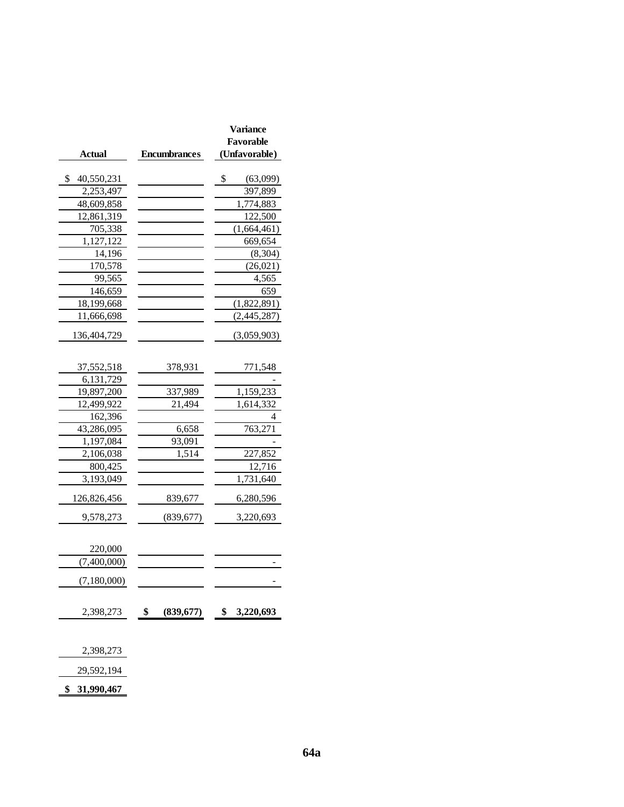|                  |                     | <b>Variance</b> |
|------------------|---------------------|-----------------|
|                  |                     | Favorable       |
| <b>Actual</b>    | <b>Encumbrances</b> | (Unfavorable)   |
| \$<br>40,550,231 |                     | \$<br>(63,099)  |
| 2,253,497        |                     | 397,899         |
| 48,609,858       |                     | 1,774,883       |
| 12,861,319       |                     | 122,500         |
| 705,338          |                     | (1,664,461)     |
| 1,127,122        |                     | 669,654         |
| 14,196           |                     | (8,304)         |
| 170,578          |                     | (26, 021)       |
| 99,565           |                     | 4,565           |
| 146,659          |                     | 659             |
| 18,199,668       |                     | (1,822,891)     |
| 11,666,698       |                     | (2,445,287)     |
| 136,404,729      |                     | (3,059,903)     |
|                  |                     |                 |
| 37,552,518       | 378,931             | 771,548         |
| 6,131,729        |                     |                 |
| 19,897,200       | 337,989             | 1,159,233       |
| 12,499,922       | 21,494              | 1,614,332       |
| 162,396          |                     | 4               |
| 43,286,095       | 6,658               | 763,271         |
| 1,197,084        | 93,091              |                 |
| 2,106,038        | 1,514               | 227,852         |
| 800,425          |                     | 12,716          |
| 3,193,049        |                     | 1,731,640       |
| 126,826,456      | 839,677             | 6,280,596       |
| 9,578,273        | (839, 677)          | 3,220,693       |
| 220,000          |                     |                 |
| (7,400,000)      |                     |                 |
| (7,180,000)      |                     |                 |
| 2,398,273        | \$<br>(839, 677)    | \$<br>3,220,693 |
|                  |                     |                 |
| 2,398,273        |                     |                 |
| 29,592,194       |                     |                 |
| 31,990,467<br>\$ |                     |                 |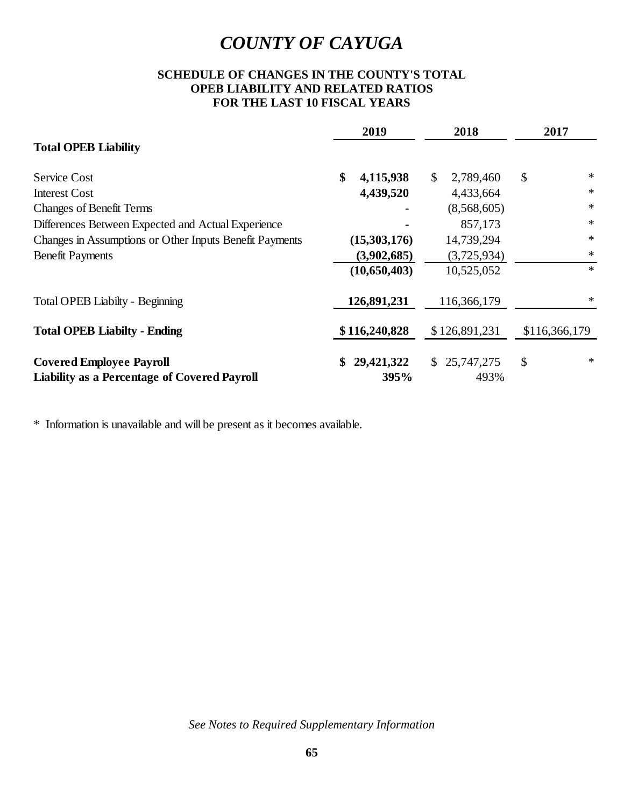## **SCHEDULE OF CHANGES IN THE COUNTY'S TOTAL OPEB LIABILITY AND RELATED RATIOS FOR THE LAST 10 FISCAL YEARS**

|                                                                                        | 2019                      | 2018                 | 2017          |  |
|----------------------------------------------------------------------------------------|---------------------------|----------------------|---------------|--|
| <b>Total OPEB Liability</b>                                                            |                           |                      |               |  |
| <b>Service Cost</b>                                                                    | \$<br>4,115,938           | \$<br>2,789,460      | $\ast$<br>\$  |  |
| <b>Interest Cost</b>                                                                   | 4,439,520                 | 4,433,664            | $\ast$        |  |
| <b>Changes of Benefit Terms</b>                                                        |                           | (8,568,605)          | ∗             |  |
| Differences Between Expected and Actual Experience                                     |                           | 857,173              | $\ast$        |  |
| Changes in Assumptions or Other Inputs Benefit Payments                                | (15,303,176)              | 14,739,294           | $\ast$        |  |
| <b>Benefit Payments</b>                                                                | (3,902,685)               | (3,725,934)          | $\ast$        |  |
|                                                                                        | (10,650,403)              | 10,525,052           | $\ast$        |  |
| Total OPEB Liabilty - Beginning                                                        | 126,891,231               | 116,366,179          | $\ast$        |  |
| <b>Total OPEB Liabilty - Ending</b>                                                    | \$116,240,828             | \$126,891,231        | \$116,366,179 |  |
| <b>Covered Employee Payroll</b><br><b>Liability as a Percentage of Covered Payroll</b> | 29,421,322<br>SS.<br>395% | \$25,747,275<br>493% | $\ast$<br>\$  |  |

\* Information is unavailable and will be present as it becomes available.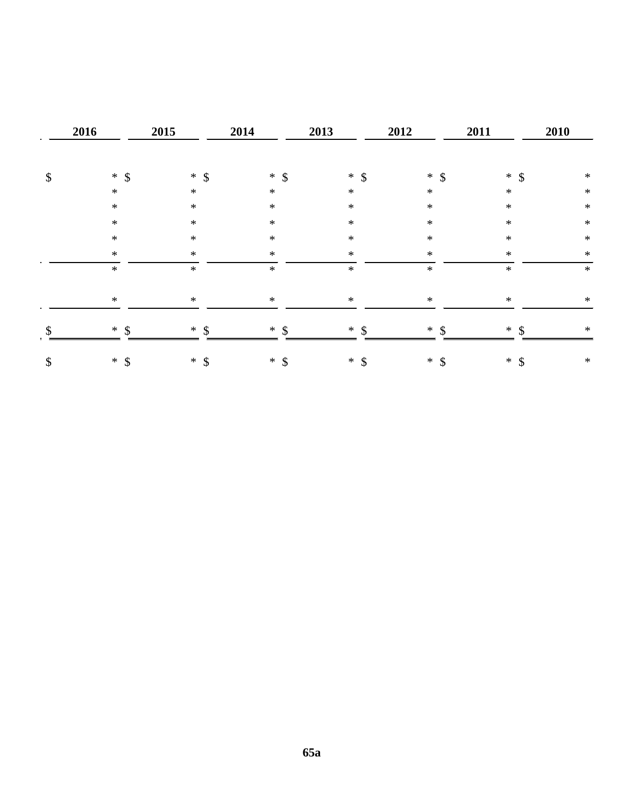|                            | 2016                 | 2015          | 2014   | 2013                 | 2012        | 2011     | 2010             |
|----------------------------|----------------------|---------------|--------|----------------------|-------------|----------|------------------|
| $\boldsymbol{\mathsf{S}}$  | $*$ \$               | $*$ \$        | $*$ \$ | $*$ \$               |             | $*$ \$   | $*$ \$<br>$\ast$ |
|                            | $\ast$               | $\ast$        | $\ast$ | $\ast$               | $\ast$      | $\ast$   | $\ast$           |
|                            | $\ast$               | $\ast$        | $\ast$ | $\ast$               | $\ast$      | $\ast$   | $\ast$           |
|                            | $\ast$               | $\ast$        | $\ast$ | $\ast$               | $\ast$      | $\ast$   | $\ast$           |
|                            | $\ast$               | $\ast$        | $\ast$ | $\ast$               | $\ast$      | $\ast$   | $\ast$           |
|                            | $\ast$               | $\ast$        | $\ast$ | $\ast$               | $\ast$      | $\ast$   | $\ast$           |
|                            | $\ast$               | $\ast$        | $\ast$ | $\ast$               | $\ast$      | $\ast$   | $\ast$           |
|                            | $\ast$               | $\ast$        | $\ast$ | $\ast$               | $\ast$      | $\ast$   | $\ast$           |
| ¢                          | $*$<br>$\mathcal{L}$ | $\ast$<br>-\$ | $\ast$ | $*$<br>$\mathcal{L}$ | $\ast$<br>¢ | $*$<br>¢ | $\ast$<br>¢      |
| $\boldsymbol{\mathsf{\$}}$ | $*$ \$               | $*$ \$        | $*$ \$ | $*$ \$               |             | $*$ \$   | $\ast$<br>$*$ \$ |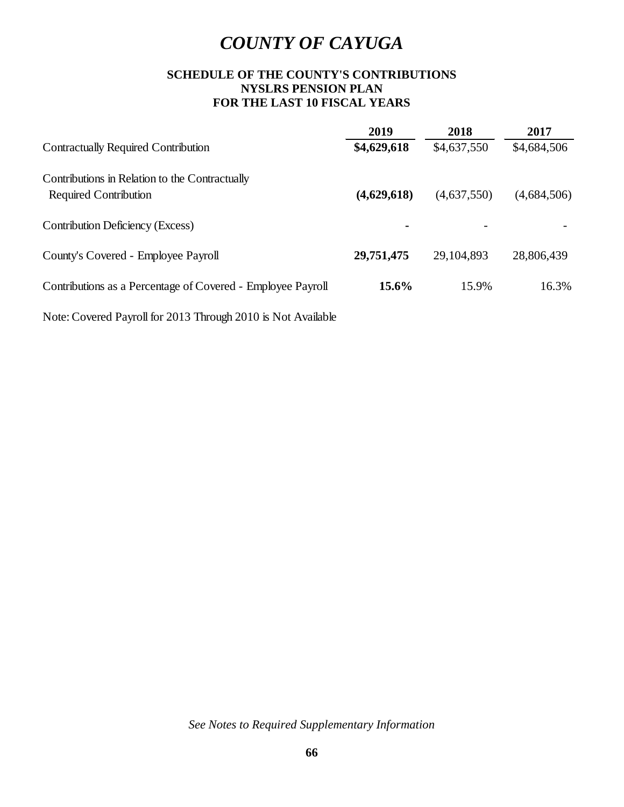## **SCHEDULE OF THE COUNTY'S CONTRIBUTIONS NYSLRS PENSION PLAN FOR THE LAST 10 FISCAL YEARS**

|                                                             | 2019           | 2018         | 2017        |
|-------------------------------------------------------------|----------------|--------------|-------------|
| <b>Contractually Required Contribution</b>                  | \$4,629,618    | \$4,637,550  | \$4,684,506 |
| Contributions in Relation to the Contractually              |                |              |             |
| <b>Required Contribution</b>                                | (4,629,618)    | (4,637,550)  | (4,684,506) |
| Contribution Deficiency (Excess)                            | $\blacksquare$ |              |             |
| County's Covered - Employee Payroll                         | 29,751,475     | 29, 104, 893 | 28,806,439  |
| Contributions as a Percentage of Covered - Employee Payroll | 15.6%          | 15.9%        | 16.3%       |

Note: Covered Payroll for 2013 Through 2010 is Not Available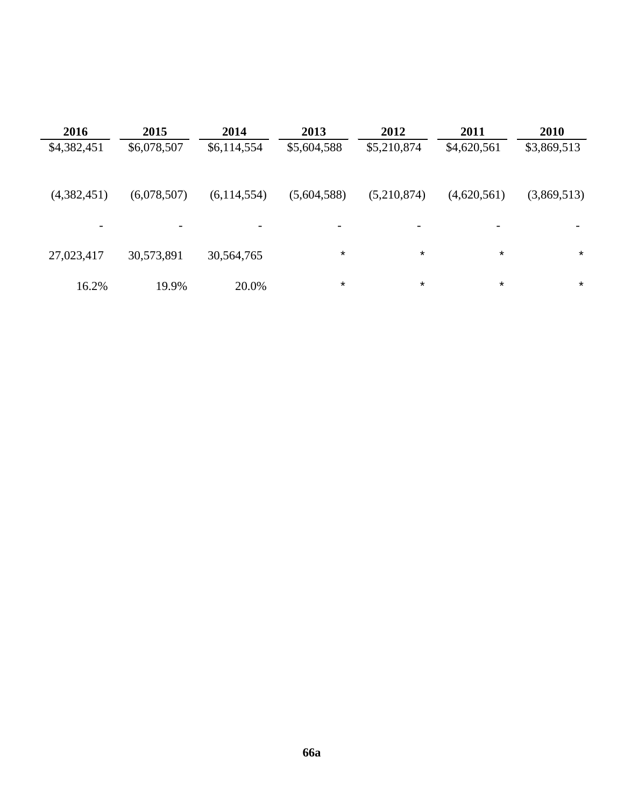| 2016                     | 2015                     | 2014        | 2013                     | 2012        | 2011        | 2010        |
|--------------------------|--------------------------|-------------|--------------------------|-------------|-------------|-------------|
| \$4,382,451              | \$6,078,507              | \$6,114,554 | \$5,604,588              | \$5,210,874 | \$4,620,561 | \$3,869,513 |
| (4,382,451)              | (6,078,507)              | (6,114,554) | (5,604,588)              | (5,210,874) | (4,620,561) | (3,869,513) |
| $\overline{\phantom{a}}$ | $\overline{\phantom{a}}$ | -           | $\overline{\phantom{a}}$ |             |             |             |
| 27,023,417               | 30,573,891               | 30,564,765  | $\star$                  | $\star$     | $\star$     | $\star$     |
| 16.2%                    | 19.9%                    | 20.0%       | $\star$                  | $\star$     | $\star$     | $\star$     |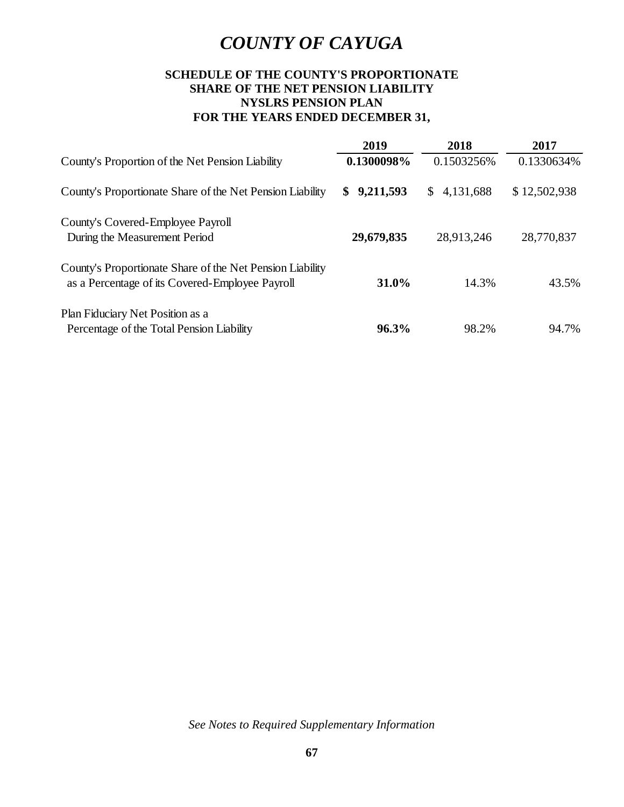## **SCHEDULE OF THE COUNTY'S PROPORTIONATE SHARE OF THE NET PENSION LIABILITY NYSLRS PENSION PLAN FOR THE YEARS ENDED DECEMBER 31,**

|                                                                                                              | 2019            | 2018        | 2017         |
|--------------------------------------------------------------------------------------------------------------|-----------------|-------------|--------------|
| County's Proportion of the Net Pension Liability                                                             | 0.1300098%      | 0.1503256%  | 0.1330634%   |
| County's Proportionate Share of the Net Pension Liability                                                    | 9,211,593<br>\$ | \$4,131,688 | \$12,502,938 |
| County's Covered-Employee Payroll<br>During the Measurement Period                                           | 29,679,835      | 28,913,246  | 28,770,837   |
| County's Proportionate Share of the Net Pension Liability<br>as a Percentage of its Covered-Employee Payroll | 31.0%           | 14.3%       | 43.5%        |
| Plan Fiduciary Net Position as a<br>Percentage of the Total Pension Liability                                | 96.3%           | 98.2%       | 94.7%        |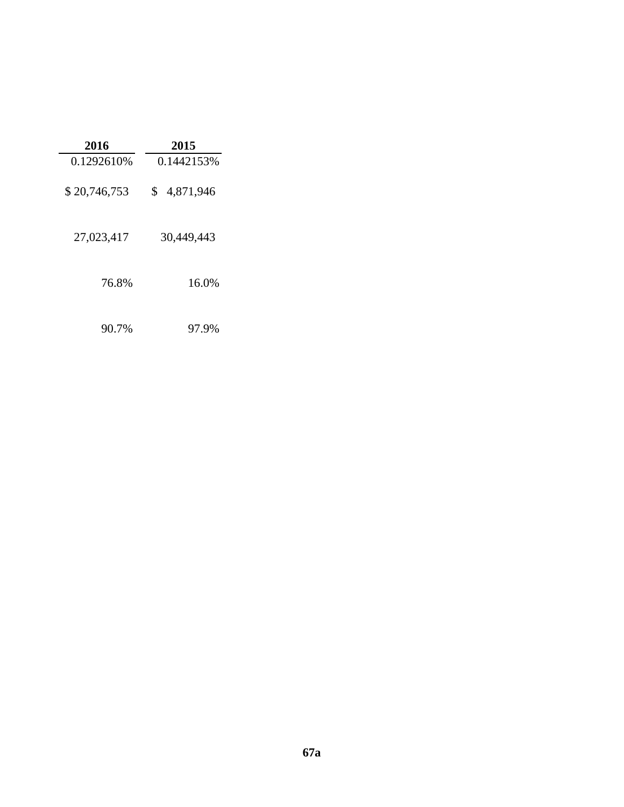| 2016         | 2015            |
|--------------|-----------------|
| 0.1292610%   | 0.1442153%      |
| \$20,746,753 | \$<br>4,871,946 |
| 27,023,417   | 30,449,443      |
| 76.8%        | 16.0%           |
| 90.7%        | 97.9%           |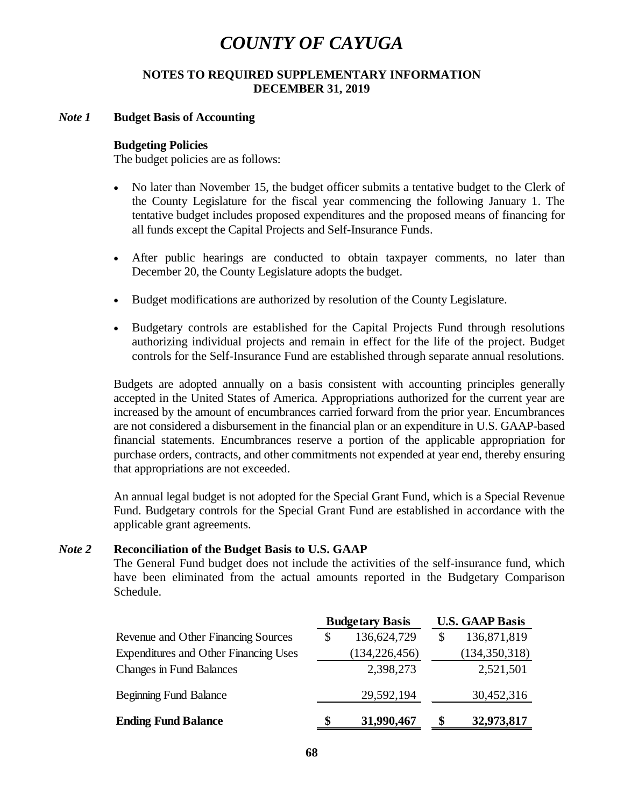### **NOTES TO REQUIRED SUPPLEMENTARY INFORMATION DECEMBER 31, 2019**

### *Note 1* **Budget Basis of Accounting**

### **Budgeting Policies**

The budget policies are as follows:

- No later than November 15, the budget officer submits a tentative budget to the Clerk of the County Legislature for the fiscal year commencing the following January 1. The tentative budget includes proposed expenditures and the proposed means of financing for all funds except the Capital Projects and Self-Insurance Funds.
- After public hearings are conducted to obtain taxpayer comments, no later than December 20, the County Legislature adopts the budget.
- Budget modifications are authorized by resolution of the County Legislature.
- Budgetary controls are established for the Capital Projects Fund through resolutions authorizing individual projects and remain in effect for the life of the project. Budget controls for the Self-Insurance Fund are established through separate annual resolutions.

Budgets are adopted annually on a basis consistent with accounting principles generally accepted in the United States of America. Appropriations authorized for the current year are increased by the amount of encumbrances carried forward from the prior year. Encumbrances are not considered a disbursement in the financial plan or an expenditure in U.S. GAAP-based financial statements. Encumbrances reserve a portion of the applicable appropriation for purchase orders, contracts, and other commitments not expended at year end, thereby ensuring that appropriations are not exceeded.

An annual legal budget is not adopted for the Special Grant Fund, which is a Special Revenue Fund. Budgetary controls for the Special Grant Fund are established in accordance with the applicable grant agreements.

### *Note 2* **Reconciliation of the Budget Basis to U.S. GAAP**

The General Fund budget does not include the activities of the self-insurance fund, which have been eliminated from the actual amounts reported in the Budgetary Comparison Schedule.

|                                              |    | <b>Budgetary Basis</b> | <b>U.S. GAAP Basis</b> |                 |  |
|----------------------------------------------|----|------------------------|------------------------|-----------------|--|
| <b>Revenue and Other Financing Sources</b>   | S  | 136,624,729            | \$                     | 136,871,819     |  |
| <b>Expenditures and Other Financing Uses</b> |    | (134, 226, 456)        |                        | (134, 350, 318) |  |
| Changes in Fund Balances                     |    | 2,398,273              |                        | 2,521,501       |  |
| <b>Beginning Fund Balance</b>                |    | 29,592,194             |                        | 30,452,316      |  |
| <b>Ending Fund Balance</b>                   | \$ | 31,990,467             | \$                     | 32,973,817      |  |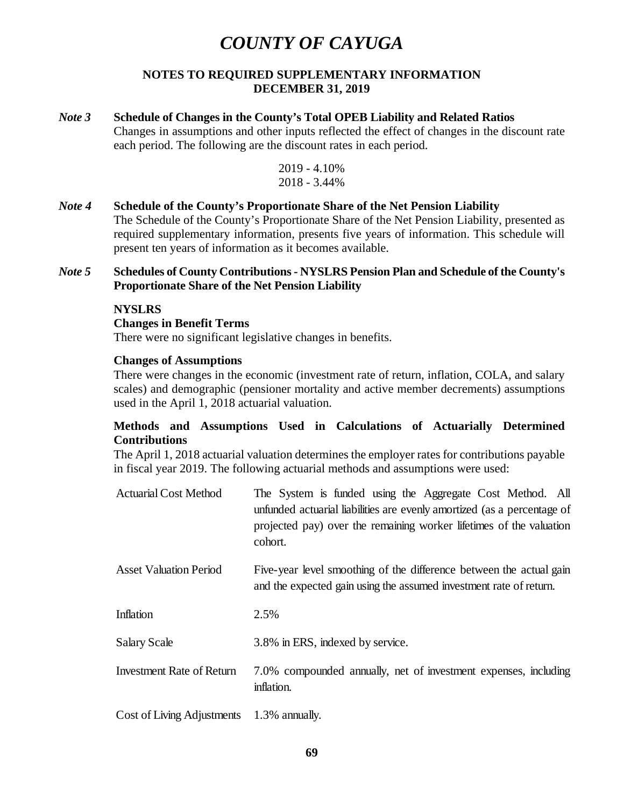### **NOTES TO REQUIRED SUPPLEMENTARY INFORMATION DECEMBER 31, 2019**

### *Note 3* **Schedule of Changes in the County's Total OPEB Liability and Related Ratios**

Changes in assumptions and other inputs reflected the effect of changes in the discount rate each period. The following are the discount rates in each period.

2019 - 4.10% 2018 - 3.44%

### *Note 4* **Schedule of the County's Proportionate Share of the Net Pension Liability** The Schedule of the County's Proportionate Share of the Net Pension Liability, presented as required supplementary information, presents five years of information. This schedule will

### *Note 5* **Schedules of County Contributions - NYSLRS Pension Plan and Schedule of the County's Proportionate Share of the Net Pension Liability**

### **NYSLRS**

### **Changes in Benefit Terms**

There were no significant legislative changes in benefits.

present ten years of information as it becomes available.

### **Changes of Assumptions**

There were changes in the economic (investment rate of return, inflation, COLA, and salary scales) and demographic (pensioner mortality and active member decrements) assumptions used in the April 1, 2018 actuarial valuation.

## **Methods and Assumptions Used in Calculations of Actuarially Determined Contributions**

The April 1, 2018 actuarial valuation determines the employer rates for contributions payable in fiscal year 2019. The following actuarial methods and assumptions were used:

- Actuarial Cost Method The System is funded using the Aggregate Cost Method. All unfunded actuarial liabilities are evenly amortized (as a percentage of projected pay) over the remaining worker lifetimes of the valuation cohort.
- Asset Valuation Period Five-year level smoothing of the difference between the actual gain and the expected gain using the assumed investment rate of return.

Inflation 2.5%

Salary Scale 3.8% in ERS, indexed by service.

Investment Rate of Return 7.0% compounded annually, net of investment expenses, including inflation.

Cost of Living Adjustments 1.3% annually.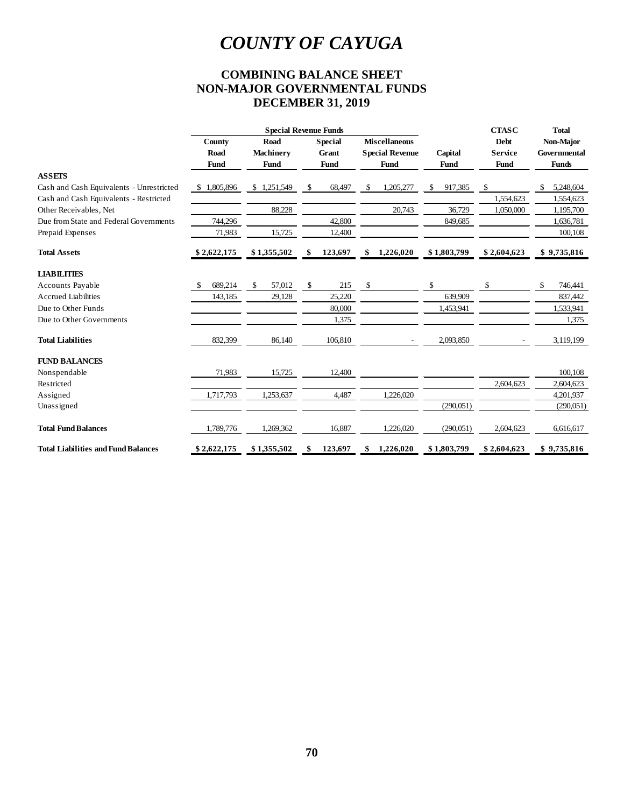## **COMBINING BALANCE SHEET NON-MAJOR GOVERNMENTAL FUNDS DECEMBER 31, 2019**

|                                            |                          |                  | <b>Special Revenue Funds</b> |                        | <b>CTASC</b>  | <b>Total</b>   |                         |
|--------------------------------------------|--------------------------|------------------|------------------------------|------------------------|---------------|----------------|-------------------------|
|                                            | County                   | Road             | <b>Special</b>               | <b>Miscellaneous</b>   |               | <b>Debt</b>    | Non-Major               |
|                                            | <b>Road</b>              | <b>Machinery</b> | Grant                        | <b>Special Revenue</b> | Capital       | <b>Service</b> | <b>Governmental</b>     |
|                                            | <b>Fund</b>              | <b>Fund</b>      | Fund                         | <b>Fund</b>            | <b>Fund</b>   | <b>Fund</b>    | <b>Funds</b>            |
| <b>ASSETS</b>                              |                          |                  |                              |                        |               |                |                         |
| Cash and Cash Equivalents - Unrestricted   | \$1,805,896              | \$1,251,549      | 68,497<br>S                  | 1,205,277<br>S         | 917,385<br>\$ | -\$            | \$<br>5,248,604         |
| Cash and Cash Equivalents - Restricted     |                          |                  |                              |                        |               | 1,554,623      | 1,554,623               |
| Other Receivables, Net                     |                          | 88,228           |                              | 20,743                 | 36,729        | 1,050,000      | 1,195,700               |
| Due from State and Federal Governments     | 744,296                  |                  | 42,800                       |                        | 849,685       |                | 1,636,781               |
| Prepaid Expenses                           | 71,983                   | 15,725           | 12,400                       |                        |               |                | 100,108                 |
| <b>Total Assets</b>                        | \$2,622,175              | \$1,355,502      | 123,697                      | 1,226,020<br>S         | \$1,803,799   | \$2,604,623    | \$9,735,816             |
| <b>LIABILITIES</b>                         |                          |                  |                              |                        |               |                |                         |
| <b>Accounts Payable</b>                    | 689,214<br><sup>\$</sup> | 57,012<br>\$     | 215<br>\$                    | \$                     | \$            | \$             | $\mathbb{S}$<br>746,441 |
| <b>Accrued Liabilities</b>                 | 143,185                  | 29,128           | 25,220                       |                        | 639,909       |                | 837,442                 |
| Due to Other Funds                         |                          |                  | 80,000                       |                        | 1,453,941     |                | 1,533,941               |
| Due to Other Governments                   |                          |                  | 1,375                        |                        |               |                | 1,375                   |
| <b>Total Liabilities</b>                   | 832,399                  | 86,140           | 106,810                      |                        | 2,093,850     |                | 3,119,199               |
| <b>FUND BALANCES</b>                       |                          |                  |                              |                        |               |                |                         |
| Nonspendable                               | 71.983                   | 15,725           | 12,400                       |                        |               |                | 100.108                 |
| Restricted                                 |                          |                  |                              |                        |               | 2,604,623      | 2,604,623               |
| Assigned                                   | 1,717,793                | 1,253,637        | 4,487                        | 1,226,020              |               |                | 4,201,937               |
| Unassigned                                 |                          |                  |                              |                        | (290,051)     |                | (290,051)               |
| <b>Total Fund Balances</b>                 | 1,789,776                | 1,269,362        | 16,887                       | 1,226,020              | (290.051)     | 2,604,623      | 6,616,617               |
| <b>Total Liabilities and Fund Balances</b> | \$2,622,175              | \$1,355,502      | 123,697<br>\$                | 1,226,020<br>S         | \$1,803,799   | \$2,604,623    | \$9,735,816             |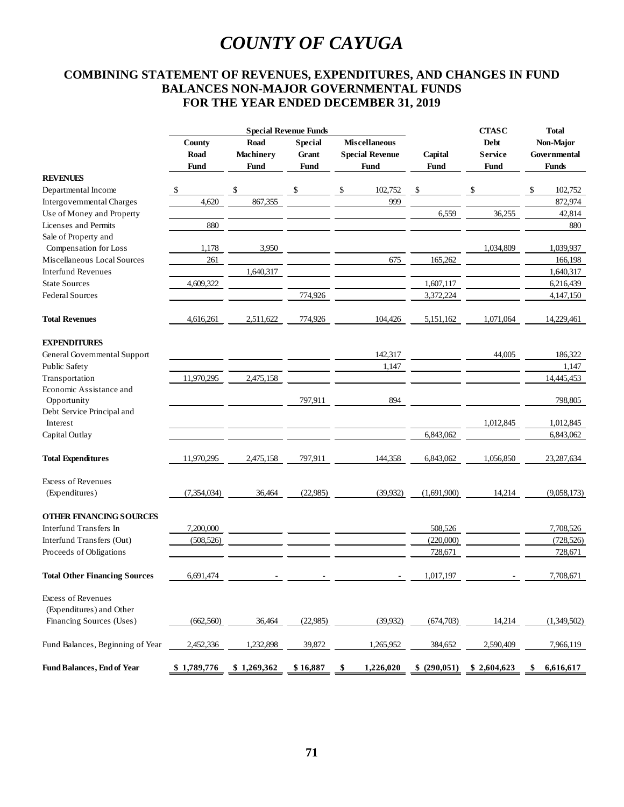## **COMBINING STATEMENT OF REVENUES, EXPENDITURES, AND CHANGES IN FUND BALANCES NON-MAJOR GOVERNMENTAL FUNDS FOR THE YEAR ENDED DECEMBER 31, 2019**

|                                      |             | <b>Special Revenue Funds</b> |                |    |                        |              | <b>CTASC</b> | <b>Total</b>                              |  |
|--------------------------------------|-------------|------------------------------|----------------|----|------------------------|--------------|--------------|-------------------------------------------|--|
|                                      | County      | Road                         | <b>Special</b> |    | <b>Miscellaneous</b>   |              | <b>Debt</b>  | Non-Major<br>Governmental<br><b>Funds</b> |  |
|                                      | Road        | <b>Machinery</b>             | Grant          |    | <b>Special Revenue</b> | Capital      | Service      |                                           |  |
|                                      | <b>Fund</b> | <b>Fund</b>                  | <b>Fund</b>    |    | Fund                   | Fund         | Fund         |                                           |  |
| <b>REVENUES</b>                      |             |                              |                |    |                        |              |              |                                           |  |
| Departmental Income                  | \$          | \$                           | \$             | \$ | 102,752                | \$           | \$           | \$<br>102,752                             |  |
| Intergovernmental Charges            | 4,620       | 867,355                      |                |    | 999                    |              |              | 872,974                                   |  |
| Use of Money and Property            |             |                              |                |    |                        | 6,559        | 36,255       | 42,814                                    |  |
| Licenses and Permits                 | 880         |                              |                |    |                        |              |              | 880                                       |  |
| Sale of Property and                 |             |                              |                |    |                        |              |              |                                           |  |
| Compensation for Loss                | 1,178       | 3,950                        |                |    |                        |              | 1,034,809    | 1,039,937                                 |  |
| Miscellaneous Local Sources          | 261         |                              |                |    | 675                    | 165,262      |              | 166,198                                   |  |
| <b>Interfund Revenues</b>            |             | 1,640,317                    |                |    |                        |              |              | 1,640,317                                 |  |
| <b>State Sources</b>                 | 4,609,322   |                              |                |    |                        | 1,607,117    |              | 6,216,439                                 |  |
| <b>Federal Sources</b>               |             |                              | 774,926        |    |                        | 3,372,224    |              | 4,147,150                                 |  |
| <b>Total Revenues</b>                | 4,616,261   | 2,511,622                    | 774,926        |    | 104,426                | 5,151,162    | 1,071,064    | 14,229,461                                |  |
| <b>EXPENDITURES</b>                  |             |                              |                |    |                        |              |              |                                           |  |
| General Governmental Support         |             |                              |                |    | 142,317                |              | 44,005       | 186,322                                   |  |
| Public Safety                        |             |                              |                |    | 1,147                  |              |              | 1,147                                     |  |
| Transportation                       | 11,970,295  | 2,475,158                    |                |    |                        |              |              | 14,445,453                                |  |
| Economic Assistance and              |             |                              |                |    |                        |              |              |                                           |  |
| Opportunity                          |             |                              | 797,911        |    | 894                    |              |              | 798,805                                   |  |
| Debt Service Principal and           |             |                              |                |    |                        |              |              |                                           |  |
| Interest                             |             |                              |                |    |                        |              | 1,012,845    | 1,012,845                                 |  |
| Capital Outlay                       |             |                              |                |    |                        | 6,843,062    |              | 6,843,062                                 |  |
| <b>Total Expenditures</b>            | 11,970,295  | 2,475,158                    | 797,911        |    | 144,358                | 6,843,062    | 1,056,850    | 23,287,634                                |  |
| <b>Excess of Revenues</b>            |             |                              |                |    |                        |              |              |                                           |  |
| (Expenditures)                       | (7,354,034) | 36,464                       | (22,985)       |    | (39,932)               | (1,691,900)  | 14,214       | (9,058,173)                               |  |
| <b>OTHER FINANCING SOURCES</b>       |             |                              |                |    |                        |              |              |                                           |  |
| Interfund Transfers In               | 7,200,000   |                              |                |    |                        | 508,526      |              | 7,708,526                                 |  |
| Interfund Transfers (Out)            | (508, 526)  |                              |                |    |                        | (220,000)    |              | (728, 526)                                |  |
| Proceeds of Obligations              |             |                              |                |    |                        | 728,671      |              | 728,671                                   |  |
| <b>Total Other Financing Sources</b> | 6,691,474   |                              |                |    |                        | 1,017,197    |              | 7,708,671                                 |  |
| <b>Excess of Revenues</b>            |             |                              |                |    |                        |              |              |                                           |  |
| (Expenditures) and Other             |             |                              |                |    |                        |              |              |                                           |  |
| Financing Sources (Uses)             | (662, 560)  | 36,464                       | (22,985)       |    | (39, 932)              | (674, 703)   | 14,214       | (1,349,502)                               |  |
| Fund Balances, Beginning of Year     | 2,452,336   | 1,232,898                    | 39,872         |    | 1,265,952              | 384,652      | 2,590,409    | 7,966,119                                 |  |
| <b>Fund Balances, End of Year</b>    | \$1,789,776 | \$1,269,362                  | \$16,887       | \$ | 1,226,020              | \$ (290,051) | \$2,604,623  | \$<br>6,616,617                           |  |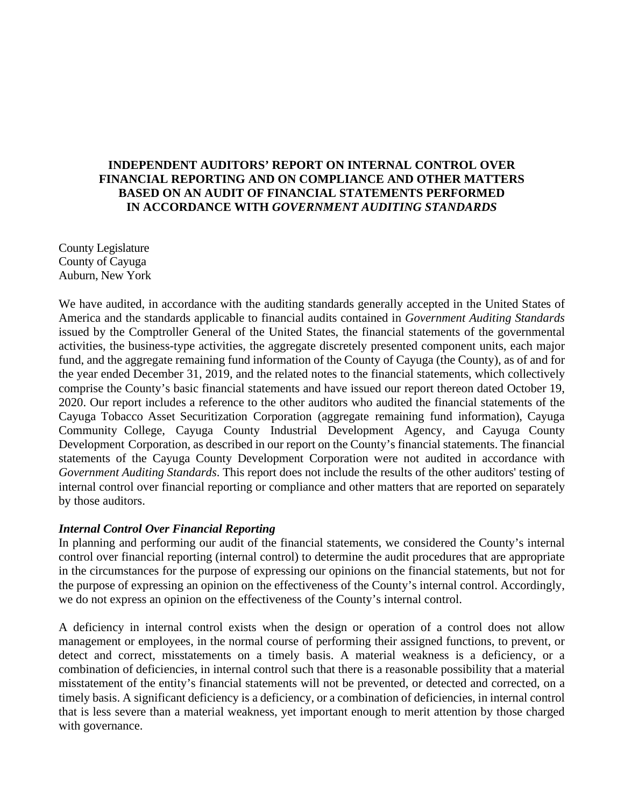

Certified Public Accountants | Business Advisors

### **INDEPENDENT AUDITORS' REPORT ON INTERNAL CONTROL OVER FINANCIAL REPORTING AND ON COMPLIANCE AND OTHER MATTERS BASED ON AN AUDIT OF FINANCIAL STATEMENTS PERFORMED IN ACCORDANCE WITH** *GOVERNMENT AUDITING STANDARDS*

County Legislature County of Cayuga Auburn, New York

We have audited, in accordance with the auditing standards generally accepted in the United States of America and the standards applicable to financial audits contained in *Government Auditing Standards* issued by the Comptroller General of the United States, the financial statements of the governmental activities, the business-type activities, the aggregate discretely presented component units, each major fund, and the aggregate remaining fund information of the County of Cayuga (the County), as of and for the year ended December 31, 2019, and the related notes to the financial statements, which collectively comprise the County's basic financial statements and have issued our report thereon dated October 19, 2020. Our report includes a reference to the other auditors who audited the financial statements of the Cayuga Tobacco Asset Securitization Corporation (aggregate remaining fund information), Cayuga Community College, Cayuga County Industrial Development Agency, and Cayuga County Development Corporation, as described in our report on the County's financial statements. The financial statements of the Cayuga County Development Corporation were not audited in accordance with *Government Auditing Standards*. This report does not include the results of the other auditors' testing of internal control over financial reporting or compliance and other matters that are reported on separately by those auditors.

### *Internal Control Over Financial Reporting*

In planning and performing our audit of the financial statements, we considered the County's internal control over financial reporting (internal control) to determine the audit procedures that are appropriate in the circumstances for the purpose of expressing our opinions on the financial statements, but not for the purpose of expressing an opinion on the effectiveness of the County's internal control. Accordingly, we do not express an opinion on the effectiveness of the County's internal control.

A deficiency in internal control exists when the design or operation of a control does not allow management or employees, in the normal course of performing their assigned functions, to prevent, or detect and correct, misstatements on a timely basis. A material weakness is a deficiency, or a combination of deficiencies, in internal control such that there is a reasonable possibility that a material misstatement of the entity's financial statements will not be prevented, or detected and corrected, on a timely basis. A significant deficiency is a deficiency, or a combination of deficiencies, in internal control that is less severe than a material weakness, yet important enough to merit attention by those charged with governance.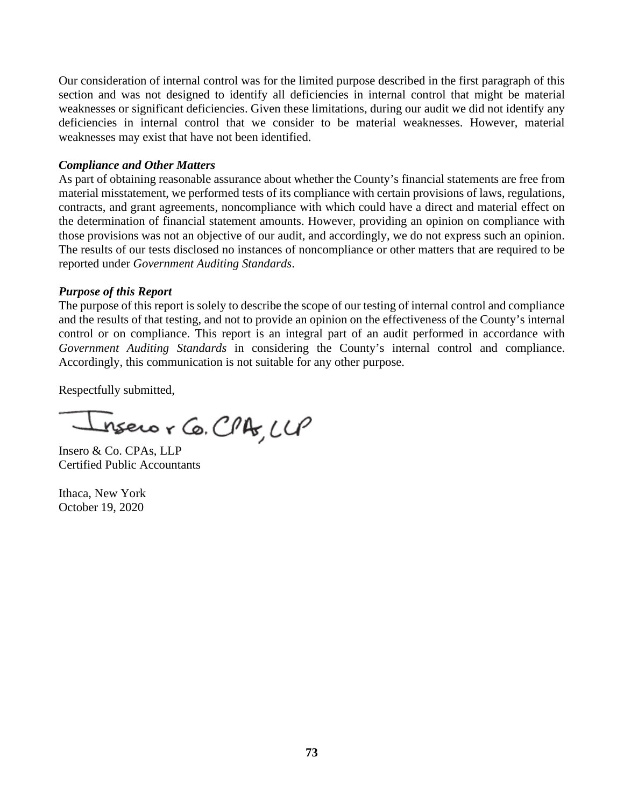Our consideration of internal control was for the limited purpose described in the first paragraph of this section and was not designed to identify all deficiencies in internal control that might be material weaknesses or significant deficiencies. Given these limitations, during our audit we did not identify any deficiencies in internal control that we consider to be material weaknesses. However, material weaknesses may exist that have not been identified.

## *Compliance and Other Matters*

As part of obtaining reasonable assurance about whether the County's financial statements are free from material misstatement, we performed tests of its compliance with certain provisions of laws, regulations, contracts, and grant agreements, noncompliance with which could have a direct and material effect on the determination of financial statement amounts. However, providing an opinion on compliance with those provisions was not an objective of our audit, and accordingly, we do not express such an opinion. The results of our tests disclosed no instances of noncompliance or other matters that are required to be reported under *Government Auditing Standards*.

## *Purpose of this Report*

The purpose of this report is solely to describe the scope of our testing of internal control and compliance and the results of that testing, and not to provide an opinion on the effectiveness of the County's internal control or on compliance. This report is an integral part of an audit performed in accordance with *Government Auditing Standards* in considering the County's internal control and compliance. Accordingly, this communication is not suitable for any other purpose.

Respectfully submitted,

nsero r Co. CPA, LLP

Insero & Co. CPAs, LLP Certified Public Accountants

Ithaca, New York October 19, 2020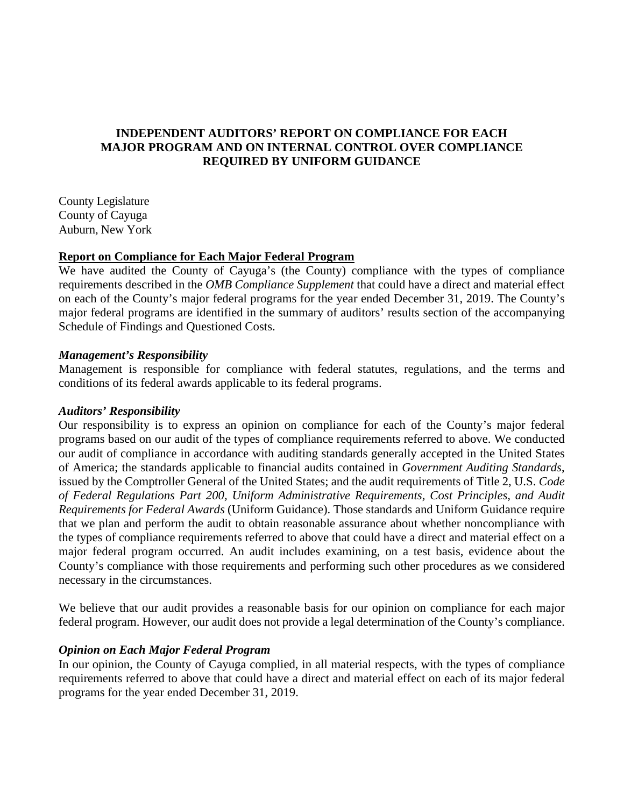

Certified Public Accountants | Business Advisors

## **INDEPENDENT AUDITORS' REPORT ON COMPLIANCE FOR EACH MAJOR PROGRAM AND ON INTERNAL CONTROL OVER COMPLIANCE REQUIRED BY UNIFORM GUIDANCE**

County Legislature County of Cayuga Auburn, New York

#### **Report on Compliance for Each Major Federal Program**

We have audited the County of Cayuga's (the County) compliance with the types of compliance requirements described in the *OMB Compliance Supplement* that could have a direct and material effect on each of the County's major federal programs for the year ended December 31, 2019. The County's major federal programs are identified in the summary of auditors' results section of the accompanying Schedule of Findings and Questioned Costs.

### *Management's Responsibility*

Management is responsible for compliance with federal statutes, regulations, and the terms and conditions of its federal awards applicable to its federal programs.

#### *Auditors' Responsibility*

Our responsibility is to express an opinion on compliance for each of the County's major federal programs based on our audit of the types of compliance requirements referred to above. We conducted our audit of compliance in accordance with auditing standards generally accepted in the United States of America; the standards applicable to financial audits contained in *Government Auditing Standards*, issued by the Comptroller General of the United States; and the audit requirements of Title 2, U.S. *Code of Federal Regulations Part 200, Uniform Administrative Requirements, Cost Principles, and Audit Requirements for Federal Awards* (Uniform Guidance). Those standards and Uniform Guidance require that we plan and perform the audit to obtain reasonable assurance about whether noncompliance with the types of compliance requirements referred to above that could have a direct and material effect on a major federal program occurred. An audit includes examining, on a test basis, evidence about the County's compliance with those requirements and performing such other procedures as we considered necessary in the circumstances.

We believe that our audit provides a reasonable basis for our opinion on compliance for each major federal program. However, our audit does not provide a legal determination of the County's compliance.

### *Opinion on Each Major Federal Program*

In our opinion, the County of Cayuga complied, in all material respects, with the types of compliance requirements referred to above that could have a direct and material effect on each of its major federal programs for the year ended December 31, 2019.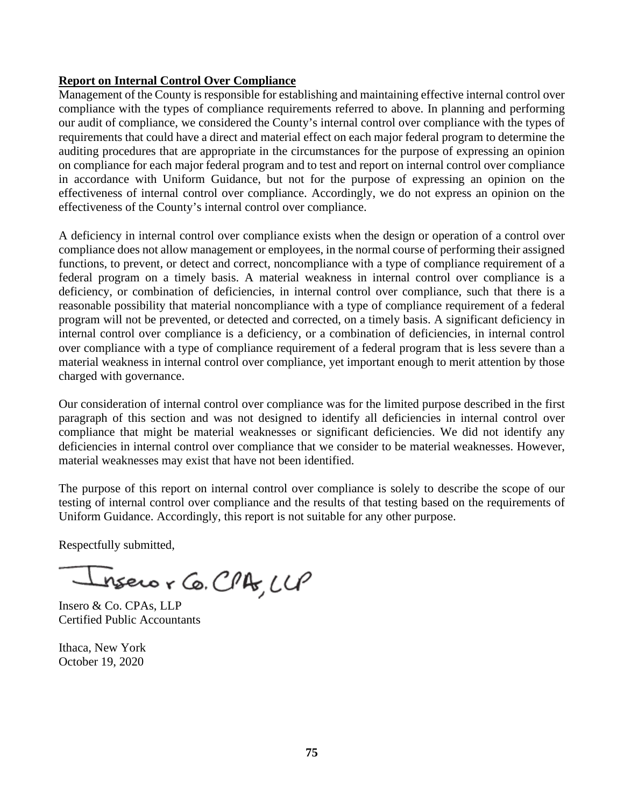### **Report on Internal Control Over Compliance**

Management of the County is responsible for establishing and maintaining effective internal control over compliance with the types of compliance requirements referred to above. In planning and performing our audit of compliance, we considered the County's internal control over compliance with the types of requirements that could have a direct and material effect on each major federal program to determine the auditing procedures that are appropriate in the circumstances for the purpose of expressing an opinion on compliance for each major federal program and to test and report on internal control over compliance in accordance with Uniform Guidance, but not for the purpose of expressing an opinion on the effectiveness of internal control over compliance. Accordingly, we do not express an opinion on the effectiveness of the County's internal control over compliance.

A deficiency in internal control over compliance exists when the design or operation of a control over compliance does not allow management or employees, in the normal course of performing their assigned functions, to prevent, or detect and correct, noncompliance with a type of compliance requirement of a federal program on a timely basis. A material weakness in internal control over compliance is a deficiency, or combination of deficiencies, in internal control over compliance, such that there is a reasonable possibility that material noncompliance with a type of compliance requirement of a federal program will not be prevented, or detected and corrected, on a timely basis. A significant deficiency in internal control over compliance is a deficiency, or a combination of deficiencies, in internal control over compliance with a type of compliance requirement of a federal program that is less severe than a material weakness in internal control over compliance, yet important enough to merit attention by those charged with governance.

Our consideration of internal control over compliance was for the limited purpose described in the first paragraph of this section and was not designed to identify all deficiencies in internal control over compliance that might be material weaknesses or significant deficiencies. We did not identify any deficiencies in internal control over compliance that we consider to be material weaknesses. However, material weaknesses may exist that have not been identified.

The purpose of this report on internal control over compliance is solely to describe the scope of our testing of internal control over compliance and the results of that testing based on the requirements of Uniform Guidance. Accordingly, this report is not suitable for any other purpose.

Respectfully submitted,

nsero r Co. CPA, LLP

Insero & Co. CPAs, LLP Certified Public Accountants

Ithaca, New York October 19, 2020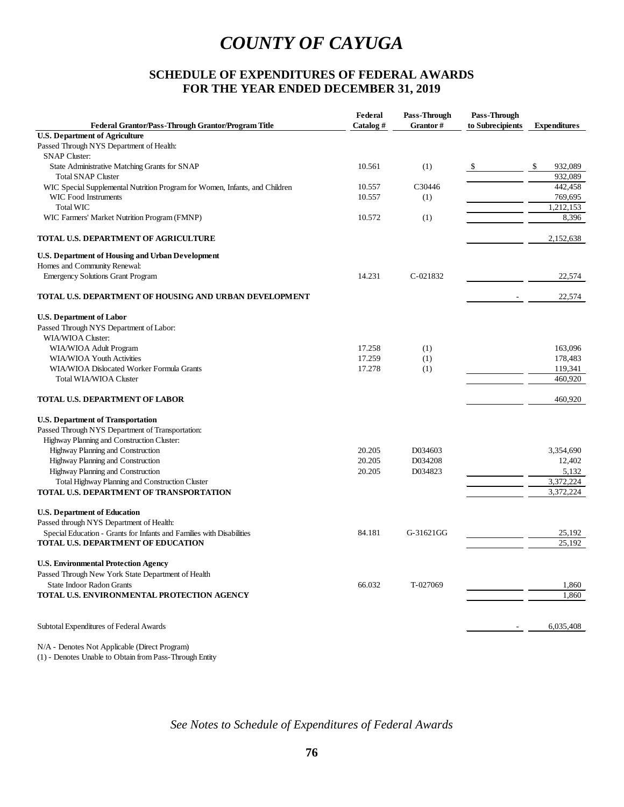## **SCHEDULE OF EXPENDITURES OF FEDERAL AWARDS FOR THE YEAR ENDED DECEMBER 31, 2019**

| <b>Federal Grantor/Pass-Through Grantor/Program Title</b>                   | Federal<br>Catalog # | Pass-Through<br>Grantor# | Pass-Through<br>to Subrecipients | <b>Expenditures</b> |
|-----------------------------------------------------------------------------|----------------------|--------------------------|----------------------------------|---------------------|
| <b>U.S. Department of Agriculture</b>                                       |                      |                          |                                  |                     |
| Passed Through NYS Department of Health:                                    |                      |                          |                                  |                     |
| <b>SNAP Cluster:</b>                                                        |                      |                          |                                  |                     |
| State Administrative Matching Grants for SNAP                               | 10.561               | (1)                      |                                  | 932.089<br>\$       |
| <b>Total SNAP Cluster</b>                                                   |                      |                          |                                  | 932.089             |
| WIC Special Supplemental Nutrition Program for Women, Infants, and Children | 10.557               | C30446                   |                                  | 442,458             |
| <b>WIC Food Instruments</b>                                                 | 10.557               | (1)                      |                                  | 769,695             |
| <b>Total WIC</b>                                                            |                      |                          |                                  | 1,212,153           |
| WIC Farmers' Market Nutrition Program (FMNP)                                | 10.572               | (1)                      |                                  | 8,396               |
| TOTAL U.S. DEPARTMENT OF AGRICULTURE                                        |                      |                          |                                  | 2,152,638           |
| U.S. Department of Housing and Urban Development                            |                      |                          |                                  |                     |
| Homes and Community Renewal:                                                |                      |                          |                                  |                     |
| <b>Emergency Solutions Grant Program</b>                                    | 14.231               | $C-021832$               |                                  | 22,574              |
| TOTAL U.S. DEPARTMENT OF HOUSING AND URBAN DEVELOPMENT                      |                      |                          |                                  | 22,574              |
| <b>U.S. Department of Labor</b>                                             |                      |                          |                                  |                     |
| Passed Through NYS Department of Labor:                                     |                      |                          |                                  |                     |
| WIA/WIOA Cluster:                                                           |                      |                          |                                  |                     |
| WIA/WIOA Adult Program                                                      | 17.258               | (1)                      |                                  | 163,096             |
| WIA/WIOA Youth Activities                                                   | 17.259               | (1)                      |                                  | 178,483             |
| WIA/WIOA Dislocated Worker Formula Grants                                   | 17.278               | (1)                      |                                  | 119,341             |
| Total WIA/WIOA Cluster                                                      |                      |                          |                                  | 460,920             |
| <b>TOTAL U.S. DEPARTMENT OF LABOR</b>                                       |                      |                          |                                  | 460,920             |
| <b>U.S. Department of Transportation</b>                                    |                      |                          |                                  |                     |
| Passed Through NYS Department of Transportation:                            |                      |                          |                                  |                     |
| Highway Planning and Construction Cluster:                                  |                      |                          |                                  |                     |
| Highway Planning and Construction                                           | 20.205               | D034603                  |                                  | 3,354,690           |
| Highway Planning and Construction                                           | 20.205               | D034208                  |                                  | 12,402              |
| Highway Planning and Construction                                           | 20.205               | D034823                  |                                  | 5,132               |
| Total Highway Planning and Construction Cluster                             |                      |                          |                                  | 3,372,224           |
| TOTAL U.S. DEPARTMENT OF TRANSPORTATION                                     |                      |                          |                                  | 3,372,224           |
| <b>U.S. Department of Education</b>                                         |                      |                          |                                  |                     |
| Passed through NYS Department of Health:                                    |                      |                          |                                  |                     |
| Special Education - Grants for Infants and Families with Disabilities       | 84.181               | G-31621GG                |                                  | 25,192              |
| TOTAL U.S. DEPARTMENT OF EDUCATION                                          |                      |                          |                                  | 25,192              |
| <b>U.S. Environmental Protection Agency</b>                                 |                      |                          |                                  |                     |
| Passed Through New York State Department of Health                          |                      |                          |                                  |                     |
| <b>State Indoor Radon Grants</b>                                            | 66.032               | T-027069                 |                                  | 1,860               |
| TOTAL U.S. ENVIRONMENTAL PROTECTION AGENCY                                  |                      |                          |                                  | 1.860               |
|                                                                             |                      |                          |                                  |                     |
| Subtotal Expenditures of Federal Awards                                     |                      |                          |                                  | 6,035,408           |
|                                                                             |                      |                          |                                  |                     |

N/A - Denotes Not Applicable (Direct Program)

(1) - Denotes Unable to Obtain from Pass-Through Entity

*See Notes to Schedule of Expenditures of Federal Awards*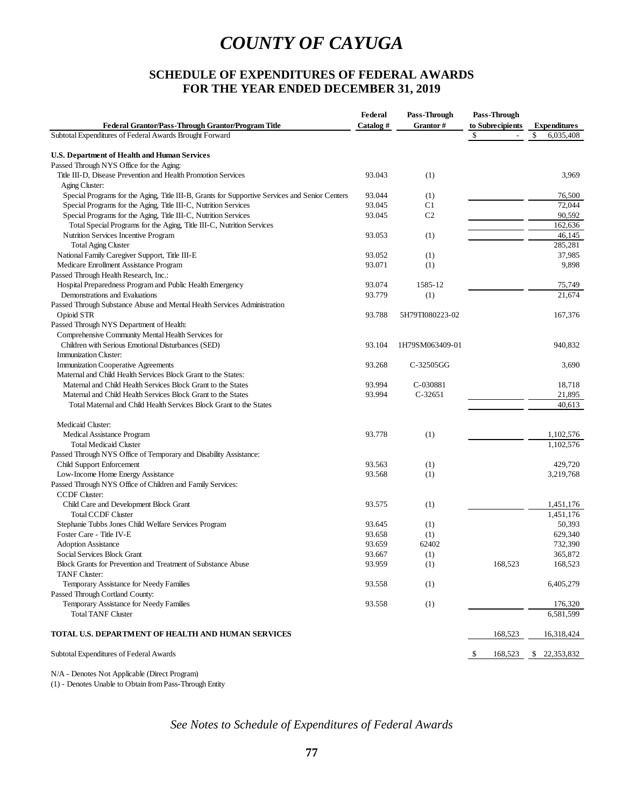## **SCHEDULE OF EXPENDITURES OF FEDERAL AWARDS FOR THE YEAR ENDED DECEMBER 31, 2019**

|                                                                                                    | Federal   | Pass-Through    | Pass-Through     |                     |
|----------------------------------------------------------------------------------------------------|-----------|-----------------|------------------|---------------------|
| Federal Grantor/Pass-Through Grantor/Program Title                                                 | Catalog # | Grantor#        | to Subrecipients | <b>Expenditures</b> |
| Subtotal Expenditures of Federal Awards Brought Forward                                            |           |                 | \$               | \$<br>6,035,408     |
| U.S. Department of Health and Human Services                                                       |           |                 |                  |                     |
| Passed Through NYS Office for the Aging:                                                           |           |                 |                  |                     |
| Title III-D, Disease Prevention and Health Promotion Services                                      | 93.043    | (1)             |                  | 3,969               |
| Aging Cluster:                                                                                     |           |                 |                  |                     |
| Special Programs for the Aging, Title III-B, Grants for Supportive Services and Senior Centers     | 93.044    |                 |                  |                     |
| Special Programs for the Aging, Title III-C, Nutrition Services                                    | 93.045    | (1)<br>C1       |                  | 76,500<br>72,044    |
| Special Programs for the Aging, Title III-C, Nutrition Services                                    | 93.045    | C <sub>2</sub>  |                  | 90,592              |
| Total Special Programs for the Aging, Title III-C, Nutrition Services                              |           |                 |                  | 162,636             |
|                                                                                                    | 93.053    |                 |                  | 46,145              |
| <b>Nutrition Services Incentive Program</b>                                                        |           | (1)             |                  | 285,281             |
| <b>Total Aging Cluster</b>                                                                         | 93.052    |                 |                  | 37,985              |
| National Family Caregiver Support, Title III-E                                                     |           | (1)             |                  |                     |
| Medicare Enrollment Assistance Program                                                             | 93.071    | (1)             |                  | 9,898               |
| Passed Through Health Research, Inc.:                                                              |           |                 |                  |                     |
| Hospital Preparedness Program and Public Health Emergency                                          | 93.074    | 1585-12         |                  | 75,749              |
| Demonstrations and Evaluations                                                                     | 93.779    | (1)             |                  | 21,674              |
| Passed Through Substance Abuse and Mental Health Services Administration                           |           |                 |                  |                     |
| Opioid STR                                                                                         | 93.788    | 5H79TI080223-02 |                  | 167,376             |
| Passed Through NYS Department of Health:                                                           |           |                 |                  |                     |
| Comprehensive Community Mental Health Services for                                                 |           |                 |                  |                     |
| Children with Serious Emotional Disturbances (SED)                                                 | 93.104    | 1H79SM063409-01 |                  | 940,832             |
| <b>Immunization Cluster:</b>                                                                       |           |                 |                  |                     |
| <b>Immunization Cooperative Agreements</b>                                                         | 93.268    | C-32505GG       |                  | 3,690               |
| Maternal and Child Health Services Block Grant to the States:                                      |           |                 |                  |                     |
| Maternal and Child Health Services Block Grant to the States                                       | 93.994    | C-030881        |                  | 18,718              |
| Maternal and Child Health Services Block Grant to the States                                       | 93.994    | $C-32651$       |                  | 21,895              |
| Total Maternal and Child Health Services Block Grant to the States                                 |           |                 |                  | 40,613              |
| Medicaid Cluster:                                                                                  |           |                 |                  |                     |
| Medical Assistance Program                                                                         | 93.778    | (1)             |                  | 1,102,576           |
| <b>Total Medicaid Cluster</b>                                                                      |           |                 |                  | 1,102,576           |
| Passed Through NYS Office of Temporary and Disability Assistance:                                  |           |                 |                  |                     |
| Child Support Enforcement                                                                          | 93.563    | (1)             |                  | 429,720             |
| Low-Income Home Energy Assistance                                                                  | 93.568    | (1)             |                  | 3,219,768           |
| Passed Through NYS Office of Children and Family Services:                                         |           |                 |                  |                     |
| <b>CCDF Cluster:</b>                                                                               |           |                 |                  |                     |
| Child Care and Development Block Grant                                                             | 93.575    | (1)             |                  | 1,451,176           |
| <b>Total CCDF Cluster</b>                                                                          |           |                 |                  | 1,451,176           |
| Stephanie Tubbs Jones Child Welfare Services Program                                               | 93.645    | (1)             |                  | 50,393              |
| Foster Care - Title IV-E                                                                           | 93.658    | (1)             |                  | 629,340             |
|                                                                                                    | 93.659    | 62402           |                  |                     |
| <b>Adoption Assistance</b>                                                                         | 93.667    |                 |                  | 732,390<br>365,872  |
| Social Services Block Grant<br><b>Block Grants for Prevention and Treatment of Substance Abuse</b> | 93.959    | (1)             | 168,523          |                     |
| <b>TANF Cluster:</b>                                                                               |           | (1)             |                  | 168,523             |
|                                                                                                    |           |                 |                  |                     |
| Temporary Assistance for Needy Families                                                            | 93.558    | (1)             |                  | 6,405,279           |
| Passed Through Cortland County:<br>Temporary Assistance for Needy Families                         |           |                 |                  |                     |
|                                                                                                    | 93.558    | (1)             |                  | 176,320             |
| <b>Total TANF Cluster</b>                                                                          |           |                 |                  | 6,581,599           |
| <b>TOTAL U.S. DEPARTMENT OF HEALTH AND HUMAN SERVICES</b>                                          |           |                 | 168,523          | 16,318,424          |
| Subtotal Expenditures of Federal Awards                                                            |           |                 | 168,523          | \$ 22,353,832       |
|                                                                                                    |           |                 |                  |                     |

N/A - Denotes Not Applicable (Direct Program)

(1) - Denotes Unable to Obtain from Pass-Through Entity

*See Notes to Schedule of Expenditures of Federal Awards*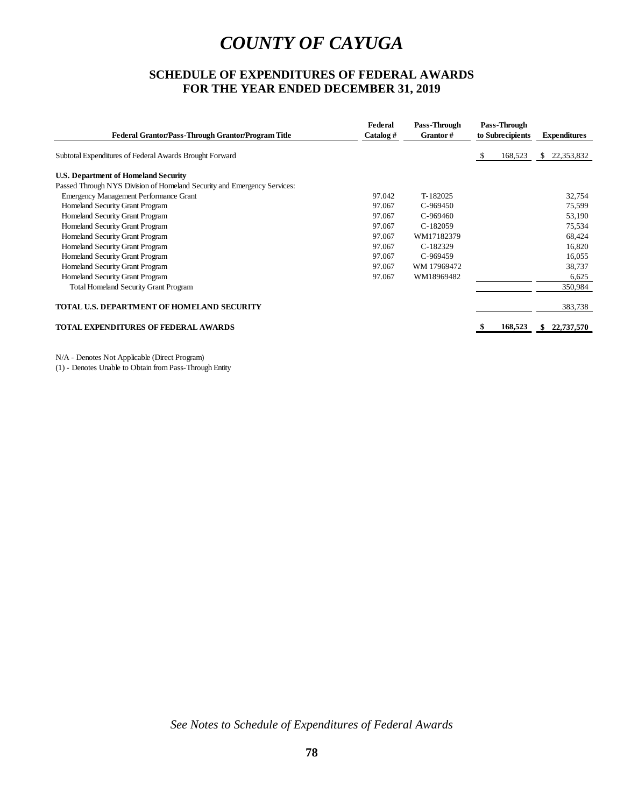## **SCHEDULE OF EXPENDITURES OF FEDERAL AWARDS FOR THE YEAR ENDED DECEMBER 31, 2019**

| Federal Grantor/Pass-Through Grantor/Program Title                       | Federal<br>Catalog# | Pass-Through<br>Grantor# | Pass-Through<br>to Subrecipients |         | <b>Expenditures</b> |            |
|--------------------------------------------------------------------------|---------------------|--------------------------|----------------------------------|---------|---------------------|------------|
| Subtotal Expenditures of Federal Awards Brought Forward                  |                     |                          | <b>S</b>                         | 168,523 | \$.                 | 22,353,832 |
| <b>U.S. Department of Homeland Security</b>                              |                     |                          |                                  |         |                     |            |
| Passed Through NYS Division of Homeland Security and Emergency Services: |                     |                          |                                  |         |                     |            |
| <b>Emergency Management Performance Grant</b>                            | 97.042              | T-182025                 |                                  |         |                     | 32,754     |
| Homeland Security Grant Program                                          | 97.067              | $C-969450$               |                                  |         |                     | 75,599     |
| Homeland Security Grant Program                                          | 97.067              | $C-969460$               |                                  |         |                     | 53,190     |
| Homeland Security Grant Program                                          | 97.067              | $C-182059$               |                                  |         |                     | 75,534     |
| Homeland Security Grant Program                                          | 97.067              | WM17182379               |                                  |         |                     | 68,424     |
| Homeland Security Grant Program                                          | 97.067              | C-182329                 |                                  |         |                     | 16,820     |
| Homeland Security Grant Program                                          | 97.067              | C-969459                 |                                  |         |                     | 16,055     |
| Homeland Security Grant Program                                          | 97.067              | WM 17969472              |                                  |         |                     | 38,737     |
| Homeland Security Grant Program                                          | 97.067              | WM18969482               |                                  |         |                     | 6,625      |
| <b>Total Homeland Security Grant Program</b>                             |                     |                          |                                  |         |                     | 350,984    |
| TOTAL U.S. DEPARTMENT OF HOMELAND SECURITY                               |                     |                          |                                  |         |                     | 383,738    |
| <b>TOTAL EXPENDITURES OF FEDERAL AWARDS</b>                              |                     |                          |                                  | 168,523 |                     | 22,737,570 |

N/A - Denotes Not Applicable (Direct Program)

(1) - Denotes Unable to Obtain from Pass-Through Entity

*See Notes to Schedule of Expenditures of Federal Awards*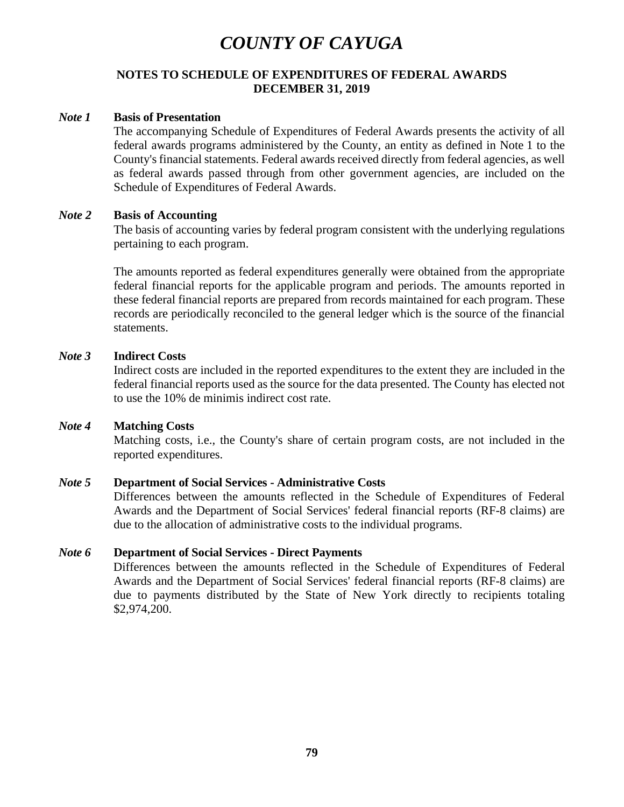### **NOTES TO SCHEDULE OF EXPENDITURES OF FEDERAL AWARDS DECEMBER 31, 2019**

### *Note 1* **Basis of Presentation**

The accompanying Schedule of Expenditures of Federal Awards presents the activity of all federal awards programs administered by the County, an entity as defined in Note 1 to the County's financial statements. Federal awards received directly from federal agencies, as well as federal awards passed through from other government agencies, are included on the Schedule of Expenditures of Federal Awards.

### *Note 2* **Basis of Accounting**

The basis of accounting varies by federal program consistent with the underlying regulations pertaining to each program.

The amounts reported as federal expenditures generally were obtained from the appropriate federal financial reports for the applicable program and periods. The amounts reported in these federal financial reports are prepared from records maintained for each program. These records are periodically reconciled to the general ledger which is the source of the financial statements.

### *Note 3* **Indirect Costs**

Indirect costs are included in the reported expenditures to the extent they are included in the federal financial reports used as the source for the data presented. The County has elected not to use the 10% de minimis indirect cost rate.

### *Note 4* **Matching Costs**

Matching costs, i.e., the County's share of certain program costs, are not included in the reported expenditures.

### *Note 5* **Department of Social Services - Administrative Costs**

Differences between the amounts reflected in the Schedule of Expenditures of Federal Awards and the Department of Social Services' federal financial reports (RF-8 claims) are due to the allocation of administrative costs to the individual programs.

### *Note 6* **Department of Social Services - Direct Payments**

Differences between the amounts reflected in the Schedule of Expenditures of Federal Awards and the Department of Social Services' federal financial reports (RF-8 claims) are due to payments distributed by the State of New York directly to recipients totaling \$2,974,200.